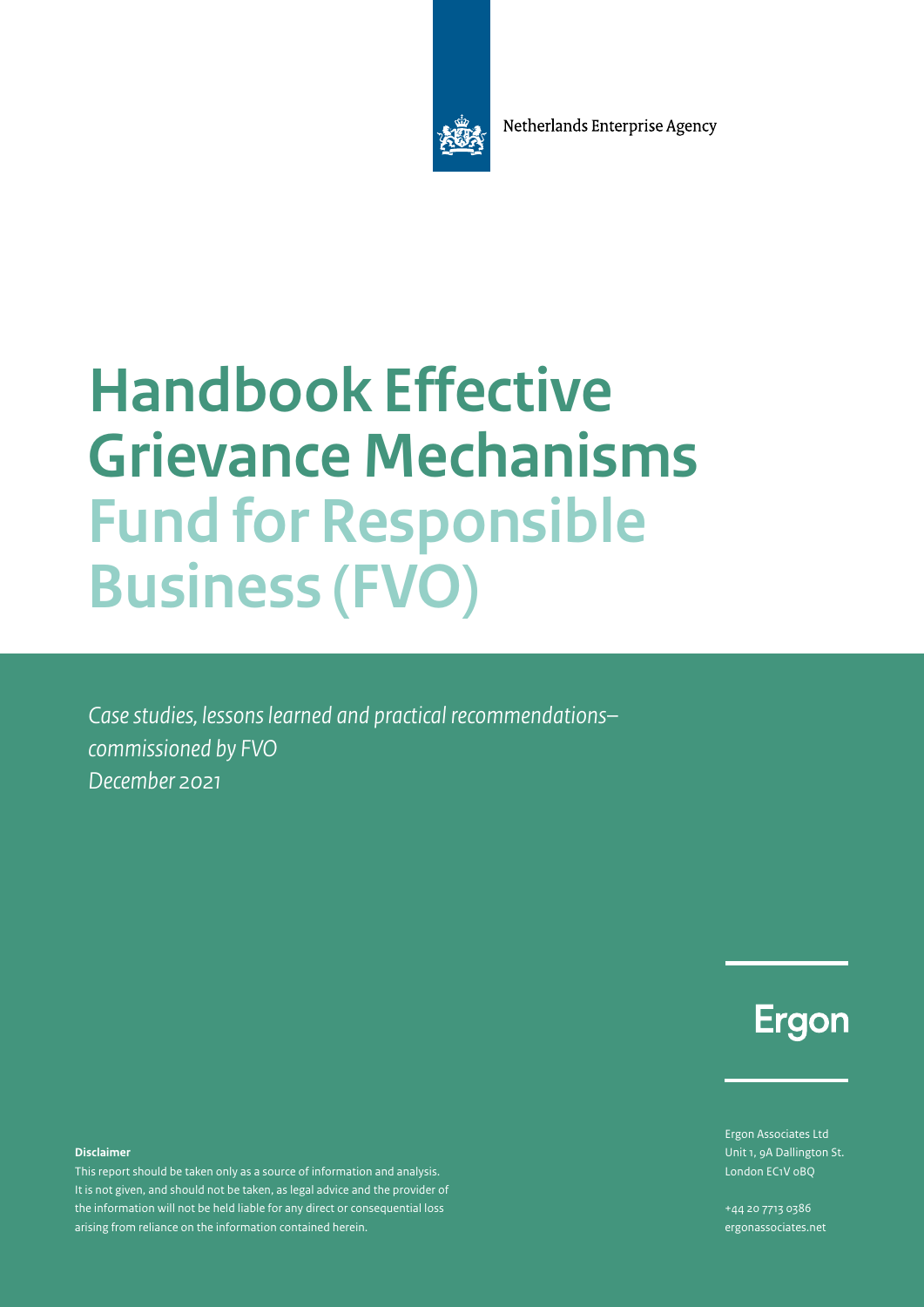Netherlands Enterprise Agency



# **Handbook Effective Grievance Mechanisms Fund for Responsible Business (FVO)**

*Case studies, lessons learned and practical recommendations– commissioned by FVO December 2021*

Ergon

Ergon Associates Ltd Unit 1, 9A Dallington St. London EC1V 0BQ

+44 20 7713 0386 [ergonassociates.net](https://ergonassociates.net/)

#### **Disclaimer**

This report should be taken only as a source of information and analysis. It is not given, and should not be taken, as legal advice and the provider of the information will not be held liable for any direct or consequential loss arising from reliance on the information contained herein.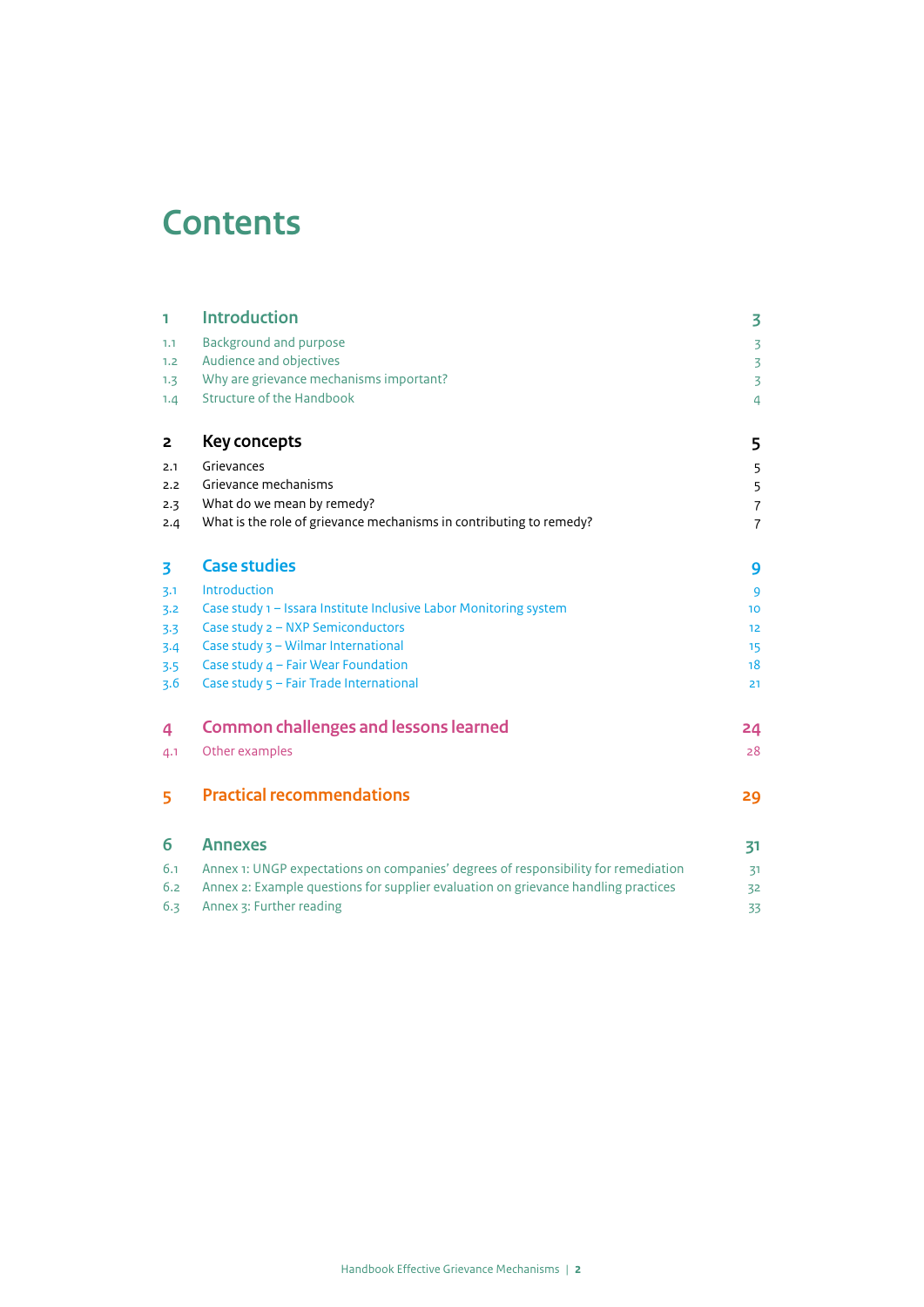# **Contents**

| 1   | <b>Introduction</b>                                                                | 3               |
|-----|------------------------------------------------------------------------------------|-----------------|
| 1.1 | <b>Background and purpose</b>                                                      | $\overline{3}$  |
| 1.2 | Audience and objectives                                                            | $\overline{3}$  |
| 1.3 | Why are grievance mechanisms important?                                            | $\overline{3}$  |
| 1.4 | <b>Structure of the Handbook</b>                                                   | $\overline{a}$  |
| 2   | Key concepts                                                                       | 5               |
| 2.1 | Grievances                                                                         | 5               |
| 2.2 | Grievance mechanisms                                                               | 5               |
| 2.3 | What do we mean by remedy?                                                         | $\overline{7}$  |
| 2.4 | What is the role of grievance mechanisms in contributing to remedy?                | $\overline{7}$  |
| 3   | <b>Case studies</b>                                                                | 9               |
| 3.1 | Introduction                                                                       | 9               |
| 3.2 | Case study 1 - Issara Institute Inclusive Labor Monitoring system                  | 10 <sup>1</sup> |
| 3.3 | Case study 2 - NXP Semiconductors                                                  | 12              |
| 3.4 | Case study 3 - Wilmar International                                                | 15              |
| 3.5 | Case study 4 - Fair Wear Foundation                                                | 18              |
| 3.6 | Case study 5 - Fair Trade International                                            | 21              |
| 4   | <b>Common challenges and lessons learned</b>                                       | 24              |
| 4.1 | Other examples                                                                     | 28              |
| 5   | <b>Practical recommendations</b>                                                   | 29              |
| 6   | <b>Annexes</b>                                                                     | 31              |
| 6.1 | Annex 1: UNGP expectations on companies' degrees of responsibility for remediation | 31              |
| 6.2 | Annex 2: Example questions for supplier evaluation on grievance handling practices | 32              |
| 6.3 | Annex 3: Further reading                                                           | 33              |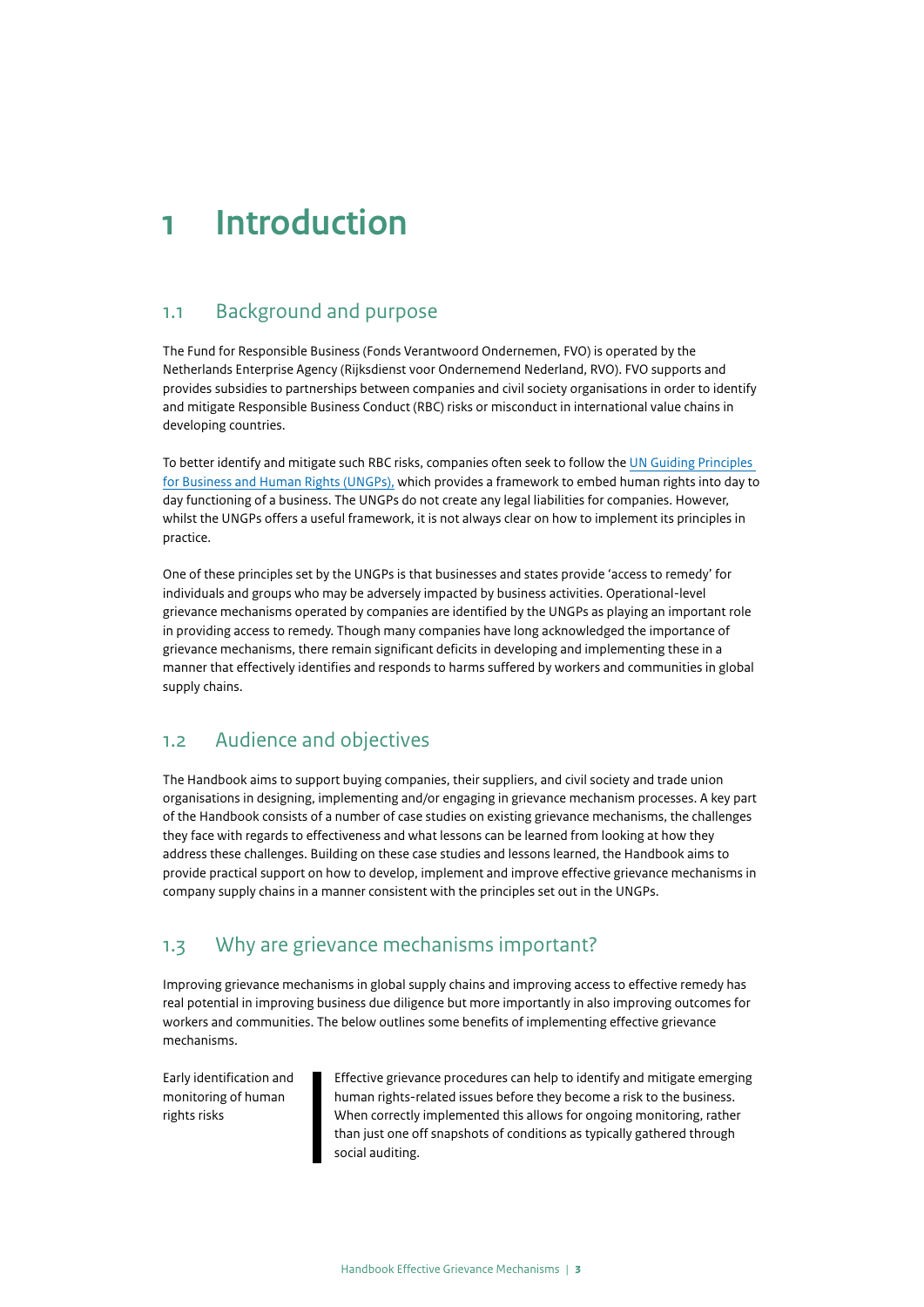# <span id="page-2-0"></span>**1 Introduction**

### 1.1 Background and purpose

The Fund for Responsible Business (Fonds Verantwoord Ondernemen, FVO) is operated by the Netherlands Enterprise Agency (Rijksdienst voor Ondernemend Nederland, RVO). FVO supports and provides subsidies to partnerships between companies and civil society organisations in order to identify and mitigate Responsible Business Conduct (RBC) risks or misconduct in international value chains in developing countries.

To better identify and mitigate such RBC risks, companies often seek to follow the [UN Guiding Principles](https://www.ohchr.org/Documents/Publications/GuidingPrinciplesBusinessHR_EN.pdf)  [for Business and Human Rights \(UNGPs\),](https://www.ohchr.org/Documents/Publications/GuidingPrinciplesBusinessHR_EN.pdf) which provides a framework to embed human rights into day to day functioning of a business. The UNGPs do not create any legal liabilities for companies. However, whilst the UNGPs offers a useful framework, it is not always clear on how to implement its principles in practice.

One of these principles set by the UNGPs is that businesses and states provide 'access to remedy' for individuals and groups who may be adversely impacted by business activities. Operational-level grievance mechanisms operated by companies are identified by the UNGPs as playing an important role in providing access to remedy. Though many companies have long acknowledged the importance of grievance mechanisms, there remain significant deficits in developing and implementing these in a manner that effectively identifies and responds to harms suffered by workers and communities in global supply chains.

## 1.2 Audience and objectives

The Handbook aims to support buying companies, their suppliers, and civil society and trade union organisations in designing, implementing and/or engaging in grievance mechanism processes. A key part of the Handbook consists of a number of case studies on existing grievance mechanisms, the challenges they face with regards to effectiveness and what lessons can be learned from looking at how they address these challenges. Building on these case studies and lessons learned, the Handbook aims to provide practical support on how to develop, implement and improve effective grievance mechanisms in company supply chains in a manner consistent with the principles set out in the UNGPs.

## 1.3 Why are grievance mechanisms important?

Improving grievance mechanisms in global supply chains and improving access to effective remedy has real potential in improving business due diligence but more importantly in also improving outcomes for workers and communities. The below outlines some benefits of implementing effective grievance mechanisms.

Early identification and monitoring of human rights risks

Effective grievance procedures can help to identify and mitigate emerging human rights-related issues before they become a risk to the business. When correctly implemented this allows for ongoing monitoring, rather than just one off snapshots of conditions as typically gathered through social auditing.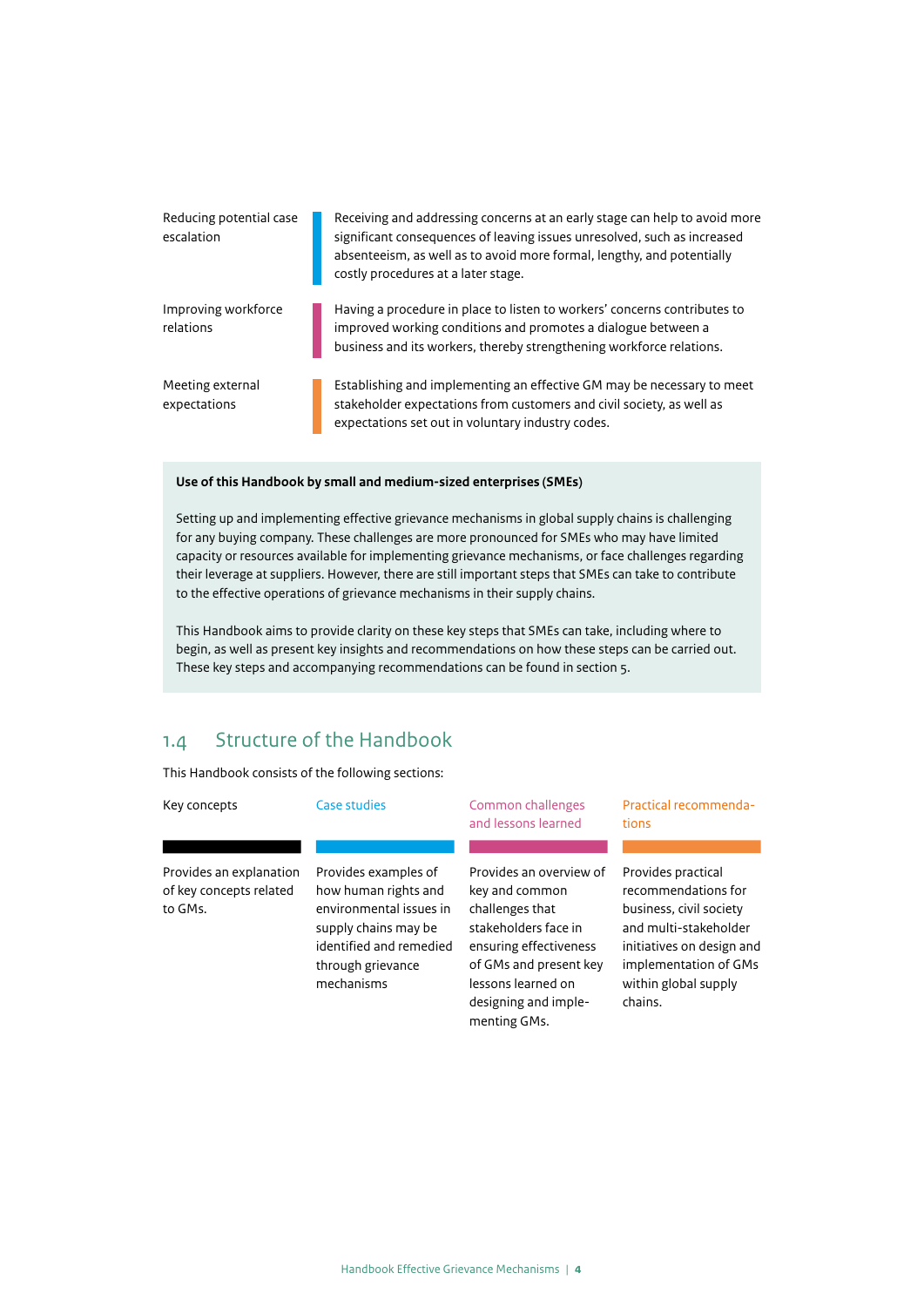<span id="page-3-0"></span>

| Reducing potential case<br>escalation | Receiving and addressing concerns at an early stage can help to avoid more<br>significant consequences of leaving issues unresolved, such as increased<br>absenteeism, as well as to avoid more formal, lengthy, and potentially<br>costly procedures at a later stage. |
|---------------------------------------|-------------------------------------------------------------------------------------------------------------------------------------------------------------------------------------------------------------------------------------------------------------------------|
| Improving workforce<br>relations      | Having a procedure in place to listen to workers' concerns contributes to<br>improved working conditions and promotes a dialogue between a<br>business and its workers, thereby strengthening workforce relations.                                                      |
| Meeting external<br>expectations      | Establishing and implementing an effective GM may be necessary to meet<br>stakeholder expectations from customers and civil society, as well as<br>expectations set out in voluntary industry codes.                                                                    |

### **Use of this Handbook by small and medium-sized enterprises (SMEs)**

Setting up and implementing effective grievance mechanisms in global supply chains is challenging for any buying company. These challenges are more pronounced for SMEs who may have limited capacity or resources available for implementing grievance mechanisms, or face challenges regarding their leverage at suppliers. However, there are still important steps that SMEs can take to contribute to the effective operations of grievance mechanisms in their supply chains.

This Handbook aims to provide clarity on these key steps that SMEs can take, including where to begin, as well as present key insights and recommendations on how these steps can be carried out. These key steps and accompanying recommendations can be found in section 5.

## 1.4 Structure of the Handbook

This Handbook consists of the following sections:

| Key concepts                                                  | Case studies                                                                                                                                                  | Common challenges<br>and lessons learned                                                                                                                       | Practical recommenda-<br>tions                                                                                                                                              |
|---------------------------------------------------------------|---------------------------------------------------------------------------------------------------------------------------------------------------------------|----------------------------------------------------------------------------------------------------------------------------------------------------------------|-----------------------------------------------------------------------------------------------------------------------------------------------------------------------------|
| Provides an explanation<br>of key concepts related<br>to GMs. | Provides examples of<br>how human rights and<br>environmental issues in<br>supply chains may be<br>identified and remedied<br>through grievance<br>mechanisms | Provides an overview of<br>key and common<br>challenges that<br>stakeholders face in<br>ensuring effectiveness<br>of GMs and present key<br>lessons learned on | Provides practical<br>recommendations for<br>business, civil society<br>and multi-stakeholder<br>initiatives on design and<br>implementation of GMs<br>within global supply |

designing and implementing GMs.

chains.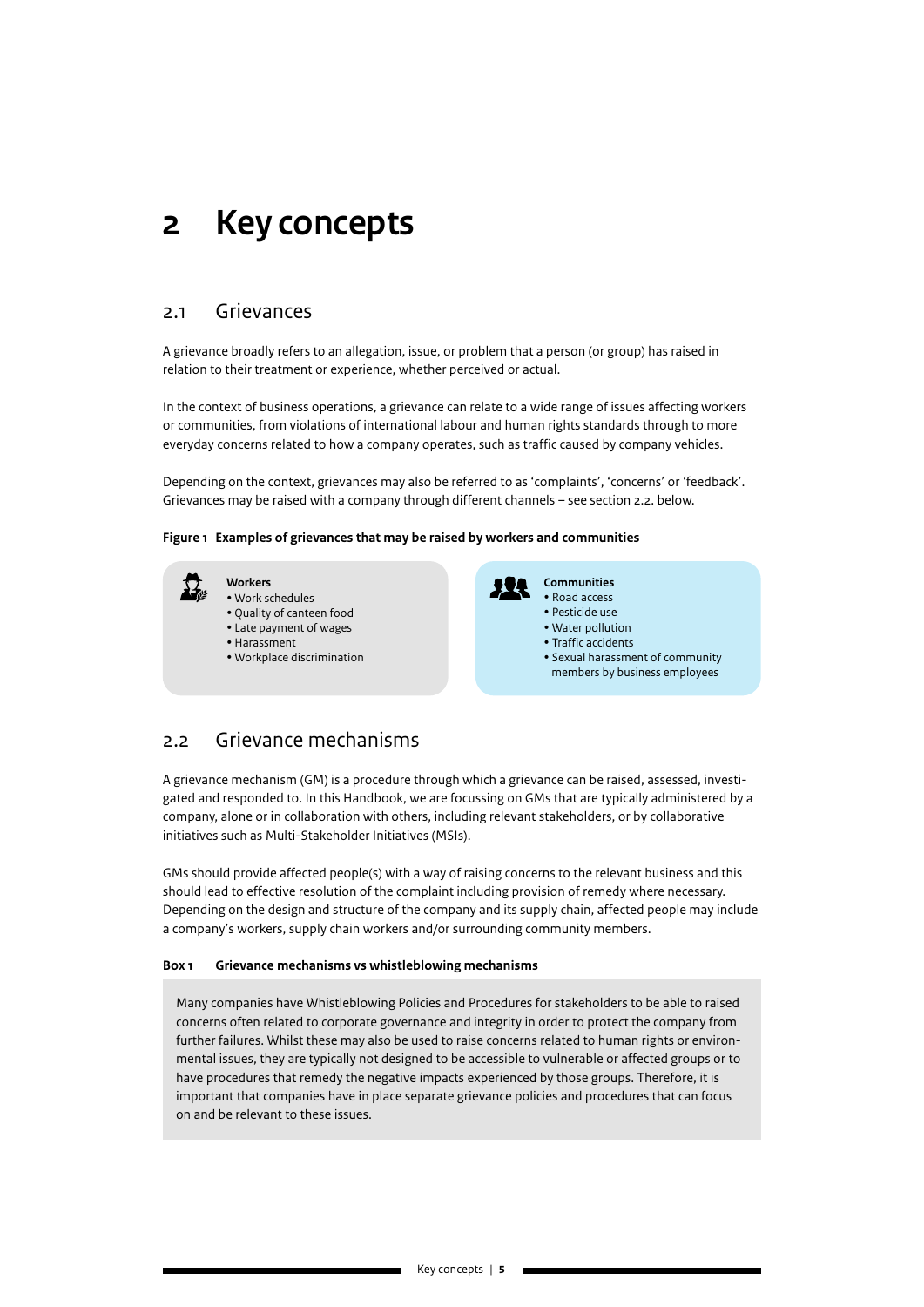## <span id="page-4-0"></span>**2 Key concepts**

### 2.1 Grievances

A grievance broadly refers to an allegation, issue, or problem that a person (or group) has raised in relation to their treatment or experience, whether perceived or actual.

In the context of business operations, a grievance can relate to a wide range of issues affecting workers or communities, from violations of international labour and human rights standards through to more everyday concerns related to how a company operates, such as traffic caused by company vehicles.

Depending on the context, grievances may also be referred to as 'complaints', 'concerns' or 'feedback'. Grievances may be raised with a company through different channels – see section 2.2. below.

#### **Figure 1 Examples of grievances that may be raised by workers and communities**



- Quality of canteen food
- Late payment of wages
- Harassment
- Workplace discrimination



- Road access
- Pesticide use
- Water pollution
- Traffic accidents
- Sexual harassment of community members by business employees

### 2.2 Grievance mechanisms

A grievance mechanism (GM) is a procedure through which a grievance can be raised, assessed, investigated and responded to. In this Handbook, we are focussing on GMs that are typically administered by a company, alone or in collaboration with others, including relevant stakeholders, or by collaborative initiatives such as Multi-Stakeholder Initiatives (MSIs).

GMs should provide affected people(s) with a way of raising concerns to the relevant business and this should lead to effective resolution of the complaint including provision of remedy where necessary. Depending on the design and structure of the company and its supply chain, affected people may include a company's workers, supply chain workers and/or surrounding community members.

#### **Box 1 Grievance mechanisms vs whistleblowing mechanisms**

Many companies have Whistleblowing Policies and Procedures for stakeholders to be able to raised concerns often related to corporate governance and integrity in order to protect the company from further failures. Whilst these may also be used to raise concerns related to human rights or environmental issues, they are typically not designed to be accessible to vulnerable or affected groups or to have procedures that remedy the negative impacts experienced by those groups. Therefore, it is important that companies have in place separate grievance policies and procedures that can focus on and be relevant to these issues.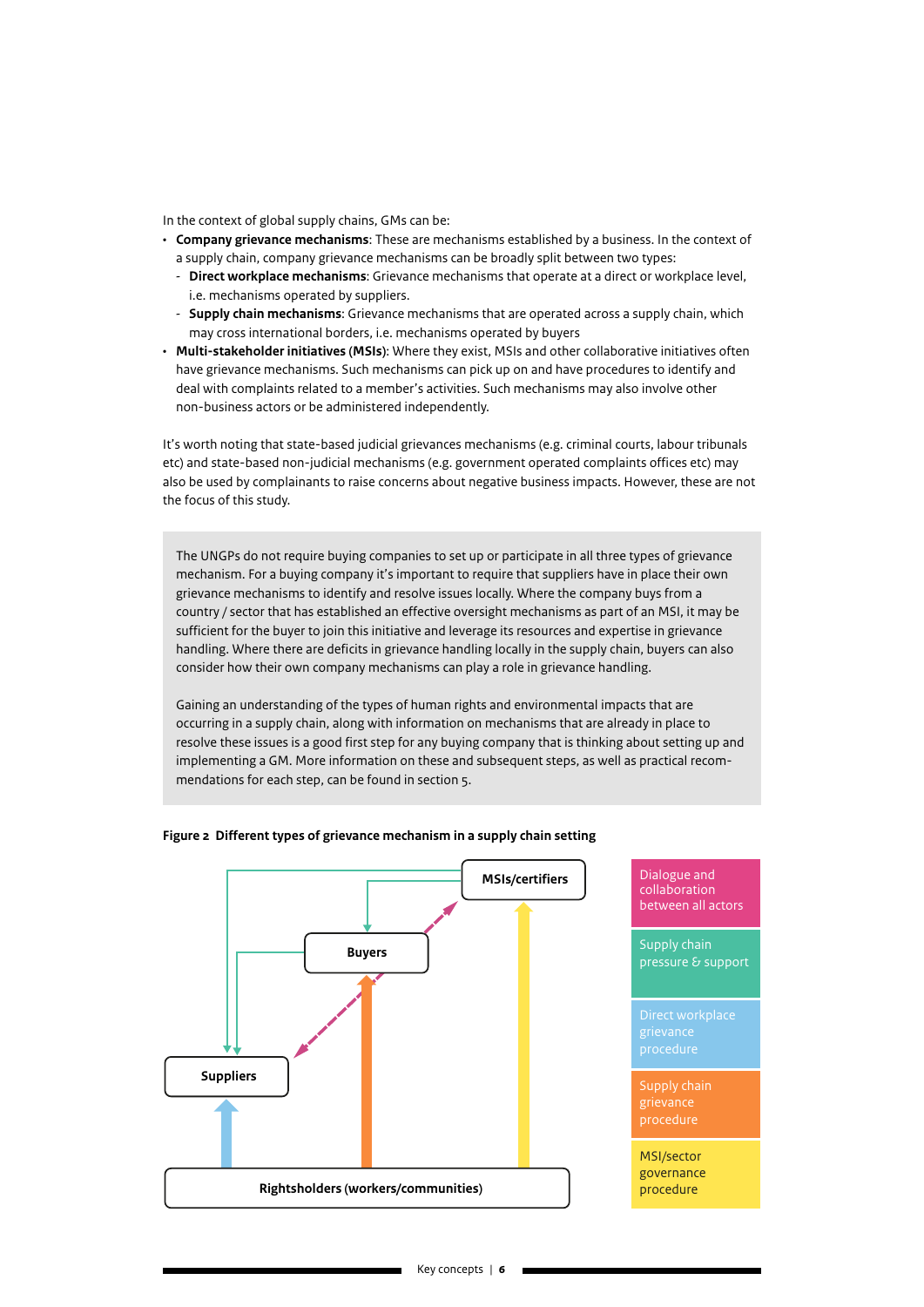In the context of global supply chains, GMs can be:

- **Company grievance mechanisms**: These are mechanisms established by a business. In the context of a supply chain, company grievance mechanisms can be broadly split between two types:
	- **Direct workplace mechanisms**: Grievance mechanisms that operate at a direct or workplace level, i.e. mechanisms operated by suppliers.
	- **Supply chain mechanisms**: Grievance mechanisms that are operated across a supply chain, which may cross international borders, i.e. mechanisms operated by buyers
- **Multi-stakeholder initiatives (MSIs)**: Where they exist, MSIs and other collaborative initiatives often have grievance mechanisms. Such mechanisms can pick up on and have procedures to identify and deal with complaints related to a member's activities. Such mechanisms may also involve other non-business actors or be administered independently.

It's worth noting that state-based judicial grievances mechanisms (e.g. criminal courts, labour tribunals etc) and state-based non-judicial mechanisms (e.g. government operated complaints offices etc) may also be used by complainants to raise concerns about negative business impacts. However, these are not the focus of this study.

The UNGPs do not require buying companies to set up or participate in all three types of grievance mechanism. For a buying company it's important to require that suppliers have in place their own grievance mechanisms to identify and resolve issues locally. Where the company buys from a country / sector that has established an effective oversight mechanisms as part of an MSI, it may be sufficient for the buyer to join this initiative and leverage its resources and expertise in grievance handling. Where there are deficits in grievance handling locally in the supply chain, buyers can also consider how their own company mechanisms can play a role in grievance handling.

Gaining an understanding of the types of human rights and environmental impacts that are occurring in a supply chain, along with information on mechanisms that are already in place to resolve these issues is a good first step for any buying company that is thinking about setting up and implementing a GM. More information on these and subsequent steps, as well as practical recommendations for each step, can be found in section 5.



#### **Figure 2 Different types of grievance mechanism in a supply chain setting**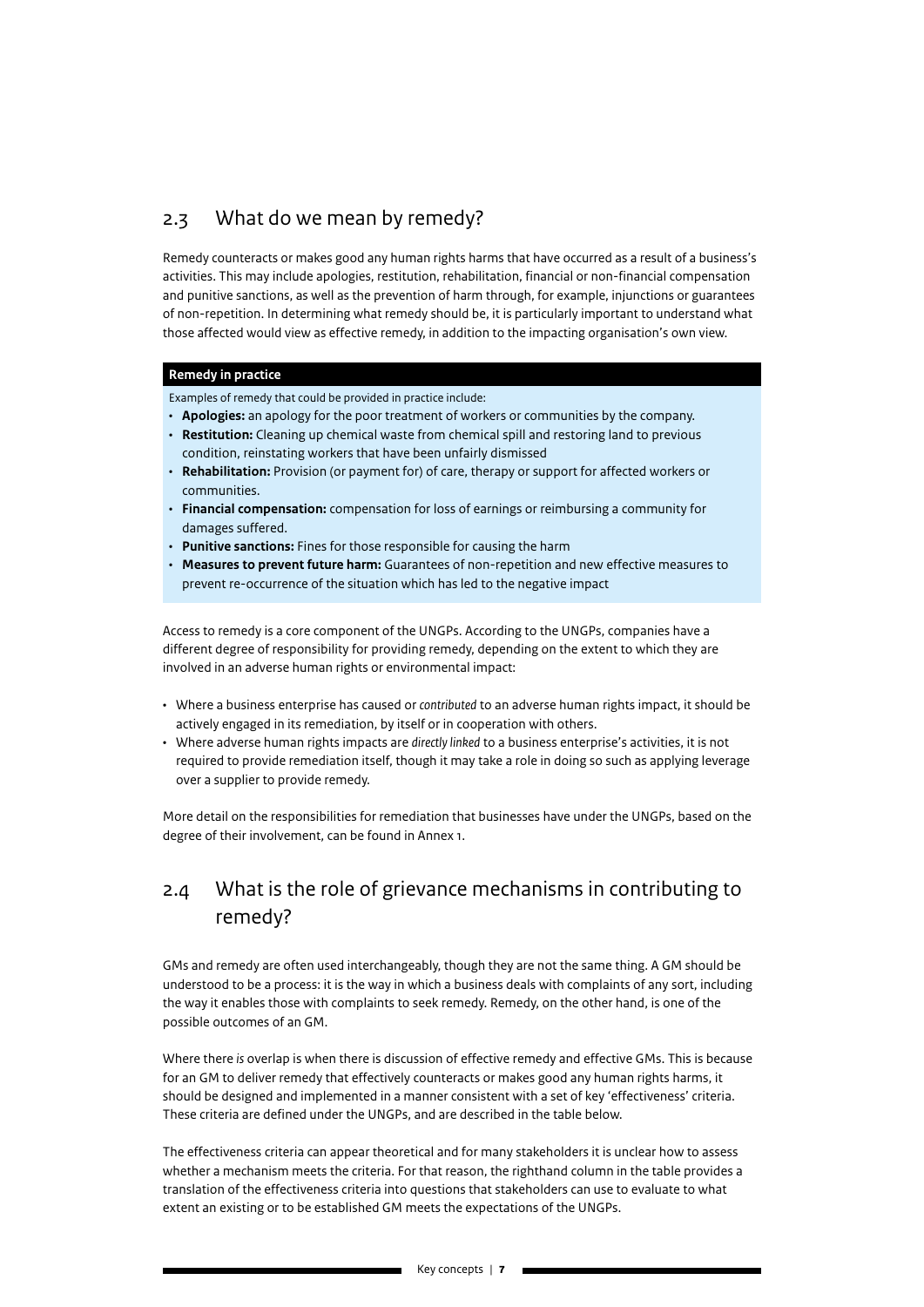## <span id="page-6-0"></span>2.3 What do we mean by remedy?

Remedy counteracts or makes good any human rights harms that have occurred as a result of a business's activities. This may include apologies, restitution, rehabilitation, financial or non-financial compensation and punitive sanctions, as well as the prevention of harm through, for example, injunctions or guarantees of non-repetition. In determining what remedy should be, it is particularly important to understand what those affected would view as effective remedy, in addition to the impacting organisation's own view.

### **Remedy in practice**

Examples of remedy that could be provided in practice include:

- **Apologies:** an apology for the poor treatment of workers or communities by the company.
- **Restitution:** Cleaning up chemical waste from chemical spill and restoring land to previous condition, reinstating workers that have been unfairly dismissed
- **Rehabilitation:** Provision (or payment for) of care, therapy or support for affected workers or communities.
- **Financial compensation:** compensation for loss of earnings or reimbursing a community for damages suffered.
- **Punitive sanctions:** Fines for those responsible for causing the harm
- **Measures to prevent future harm:** Guarantees of non-repetition and new effective measures to prevent re-occurrence of the situation which has led to the negative impact

Access to remedy is a core component of the UNGPs. According to the UNGPs, companies have a different degree of responsibility for providing remedy, depending on the extent to which they are involved in an adverse human rights or environmental impact:

- Where a business enterprise has caused or *contributed* to an adverse human rights impact, it should be actively engaged in its remediation, by itself or in cooperation with others.
- Where adverse human rights impacts are *directly linked* to a business enterprise's activities, it is not required to provide remediation itself, though it may take a role in doing so such as applying leverage over a supplier to provide remedy.

More detail on the responsibilities for remediation that businesses have under the UNGPs, based on the degree of their involvement, can be found in Annex 1.

## 2.4 What is the role of grievance mechanisms in contributing to remedy?

GMs and remedy are often used interchangeably, though they are not the same thing. A GM should be understood to be a process: it is the way in which a business deals with complaints of any sort, including the way it enables those with complaints to seek remedy. Remedy, on the other hand, is one of the possible outcomes of an GM.

Where there *is* overlap is when there is discussion of effective remedy and effective GMs. This is because for an GM to deliver remedy that effectively counteracts or makes good any human rights harms, it should be designed and implemented in a manner consistent with a set of key 'effectiveness' criteria. These criteria are defined under the UNGPs, and are described in the table below.

The effectiveness criteria can appear theoretical and for many stakeholders it is unclear how to assess whether a mechanism meets the criteria. For that reason, the righthand column in the table provides a translation of the effectiveness criteria into questions that stakeholders can use to evaluate to what extent an existing or to be established GM meets the expectations of the UNGPs.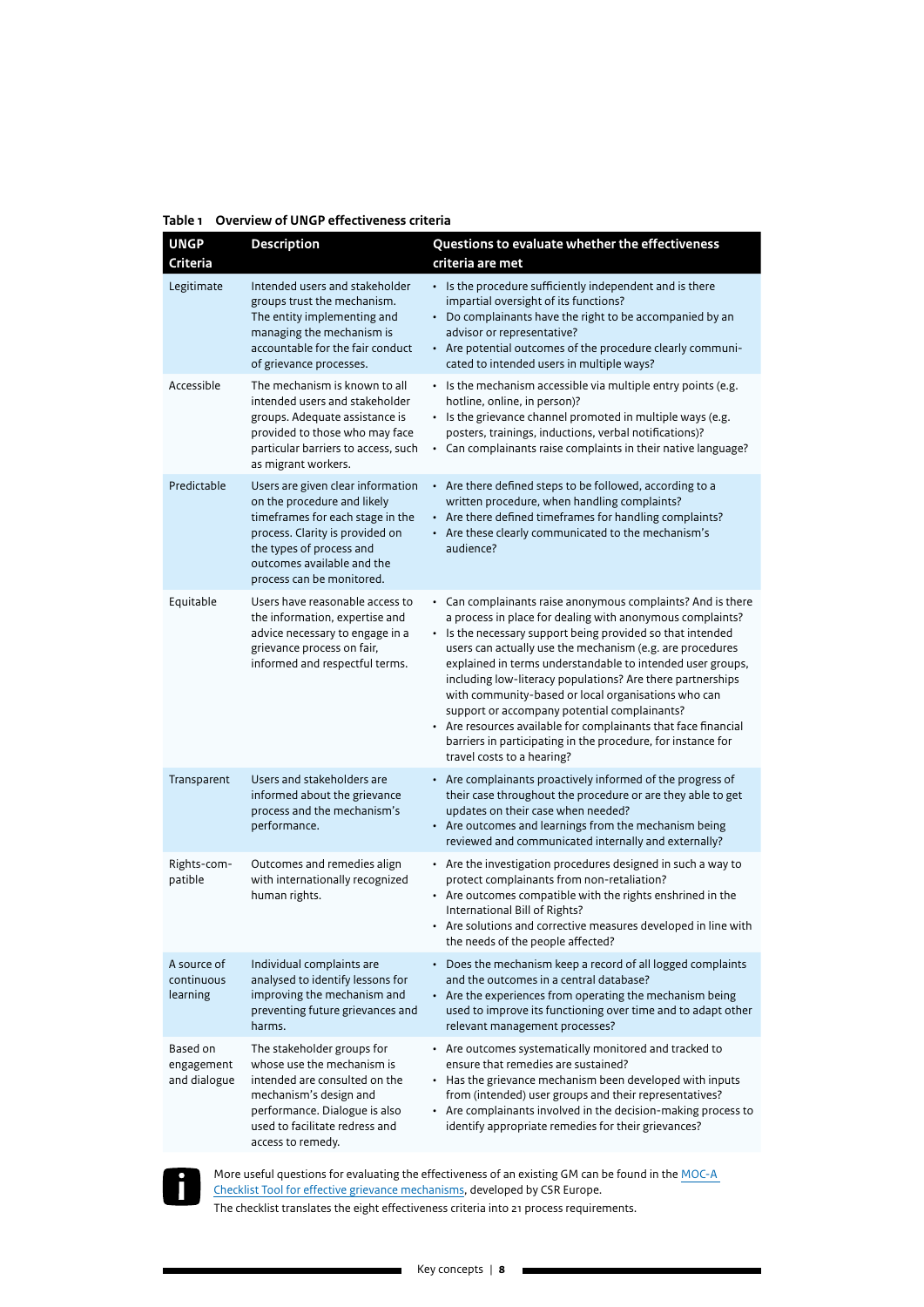|  |  |  | Table 1 Overview of UNGP effectiveness criteria |  |
|--|--|--|-------------------------------------------------|--|
|--|--|--|-------------------------------------------------|--|

| <b>UNGP</b><br><b>Criteria</b>         | <b>Description</b>                                                                                                                                                                                                             | Questions to evaluate whether the effectiveness<br>criteria are met                                                                                                                                                                                                                                                                                                                                                                                                                                                                                                                                                                                    |
|----------------------------------------|--------------------------------------------------------------------------------------------------------------------------------------------------------------------------------------------------------------------------------|--------------------------------------------------------------------------------------------------------------------------------------------------------------------------------------------------------------------------------------------------------------------------------------------------------------------------------------------------------------------------------------------------------------------------------------------------------------------------------------------------------------------------------------------------------------------------------------------------------------------------------------------------------|
| Legitimate                             | Intended users and stakeholder<br>groups trust the mechanism.<br>The entity implementing and<br>managing the mechanism is<br>accountable for the fair conduct<br>of grievance processes.                                       | • Is the procedure sufficiently independent and is there<br>impartial oversight of its functions?<br>• Do complainants have the right to be accompanied by an<br>advisor or representative?<br>• Are potential outcomes of the procedure clearly communi-<br>cated to intended users in multiple ways?                                                                                                                                                                                                                                                                                                                                                 |
| Accessible                             | The mechanism is known to all<br>intended users and stakeholder<br>groups. Adequate assistance is<br>provided to those who may face<br>particular barriers to access, such<br>as migrant workers.                              | • Is the mechanism accessible via multiple entry points (e.g.<br>hotline, online, in person)?<br>· Is the grievance channel promoted in multiple ways (e.g.<br>posters, trainings, inductions, verbal notifications)?<br>• Can complainants raise complaints in their native language?                                                                                                                                                                                                                                                                                                                                                                 |
| Predictable                            | Users are given clear information<br>on the procedure and likely<br>timeframes for each stage in the<br>process. Clarity is provided on<br>the types of process and<br>outcomes available and the<br>process can be monitored. | • Are there defined steps to be followed, according to a<br>written procedure, when handling complaints?<br>• Are there defined timeframes for handling complaints?<br>• Are these clearly communicated to the mechanism's<br>audience?                                                                                                                                                                                                                                                                                                                                                                                                                |
| Equitable                              | Users have reasonable access to<br>the information, expertise and<br>advice necessary to engage in a<br>grievance process on fair,<br>informed and respectful terms.                                                           | • Can complainants raise anonymous complaints? And is there<br>a process in place for dealing with anonymous complaints?<br>• Is the necessary support being provided so that intended<br>users can actually use the mechanism (e.g. are procedures<br>explained in terms understandable to intended user groups,<br>including low-literacy populations? Are there partnerships<br>with community-based or local organisations who can<br>support or accompany potential complainants?<br>• Are resources available for complainants that face financial<br>barriers in participating in the procedure, for instance for<br>travel costs to a hearing? |
| Transparent                            | Users and stakeholders are<br>informed about the grievance<br>process and the mechanism's<br>performance.                                                                                                                      | • Are complainants proactively informed of the progress of<br>their case throughout the procedure or are they able to get<br>updates on their case when needed?<br>• Are outcomes and learnings from the mechanism being<br>reviewed and communicated internally and externally?                                                                                                                                                                                                                                                                                                                                                                       |
| Rights-com-<br>patible                 | Outcomes and remedies align<br>with internationally recognized<br>human rights.                                                                                                                                                | • Are the investigation procedures designed in such a way to<br>protect complainants from non-retaliation?<br>• Are outcomes compatible with the rights enshrined in the<br>International Bill of Rights?<br>• Are solutions and corrective measures developed in line with<br>the needs of the people affected?                                                                                                                                                                                                                                                                                                                                       |
| A source of<br>continuous<br>learning  | Individual complaints are<br>analysed to identify lessons for<br>improving the mechanism and<br>preventing future grievances and<br>harms.                                                                                     | Does the mechanism keep a record of all logged complaints<br>and the outcomes in a central database?<br>• Are the experiences from operating the mechanism being<br>used to improve its functioning over time and to adapt other<br>relevant management processes?                                                                                                                                                                                                                                                                                                                                                                                     |
| Based on<br>engagement<br>and dialogue | The stakeholder groups for<br>whose use the mechanism is<br>intended are consulted on the<br>mechanism's design and<br>performance. Dialogue is also<br>used to facilitate redress and<br>access to remedy.                    | • Are outcomes systematically monitored and tracked to<br>ensure that remedies are sustained?<br>• Has the grievance mechanism been developed with inputs<br>from (intended) user groups and their representatives?<br>• Are complainants involved in the decision-making process to<br>identify appropriate remedies for their grievances?                                                                                                                                                                                                                                                                                                            |



More useful questions for evaluating the effectiveness of an existing GM can be found in the [MOC-A](https://static1.squarespace.com/static/5df776f6866c14507f2df68a/t/5e666810b7c6ef5fcd9bf296/1583769622168/MOC-A+Report.pdf)  [Checklist Tool for effective grievance mechanisms](https://static1.squarespace.com/static/5df776f6866c14507f2df68a/t/5e666810b7c6ef5fcd9bf296/1583769622168/MOC-A+Report.pdf), developed by CSR Europe. The checklist translates the eight effectiveness criteria into 21 process requirements.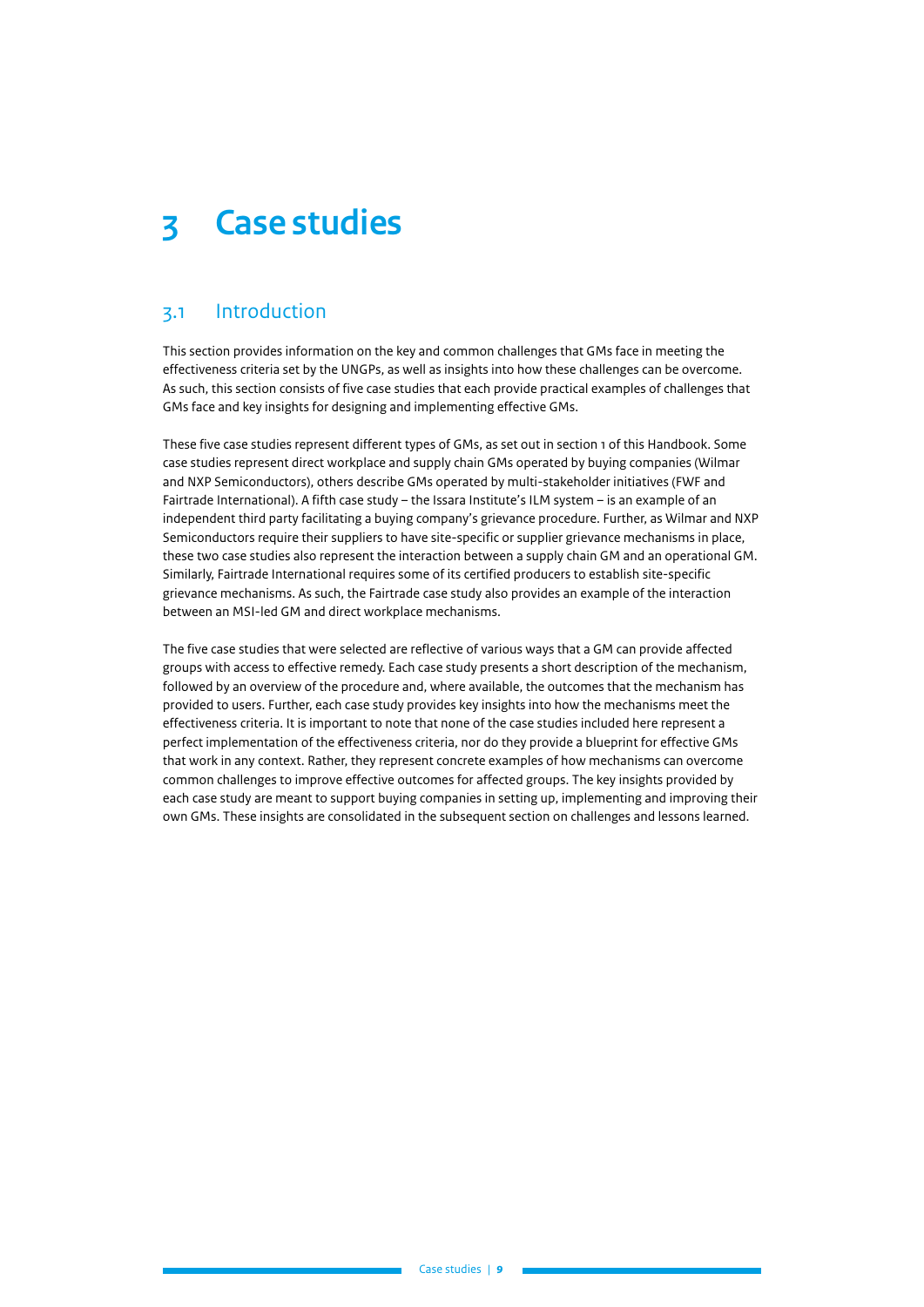# <span id="page-8-0"></span>**3 Case studies**

## 3.1 Introduction

This section provides information on the key and common challenges that GMs face in meeting the effectiveness criteria set by the UNGPs, as well as insights into how these challenges can be overcome. As such, this section consists of five case studies that each provide practical examples of challenges that GMs face and key insights for designing and implementing effective GMs.

These five case studies represent different types of GMs, as set out in section 1 of this Handbook. Some case studies represent direct workplace and supply chain GMs operated by buying companies (Wilmar and NXP Semiconductors), others describe GMs operated by multi-stakeholder initiatives (FWF and Fairtrade International). A fifth case study – the Issara Institute's ILM system – is an example of an independent third party facilitating a buying company's grievance procedure. Further, as Wilmar and NXP Semiconductors require their suppliers to have site-specific or supplier grievance mechanisms in place, these two case studies also represent the interaction between a supply chain GM and an operational GM. Similarly, Fairtrade International requires some of its certified producers to establish site-specific grievance mechanisms. As such, the Fairtrade case study also provides an example of the interaction between an MSI-led GM and direct workplace mechanisms.

The five case studies that were selected are reflective of various ways that a GM can provide affected groups with access to effective remedy. Each case study presents a short description of the mechanism, followed by an overview of the procedure and, where available, the outcomes that the mechanism has provided to users. Further, each case study provides key insights into how the mechanisms meet the effectiveness criteria. It is important to note that none of the case studies included here represent a perfect implementation of the effectiveness criteria, nor do they provide a blueprint for effective GMs that work in any context. Rather, they represent concrete examples of how mechanisms can overcome common challenges to improve effective outcomes for affected groups. The key insights provided by each case study are meant to support buying companies in setting up, implementing and improving their own GMs. These insights are consolidated in the subsequent section on challenges and lessons learned.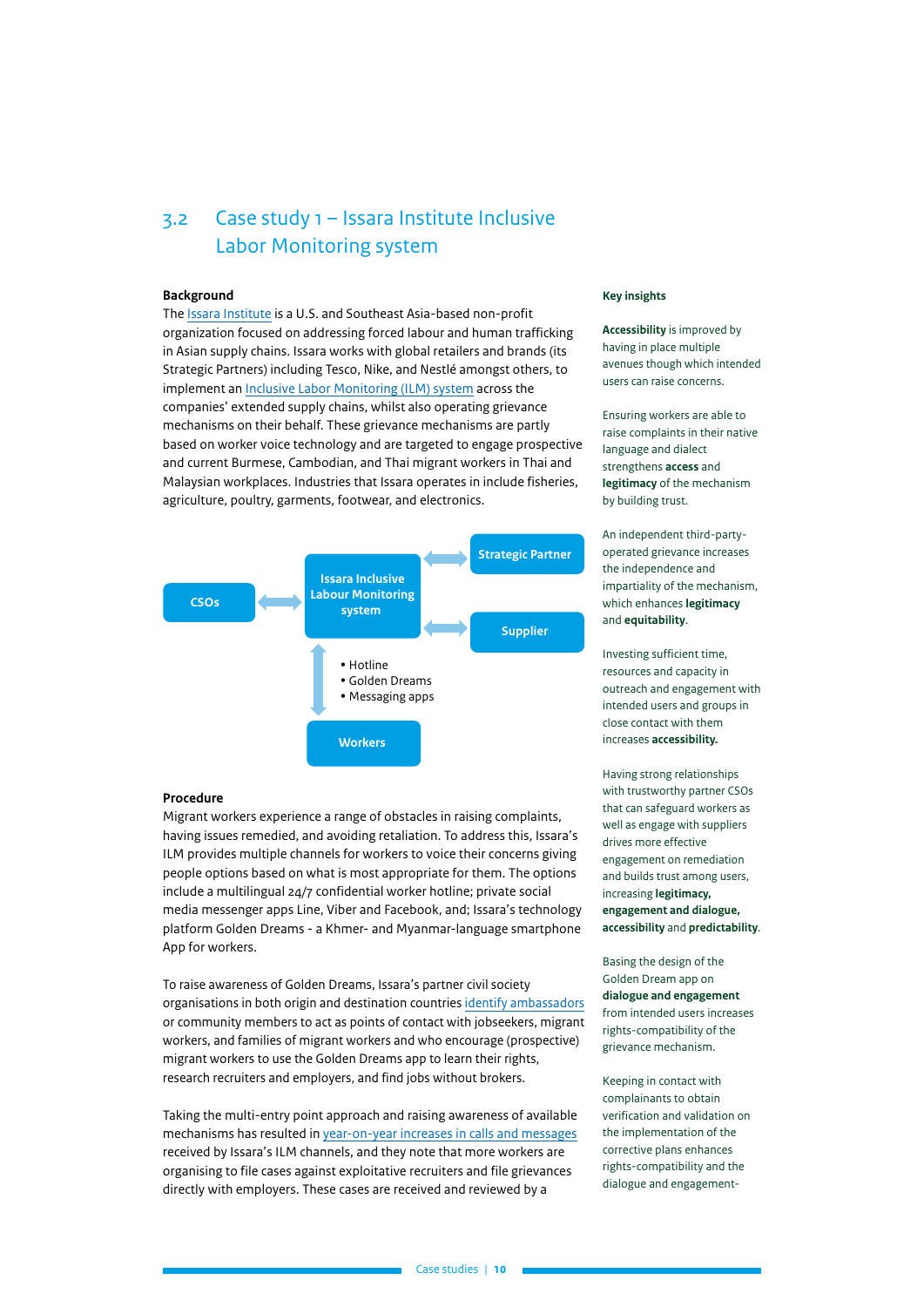## <span id="page-9-0"></span>3.2 Case study 1 – Issara Institute Inclusive Labor Monitoring system

#### **Background**

The [Issara Institute](https://www.issarainstitute.org/) is a U.S. and Southeast Asia-based non-profit organization focused on addressing forced labour and human trafficking in Asian supply chains. Issara works with global retailers and brands (its Strategic Partners) including Tesco, Nike, and Nestlé amongst others, to implement an [Inclusive Labor Monitoring \(ILM\) system](https://www.issarainstitute.org/inclusive-labour-monitoring) across the companies' extended supply chains, whilst also operating grievance mechanisms on their behalf. These grievance mechanisms are partly based on worker voice technology and are targeted to engage prospective and current Burmese, Cambodian, and Thai migrant workers in Thai and Malaysian workplaces. Industries that Issara operates in include fisheries, agriculture, poultry, garments, footwear, and electronics.



#### **Procedure**

Migrant workers experience a range of obstacles in raising complaints, having issues remedied, and avoiding retaliation. To address this, Issara's ILM provides multiple channels for workers to voice their concerns giving people options based on what is most appropriate for them. The options include a multilingual 24/7 confidential worker hotline; private social media messenger apps Line, Viber and Facebook, and; Issara's technology platform Golden Dreams - a Khmer- and Myanmar-language smartphone App for workers.

To raise awareness of Golden Dreams, Issara's partner civil society organisations in both origin and destination countries [identify ambassadors](https://tandemresearch.org/assets/Golden-Dreams-Final-2020-05-15.pdf) or community members to act as points of contact with jobseekers, migrant workers, and families of migrant workers and who encourage (prospective) migrant workers to use the Golden Dreams app to learn their rights, research recruiters and employers, and find jobs without brokers.

Taking the multi-entry point approach and raising awareness of available mechanisms has resulted in [year-on-year increases in calls and messages](https://63971280-8a4a-4f58-b968-3dadecb1cd6f.filesusr.com/ugd/5bf36e_35b9f0fe6fe34af89c47bad8cfd24b9a.pdf) received by Issara's ILM channels, and they note that more workers are organising to file cases against exploitative recruiters and file grievances directly with employers. These cases are received and reviewed by a

#### **Key insights**

**Accessibility** is improved by having in place multiple avenues though which intended users can raise concerns.

Ensuring workers are able to raise complaints in their native language and dialect strengthens **access** and **legitimacy** of the mechanism by building trust.

An independent third-partyoperated grievance increases the independence and impartiality of the mechanism, which enhances **legitimacy** and **equitability**.

Investing sufficient time, resources and capacity in outreach and engagement with intended users and groups in close contact with them increases **accessibility.**

Having strong relationships with trustworthy partner CSOs that can safeguard workers as well as engage with suppliers drives more effective engagement on remediation and builds trust among users, increasing **legitimacy, engagement and dialogue, accessibility** and **predictability**.

Basing the design of the Golden Dream app on **dialogue and engagement** from intended users increases rights-compatibility of the grievance mechanism.

Keeping in contact with complainants to obtain verification and validation on the implementation of the corrective plans enhances rights-compatibility and the dialogue and engagement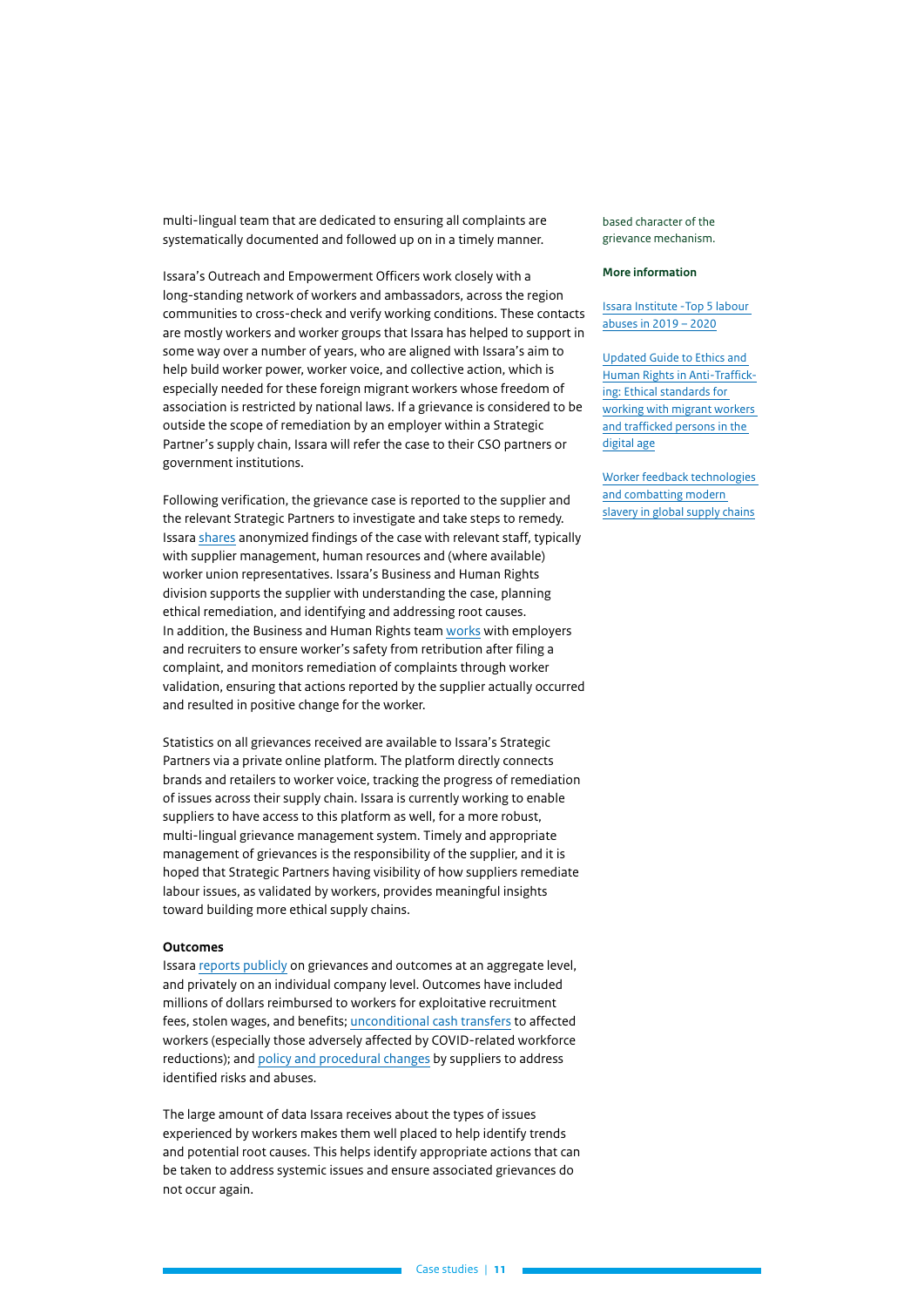multi-lingual team that are dedicated to ensuring all complaints are systematically documented and followed up on in a timely manner.

Issara's Outreach and Empowerment Officers work closely with a long-standing network of workers and ambassadors, across the region communities to cross-check and verify working conditions. These contacts are mostly workers and worker groups that Issara has helped to support in some way over a number of years, who are aligned with Issara's aim to help build worker power, worker voice, and collective action, which is especially needed for these foreign migrant workers whose freedom of association is restricted by national laws. If a grievance is considered to be outside the scope of remediation by an employer within a Strategic Partner's supply chain, Issara will refer the case to their CSO partners or government institutions.

Following verification, the grievance case is reported to the supplier and the relevant Strategic Partners to investigate and take steps to remedy. Issara [shares](https://www.ethicaltrade.org/sites/default/files/shared_resources/ngo_leadership_in_gms_and_remedy_paper._eti_revised_feb_2018.pdf) anonymized findings of the case with relevant staff, typically with supplier management, human resources and (where available) worker union representatives. Issara's Business and Human Rights division supports the supplier with understanding the case, planning ethical remediation, and identifying and addressing root causes. In addition, the Business and Human Rights team [works](https://www.thebritishacademy.ac.uk/documents/944/JBA-7s1-06-Rende-Taylor-Shih.pdf) with employers and recruiters to ensure worker's safety from retribution after filing a complaint, and monitors remediation of complaints through worker validation, ensuring that actions reported by the supplier actually occurred and resulted in positive change for the worker.

Statistics on all grievances received are available to Issara's Strategic Partners via a private online platform. The platform directly connects brands and retailers to worker voice, tracking the progress of remediation of issues across their supply chain. Issara is currently working to enable suppliers to have access to this platform as well, for a more robust, multi-lingual grievance management system. Timely and appropriate management of grievances is the responsibility of the supplier, and it is hoped that Strategic Partners having visibility of how suppliers remediate labour issues, as validated by workers, provides meaningful insights toward building more ethical supply chains.

#### **Outcomes**

Issara [reports publicly](https://63971280-8a4a-4f58-b968-3dadecb1cd6f.filesusr.com/ugd/5bf36e_deea61a692924e83a9c9415943f4bbec.pdf) on grievances and outcomes at an aggregate level, and privately on an individual company level. Outcomes have included millions of dollars reimbursed to workers for exploitative recruitment fees, stolen wages, and benefits; [unconditional cash transfers](https://www.isealalliance.org/sites/default/files/resource/2019-02/Forced_Labour_Remediation_Working_Paper_0.pdf) to affected workers (especially those adversely affected by COVID-related workforce reductions); and [policy and procedural changes](https://63971280-8a4a-4f58-b968-3dadecb1cd6f.filesusr.com/ugd/5bf36e_deea61a692924e83a9c9415943f4bbec.pdf) by suppliers to address identified risks and abuses.

The large amount of data Issara receives about the types of issues experienced by workers makes them well placed to help identify trends and potential root causes. This helps identify appropriate actions that can be taken to address systemic issues and ensure associated grievances do not occur again.

based character of the grievance mechanism.

#### **More information**

[Issara Institute -Top 5 labour](https://63971280-8a4a-4f58-b968-3dadecb1cd6f.filesusr.com/ugd/5bf36e_deea61a692924e83a9c9415943f4bbec.pdf)  [abuses in 2019 – 2020](https://63971280-8a4a-4f58-b968-3dadecb1cd6f.filesusr.com/ugd/5bf36e_deea61a692924e83a9c9415943f4bbec.pdf)

[Updated Guide to Ethics and](https://63971280-8a4a-4f58-b968-3dadecb1cd6f.filesusr.com/ugd/5bf36e_4499578770c143a6b7bfe2d34071ff4b.pdf)  [Human Rights in Anti-Traffick](https://63971280-8a4a-4f58-b968-3dadecb1cd6f.filesusr.com/ugd/5bf36e_4499578770c143a6b7bfe2d34071ff4b.pdf)[ing: Ethical standards for](https://63971280-8a4a-4f58-b968-3dadecb1cd6f.filesusr.com/ugd/5bf36e_4499578770c143a6b7bfe2d34071ff4b.pdf)  [working with migrant workers](https://63971280-8a4a-4f58-b968-3dadecb1cd6f.filesusr.com/ugd/5bf36e_4499578770c143a6b7bfe2d34071ff4b.pdf)  [and trafficked persons in the](https://63971280-8a4a-4f58-b968-3dadecb1cd6f.filesusr.com/ugd/5bf36e_4499578770c143a6b7bfe2d34071ff4b.pdf)  [digital age](https://63971280-8a4a-4f58-b968-3dadecb1cd6f.filesusr.com/ugd/5bf36e_4499578770c143a6b7bfe2d34071ff4b.pdf)

[Worker feedback technologies](https://63971280-8a4a-4f58-b968-3dadecb1cd6f.filesusr.com/ugd/5bf36e_dfb8b0e4a71340a2aff10d169ce359bc.pdf)  [and combatting modern](https://63971280-8a4a-4f58-b968-3dadecb1cd6f.filesusr.com/ugd/5bf36e_dfb8b0e4a71340a2aff10d169ce359bc.pdf)  [slavery in global supply chains](https://63971280-8a4a-4f58-b968-3dadecb1cd6f.filesusr.com/ugd/5bf36e_dfb8b0e4a71340a2aff10d169ce359bc.pdf)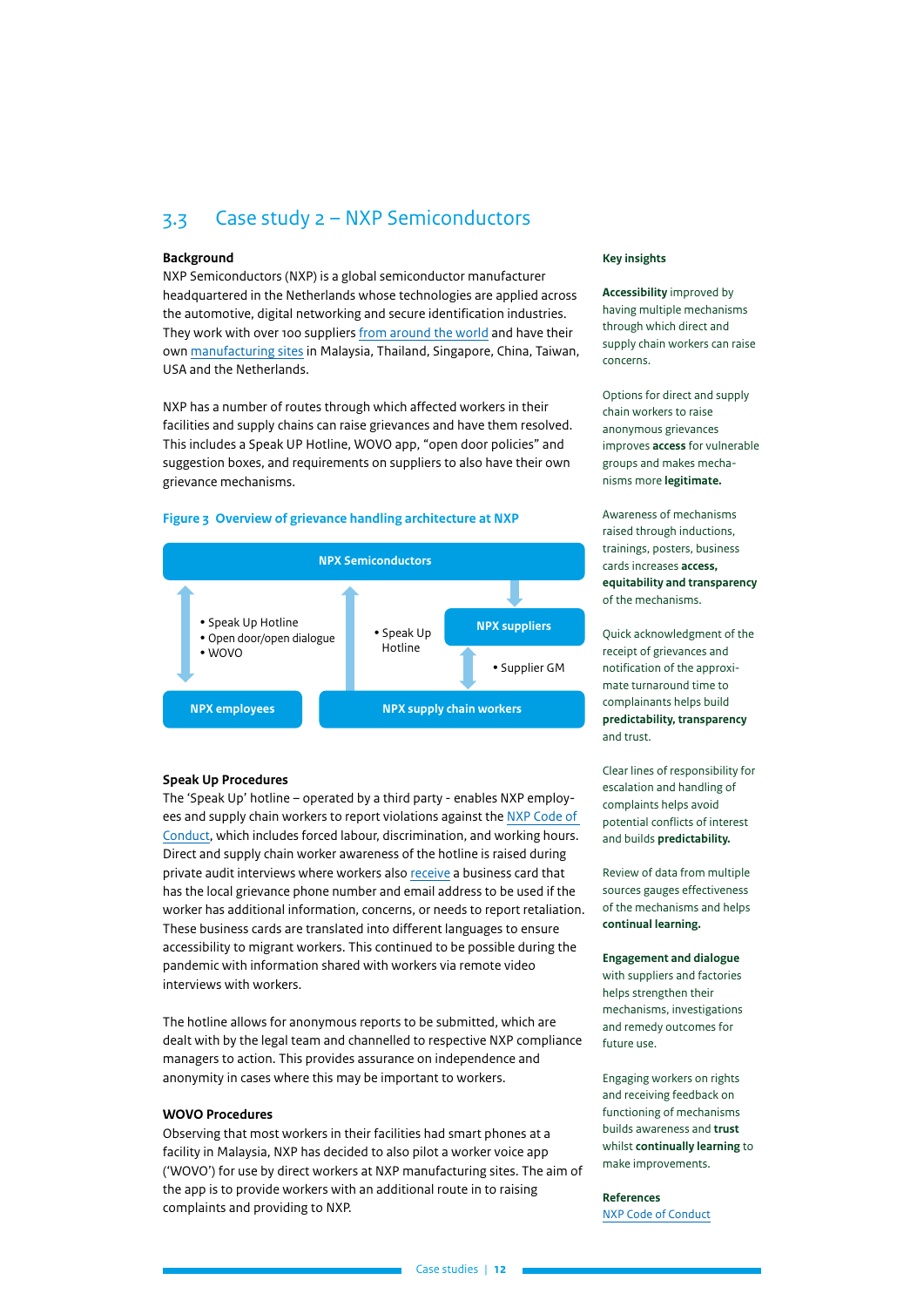## <span id="page-11-0"></span>3.3 Case study 2 – NXP Semiconductors

#### **Background**

NXP Semiconductors (NXP) is a global semiconductor manufacturer headquartered in the Netherlands whose technologies are applied across the automotive, digital networking and secure identification industries. They work with over 100 suppliers [from around the world](https://www.nxp.com/docs/en/supporting-information/2020-SUPPLIER-LIST.pdf) and have their own [manufacturing sites](https://unglobalcompact.org.au/wp-content/uploads/2021/03/4261-UNGC-Grievance-Mechanisms-CASE-STUDY-10-FA.pdf) in Malaysia, Thailand, Singapore, China, Taiwan, USA and the Netherlands.

NXP has a number of routes through which affected workers in their facilities and supply chains can raise grievances and have them resolved. This includes a Speak UP Hotline, WOVO app, "open door policies" and suggestion boxes, and requirements on suppliers to also have their own grievance mechanisms.

#### **Figure 3 Overview of grievance handling architecture at NXP**



#### **Speak Up Procedures**

The 'Speak Up' hotline – operated by a third party - enables NXP employees and supply chain workers to report violations against the [NXP Code of](https://www.nxp.com/docs/en/supporting-information/BUSINESS-CODE-OF-CONDUCT.pdf)  [Conduct](https://www.nxp.com/docs/en/supporting-information/BUSINESS-CODE-OF-CONDUCT.pdf), which includes forced labour, discrimination, and working hours. Direct and supply chain worker awareness of the hotline is raised during private audit interviews where workers also [receive](https://www.nxp.com/docs/en/company-information/NXP-2020-MSA.pdf) a business card that has the local grievance phone number and email address to be used if the worker has additional information, concerns, or needs to report retaliation. These business cards are translated into different languages to ensure accessibility to migrant workers. This continued to be possible during the pandemic with information shared with workers via remote video interviews with workers.

The hotline allows for anonymous reports to be submitted, which are dealt with by the legal team and channelled to respective NXP compliance managers to action. This provides assurance on independence and anonymity in cases where this may be important to workers.

### **WOVO Procedures**

Observing that most workers in their facilities had smart phones at a facility in Malaysia, NXP has decided to also pilot a worker voice app ('WOVO') for use by direct workers at NXP manufacturing sites. The aim of the app is to provide workers with an additional route in to raising complaints and providing to NXP.

#### **Key insights**

**Accessibility** improved by having multiple mechanisms through which direct and supply chain workers can raise concerns.

Options for direct and supply chain workers to raise anonymous grievances improves **access** for vulnerable groups and makes mechanisms more **legitimate.**

Awareness of mechanisms raised through inductions, trainings, posters, business cards increases **access, equitability and transparency**  of the mechanisms.

Quick acknowledgment of the receipt of grievances and notification of the approximate turnaround time to complainants helps build **predictability, transparency** and trust.

Clear lines of responsibility for escalation and handling of complaints helps avoid potential conflicts of interest and builds **predictability.**

Review of data from multiple sources gauges effectiveness of the mechanisms and helps **continual learning.**

**Engagement and dialogue** with suppliers and factories helps strengthen their mechanisms, investigations and remedy outcomes for future use.

Engaging workers on rights and receiving feedback on functioning of mechanisms builds awareness and **trust** whilst **continually learning** to make improvements.

**References** [NXP Code of Conduct](https://www.nxp.com/docs/en/supporting-information/BUSINESS-CODE-OF-CONDUCT.pdf)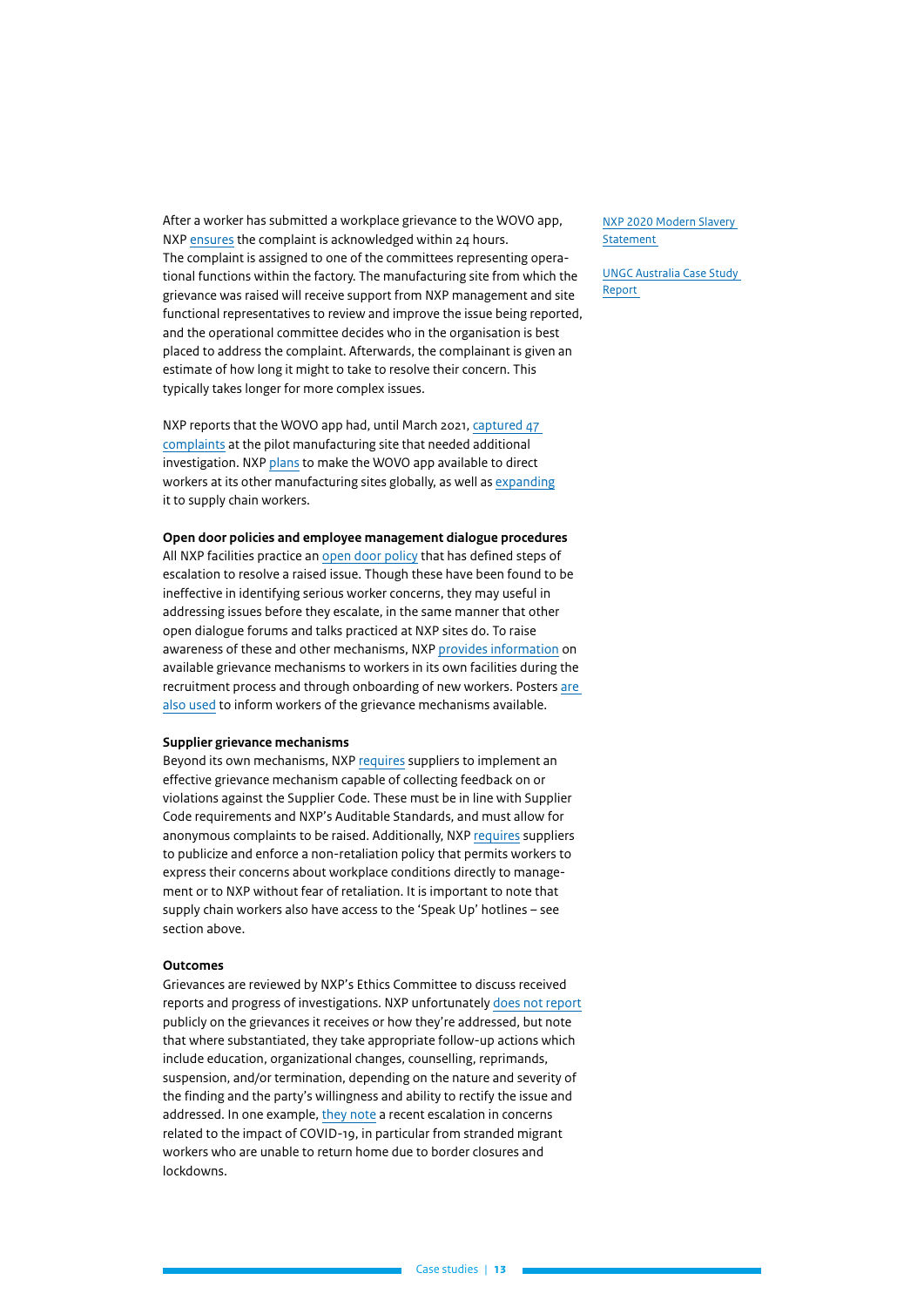After a worker has submitted a workplace grievance to the WOVO app, NXP [ensures](https://unglobalcompact.org.au/wp-content/uploads/2021/03/4261-UNGC-Grievance-Mechanisms-CASE-STUDY-10-FA.pdf) the complaint is acknowledged within 24 hours. The complaint is assigned to one of the committees representing operational functions within the factory. The manufacturing site from which the grievance was raised will receive support from NXP management and site functional representatives to review and improve the issue being reported, and the operational committee decides who in the organisation is best placed to address the complaint. Afterwards, the complainant is given an estimate of how long it might to take to resolve their concern. This typically takes longer for more complex issues.

NXP reports that the WOVO app had, until March 2021, [captured 47](https://unglobalcompact.org.au/wp-content/uploads/2021/03/4261-UNGC-Grievance-Mechanisms-CASE-STUDY-10-FA.pdf)  [complaints](https://unglobalcompact.org.au/wp-content/uploads/2021/03/4261-UNGC-Grievance-Mechanisms-CASE-STUDY-10-FA.pdf) at the pilot manufacturing site that needed additional investigation. NXP [plans](https://www.nxp.com/docs/en/company-information/NXP-2020-MSA.pdf) to make the WOVO app available to direct workers at its other manufacturing sites globally, as well as [expanding](https://unglobalcompact.org.au/wp-content/uploads/2021/03/4261-UNGC-Grievance-Mechanisms-CASE-STUDY-10-FA.pdf) it to supply chain workers.

#### **Open door policies and employee management dialogue procedures**

All NXP facilities practice an [open door policy](https://www.nxp.com/docs/en/company-information/NXP-2019-MSA.pdf) that has defined steps of escalation to resolve a raised issue. Though these have been found to be ineffective in identifying serious worker concerns, they may useful in addressing issues before they escalate, in the same manner that other open dialogue forums and talks practiced at NXP sites do. To raise awareness of these and other mechanisms, NXP [provides information](https://www.nxp.com/docs/en/company-information/NXP-2020-MSA.pdf) on available grievance mechanisms to workers in its own facilities during the recruitment process and through onboarding of new workers. Posters [are](https://unglobalcompact.org.au/wp-content/uploads/2021/03/4261-UNGC-Grievance-Mechanisms-CASE-STUDY-10-FA.pdf)  [also used](https://unglobalcompact.org.au/wp-content/uploads/2021/03/4261-UNGC-Grievance-Mechanisms-CASE-STUDY-10-FA.pdf) to inform workers of the grievance mechanisms available.

#### **Supplier grievance mechanisms**

Beyond its own mechanisms, NXP [requires](https://www.nxp.com/docs/en/supporting-information/NXP-Supplier-Code-of-Conduct-EN.pdf) suppliers to implement an effective grievance mechanism capable of collecting feedback on or violations against the Supplier Code. These must be in line with Supplier Code requirements and NXP's Auditable Standards, and must allow for anonymous complaints to be raised. Additionally, NXP [requires](https://www.nxp.com/docs/en/company-information/NXP-2020-MSA.pdf) suppliers to publicize and enforce a non-retaliation policy that permits workers to express their concerns about workplace conditions directly to management or to NXP without fear of retaliation. It is important to note that supply chain workers also have access to the 'Speak Up' hotlines – see section above.

#### **Outcomes**

Grievances are reviewed by NXP's Ethics Committee to discuss received reports and progress of investigations. NXP unfortunately [does not report](https://assets.worldbenchmarkingalliance.org/app/uploads/2020/11/NXP-Semiconductors-CHRB-scorecard-2020.pdf) publicly on the grievances it receives or how they're addressed, but note that where substantiated, they take appropriate follow-up actions which include education, organizational changes, counselling, reprimands, suspension, and/or termination, depending on the nature and severity of the finding and the party's willingness and ability to rectify the issue and addressed. In one example, [they note](https://www.nxp.com/docs/en/company-information/NXP-2020-MSA.pdf) a recent escalation in concerns related to the impact of COVID-19, in particular from stranded migrant workers who are unable to return home due to border closures and lockdowns.

[NXP 2020 Modern Slavery](https://www.nxp.com/docs/en/company-information/NXP-2020-MSA.pdf)  [Statement](https://www.nxp.com/docs/en/company-information/NXP-2020-MSA.pdf)

[UNGC Australia Case Study](https://unglobalcompact.org.au/wp-content/uploads/2021/03/4261-UNGC-Grievance-Mechanisms-CASE-STUDY-10-FA.pdf)  [Report](https://unglobalcompact.org.au/wp-content/uploads/2021/03/4261-UNGC-Grievance-Mechanisms-CASE-STUDY-10-FA.pdf)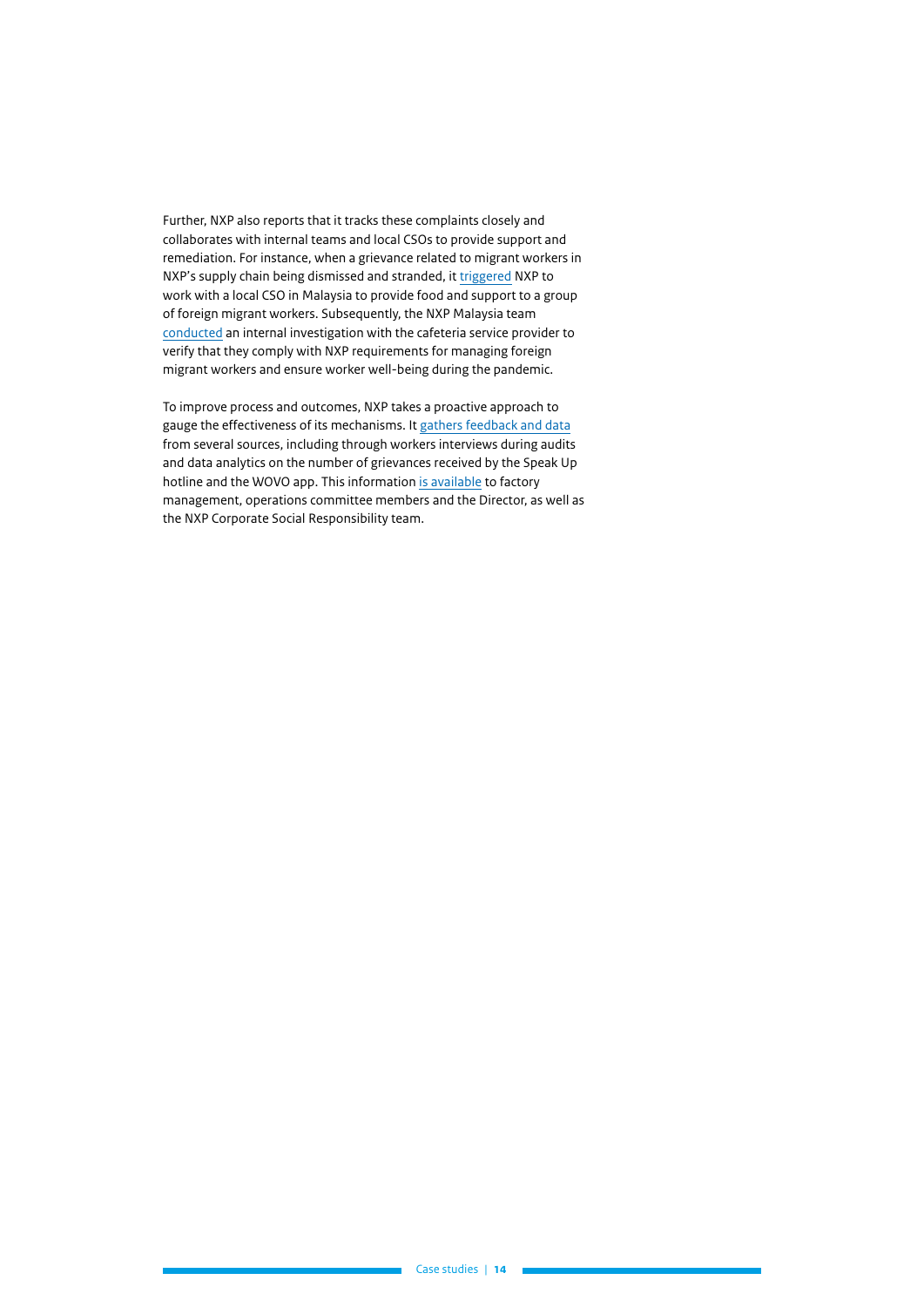Further, NXP also reports that it tracks these complaints closely and collaborates with internal teams and local CSOs to provide support and remediation. For instance, when a grievance related to migrant workers in NXP's supply chain being dismissed and stranded, it [triggered](https://www.nxp.com/docs/en/supporting-information/Human-Rights-Due-Diligence.pdf) NXP to work with a local CSO in Malaysia to provide food and support to a group of foreign migrant workers. Subsequently, the NXP Malaysia team [conducted](https://www.nxp.com/docs/en/company-information/NXP-2020-MSA.pdf) an internal investigation with the cafeteria service provider to verify that they comply with NXP requirements for managing foreign migrant workers and ensure worker well-being during the pandemic.

To improve process and outcomes, NXP takes a proactive approach to gauge the effectiveness of its mechanisms. It [gathers feedback and data](https://unglobalcompact.org.au/wp-content/uploads/2021/03/4261-UNGC-Grievance-Mechanisms-CASE-STUDY-10-FA.pdf) from several sources, including through workers interviews during audits and data analytics on the number of grievances received by the Speak Up hotline and the WOVO app. This information [is available](https://unglobalcompact.org.au/wp-content/uploads/2021/03/4261-UNGC-Grievance-Mechanisms-CASE-STUDY-10-FA.pdf) to factory management, operations committee members and the Director, as well as the NXP Corporate Social Responsibility team.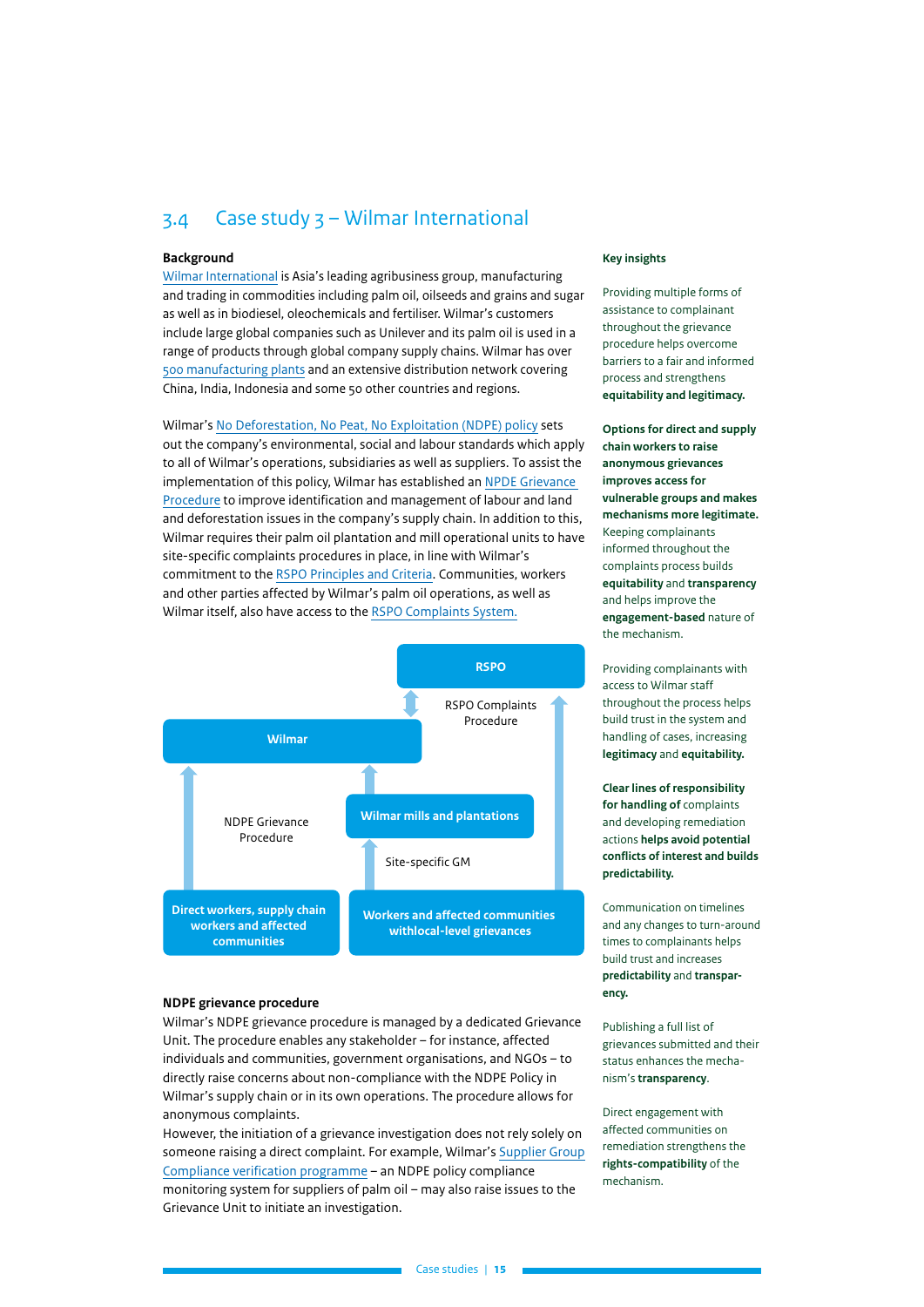## <span id="page-14-0"></span>3.4 Case study 3 – Wilmar International

#### **Background**

[Wilmar Internationa](https://www.wilmar-international.com/about-us/corporate-profile)l is Asia's leading agribusiness group, manufacturing and trading in commodities including palm oil, oilseeds and grains and sugar as well as in biodiesel, oleochemicals and fertiliser. Wilmar's customers include large global companies such as Unilever and its palm oil is used in a range of products through global company supply chains. Wilmar has over [500 manufacturing plants](https://www.wilmar-international.com/about-us/global-presence) and an extensive distribution network covering China, India, Indonesia and some 50 other countries and regions.

Wilmar's [No Deforestation, No Peat, No Exploitation \(NDPE\) policy](https://www.wilmar-international.com/docs/default-source/default-document-library/sustainability/policies/wilmar-ndpe-policy---2019.pdf?sfvrsn=7870af13_2) sets out the company's environmental, social and labour standards which apply to all of Wilmar's operations, subsidiaries as well as suppliers. To assist the implementation of this policy, Wilmar has established an [NPDE Grievance](https://www.wilmar-international.com/docs/default-source/default-document-library/sustainability/grievance/grievance-sop/grievance-procedure_final.pdf)  [Procedure](https://www.wilmar-international.com/docs/default-source/default-document-library/sustainability/grievance/grievance-sop/grievance-procedure_final.pdf) to improve identification and management of labour and land and deforestation issues in the company's supply chain. In addition to this, Wilmar requires their palm oil plantation and mill operational units to have site-specific complaints procedures in place, in line with Wilmar's commitment to the [RSPO Principles and Criteria.](https://www.rspo.org/library/lib_files/download/1079/true) Communities, workers and other parties affected by Wilmar's palm oil operations, as well as Wilmar itself, also have access to the [RSPO Complaints System.](https://askrspo.force.com/Complaint/s/)



#### **NDPE grievance procedure**

Wilmar's NDPE grievance procedure is managed by a dedicated Grievance Unit. The procedure enables any stakeholder – for instance, affected individuals and communities, government organisations, and NGOs – to directly raise concerns about non-compliance with the NDPE Policy in Wilmar's supply chain or in its own operations. The procedure allows for anonymous complaints.

However, the initiation of a grievance investigation does not rely solely on someone raising a direct complaint. For example, Wilmar's [Supplier Group](https://www.wilmar-international.com/sustainability/supply-chain-transformation/supplier-group-compliance-(sgc)) [Compliance verification programme](https://www.wilmar-international.com/sustainability/supply-chain-transformation/supplier-group-compliance-(sgc)) – an NDPE policy compliance monitoring system for suppliers of palm oil – may also raise issues to the Grievance Unit to initiate an investigation.

#### **Key insights**

Providing multiple forms of assistance to complainant throughout the grievance procedure helps overcome barriers to a fair and informed process and strengthens **equitability and legitimacy.**

**Options for direct and supply chain workers to raise anonymous grievances improves access for vulnerable groups and makes mechanisms more legitimate.** Keeping complainants informed throughout the complaints process builds **equitability** and **transparency** and helps improve the **engagement-based** nature of the mechanism.

Providing complainants with access to Wilmar staff throughout the process helps build trust in the system and handling of cases, increasing **legitimacy** and **equitability.**

**Clear lines of responsibility for handling of** complaints and developing remediation actions **helps avoid potential conflicts of interest and builds predictability.**

Communication on timelines and any changes to turn-around times to complainants helps build trust and increases **predictability** and **transparency.**

Publishing a full list of grievances submitted and their status enhances the mechanism's **transparency**.

Direct engagement with affected communities on remediation strengthens the **rights-compatibility** of the mechanism.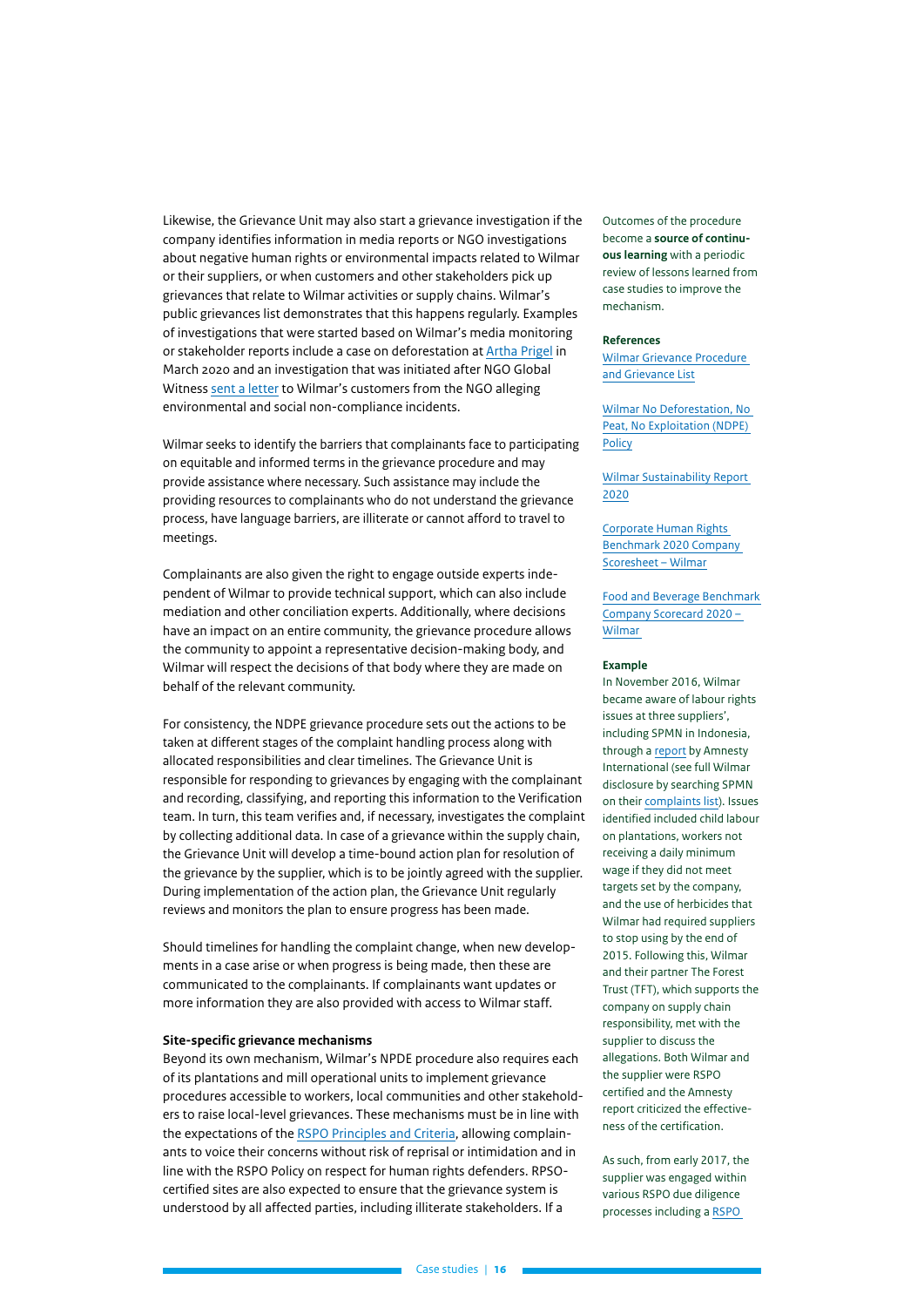Likewise, the Grievance Unit may also start a grievance investigation if the company identifies information in media reports or NGO investigations about negative human rights or environmental impacts related to Wilmar or their suppliers, or when customers and other stakeholders pick up grievances that relate to Wilmar activities or supply chains. Wilmar's public grievances list demonstrates that this happens regularly. Examples of investigations that were started based on Wilmar's media monitoring or stakeholder reports include a case on deforestation at [Artha Prigel](https://www.wilmar-international.com/sustainability/grievance-procedure) in March 2020 and an investigation that was initiated after NGO Global Witness [sent a letter](https://www.globalwitness.org/en/campaigns/forests/true-price-palm-oil/#resource-library) to Wilmar's customers from the NGO alleging environmental and social non-compliance incidents.

Wilmar seeks to identify the barriers that complainants face to participating on equitable and informed terms in the grievance procedure and may provide assistance where necessary. Such assistance may include the providing resources to complainants who do not understand the grievance process, have language barriers, are illiterate or cannot afford to travel to meetings.

Complainants are also given the right to engage outside experts independent of Wilmar to provide technical support, which can also include mediation and other conciliation experts. Additionally, where decisions have an impact on an entire community, the grievance procedure allows the community to appoint a representative decision-making body, and Wilmar will respect the decisions of that body where they are made on behalf of the relevant community.

For consistency, the NDPE grievance procedure sets out the actions to be taken at different stages of the complaint handling process along with allocated responsibilities and clear timelines. The Grievance Unit is responsible for responding to grievances by engaging with the complainant and recording, classifying, and reporting this information to the Verification team. In turn, this team verifies and, if necessary, investigates the complaint by collecting additional data. In case of a grievance within the supply chain, the Grievance Unit will develop a time-bound action plan for resolution of the grievance by the supplier, which is to be jointly agreed with the supplier. During implementation of the action plan, the Grievance Unit regularly reviews and monitors the plan to ensure progress has been made.

Should timelines for handling the complaint change, when new developments in a case arise or when progress is being made, then these are communicated to the complainants. If complainants want updates or more information they are also provided with access to Wilmar staff.

#### **Site-specific grievance mechanisms**

Beyond its own mechanism, Wilmar's NPDE procedure also requires each of its plantations and mill operational units to implement grievance procedures accessible to workers, local communities and other stakeholders to raise local-level grievances. These mechanisms must be in line with the expectations of the [RSPO Principles and Criteria](https://www.rspo.org/library/lib_files/download/1079/true), allowing complainants to voice their concerns without risk of reprisal or intimidation and in line with the RSPO Policy on respect for human rights defenders. RPSOcertified sites are also expected to ensure that the grievance system is understood by all affected parties, including illiterate stakeholders. If a

Outcomes of the procedure become a **source of continuous learning** with a periodic review of lessons learned from case studies to improve the mechanism.

#### **References**

[Wilmar Grievance Procedure](https://www.wilmar-international.com/sustainability/grievance-procedure)  [and Grievance List](https://www.wilmar-international.com/sustainability/grievance-procedure)

[Wilmar No Deforestation, No](https://www.wilmar-international.com/docs/default-source/default-document-library/sustainability/policies/wilmar-ndpe-policy---2019.pdf?sfvrsn=7870af13_2)  [Peat, No Exploitation \(NDPE\)](https://www.wilmar-international.com/docs/default-source/default-document-library/sustainability/policies/wilmar-ndpe-policy---2019.pdf?sfvrsn=7870af13_2)  **[Policy](https://www.wilmar-international.com/docs/default-source/default-document-library/sustainability/policies/wilmar-ndpe-policy---2019.pdf?sfvrsn=7870af13_2)** 

[Wilmar Sustainability Report](https://www.wilmar-international.com/docs/default-source/default-document-library/sustainability/resource/wilmar-sustainability-reports/wilmar-sr2020.pdf)  [2020](https://www.wilmar-international.com/docs/default-source/default-document-library/sustainability/resource/wilmar-sustainability-reports/wilmar-sr2020.pdf)

[Corporate Human Rights](https://assets.worldbenchmarkingalliance.org/app/uploads/2020/11/Wilmar-International-CHRB-scorecard-2020.pdf)  [Benchmark 2020 Company](https://assets.worldbenchmarkingalliance.org/app/uploads/2020/11/Wilmar-International-CHRB-scorecard-2020.pdf)  [Scoresheet – Wilmar](https://assets.worldbenchmarkingalliance.org/app/uploads/2020/11/Wilmar-International-CHRB-scorecard-2020.pdf)

[Food and Beverage Benchmark](https://knowthechain.org/wp-content/uploads/2020_KTC_FB_Scorecard_Wilmar.pdf)  [Company Scorecard 2020 –](https://knowthechain.org/wp-content/uploads/2020_KTC_FB_Scorecard_Wilmar.pdf)  [Wilmar](https://knowthechain.org/wp-content/uploads/2020_KTC_FB_Scorecard_Wilmar.pdf)

#### **Example**

In November 2016, Wilmar became aware of labour rights issues at three suppliers', including SPMN in Indonesia, through a [report](https://www.wilmar-international.com/docs/default-source/default-document-library/sustainability/grievance/asa2151842016english_the-great-palm-oil-scandal.pdf?sfvrsn=d4630ec8_2) by Amnesty International (see full Wilmar disclosure by searching SPMN on their [complaints list](https://www.wilmar-international.com/sustainability/grievance-procedure/)). Issues identified included child labour on plantations, workers not receiving a daily minimum wage if they did not meet targets set by the company, and the use of herbicides that Wilmar had required suppliers to stop using by the end of 2015. Following this, Wilmar and their partner The Forest Trust (TFT), which supports the company on supply chain responsibility, met with the supplier to discuss the allegations. Both Wilmar and the supplier were RSPO certified and the Amnesty report criticized the effectiveness of the certification.

As such, from early 2017, the supplier was engaged within various RSPO due diligence processes including a [RSPO](https://www.rspo.org/uploads/default/pnc/Sarana_Prima_FINAL_REPORT_ASA1_TSH_2017.pdf)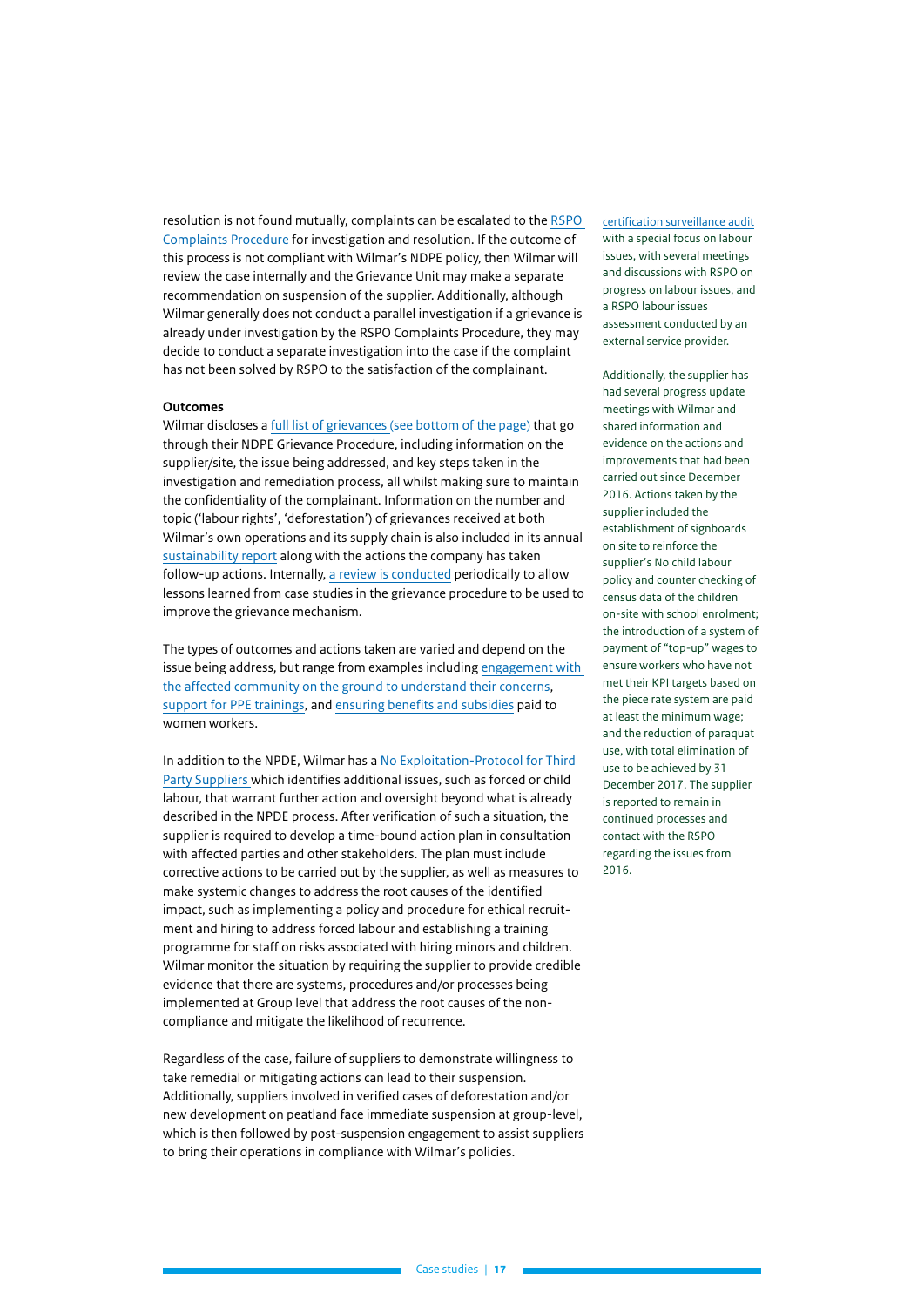resolution is not found mutually, complaints can be escalated to the [RSPO](https://askrspo.force.com/Complaint/s/)  [Complaints Procedure](https://askrspo.force.com/Complaint/s/) for investigation and resolution. If the outcome of this process is not compliant with Wilmar's NDPE policy, then Wilmar will review the case internally and the Grievance Unit may make a separate recommendation on suspension of the supplier. Additionally, although Wilmar generally does not conduct a parallel investigation if a grievance is already under investigation by the RSPO Complaints Procedure, they may decide to conduct a separate investigation into the case if the complaint has not been solved by RSPO to the satisfaction of the complainant.

#### **Outcomes**

Wilmar discloses a [full list of grievances](https://www.wilmar-international.com/sustainability/grievance-procedure) (see bottom of the page) that go through their NDPE Grievance Procedure, including information on the supplier/site, the issue being addressed, and key steps taken in the investigation and remediation process, all whilst making sure to maintain the confidentiality of the complainant. Information on the number and topic ('labour rights', 'deforestation') of grievances received at both Wilmar's own operations and its supply chain is also included in its annual [sustainability report](https://www.wilmar-international.com/docs/default-source/default-document-library/sustainability/resource/wilmar-sustainability-reports/wilmar-sr2020.pdf) along with the actions the company has taken follow-up actions. Internally, [a review is conducted](https://www.wilmar-international.com/docs/default-source/default-document-library/sustainability/grievance/grievance-sop/grievance-procedure_final.pdf?sfvrsn=7670cea2_2) periodically to allow lessons learned from case studies in the grievance procedure to be used to improve the grievance mechanism.

The types of outcomes and actions taken are varied and depend on the issue being address, but range from examples including [engagement with](https://www.wilmar-international.com/docs/default-source/default-document-library/sustainability/resource/wilmar-sustainability-reports/wilmar-sr2020.pdf)  [the affected community on the ground to understand their concerns](https://www.wilmar-international.com/docs/default-source/default-document-library/sustainability/resource/wilmar-sustainability-reports/wilmar-sr2020.pdf), [support for PPE trainings](https://www.wilmar-international.com/docs/default-source/default-document-library/sustainability/wilmar-veritee-programme-update.pdf?sfvrsn=9ad714f2_0), and [ensuring benefits and subsidies](https://assets.worldbenchmarkingalliance.org/app/uploads/2021/06/Wilmar International CHRB 2019 Results on 20190926 at 080441.pdf) paid to women workers.

In addition to the NPDE, Wilmar has a [No Exploitation-Protocol for Third](https://www.wilmar-international.com/docs/default-source/default-document-library/sustainability/policies/wilmar-no-exploitation-protocol.pdf?sfvrsn=e2b8c921_2)  [Party Suppliers w](https://www.wilmar-international.com/docs/default-source/default-document-library/sustainability/policies/wilmar-no-exploitation-protocol.pdf?sfvrsn=e2b8c921_2)hich identifies additional issues, such as forced or child labour, that warrant further action and oversight beyond what is already described in the NPDE process. After verification of such a situation, the supplier is required to develop a time-bound action plan in consultation with affected parties and other stakeholders. The plan must include corrective actions to be carried out by the supplier, as well as measures to make systemic changes to address the root causes of the identified impact, such as implementing a policy and procedure for ethical recruitment and hiring to address forced labour and establishing a training programme for staff on risks associated with hiring minors and children. Wilmar monitor the situation by requiring the supplier to provide credible evidence that there are systems, procedures and/or processes being implemented at Group level that address the root causes of the noncompliance and mitigate the likelihood of recurrence.

Regardless of the case, failure of suppliers to demonstrate willingness to take remedial or mitigating actions can lead to their suspension. Additionally, suppliers involved in verified cases of deforestation and/or new development on peatland face immediate suspension at group-level, which is then followed by post-suspension engagement to assist suppliers to bring their operations in compliance with Wilmar's policies.

[certification surveillance audit](https://www.rspo.org/uploads/default/pnc/Sarana_Prima_FINAL_REPORT_ASA1_TSH_2017.pdf) with a special focus on labour issues, with several meetings and discussions with RSPO on progress on labour issues, and a RSPO labour issues assessment conducted by an external service provider.

Additionally, the supplier has had several progress update meetings with Wilmar and shared information and evidence on the actions and improvements that had been carried out since December 2016. Actions taken by the supplier included the establishment of signboards on site to reinforce the supplier's No child labour policy and counter checking of census data of the children on-site with school enrolment; the introduction of a system of payment of "top-up" wages to ensure workers who have not met their KPI targets based on the piece rate system are paid at least the minimum wage; and the reduction of paraquat use, with total elimination of use to be achieved by 31 December 2017. The supplier is reported to remain in continued processes and contact with the RSPO regarding the issues from 2016.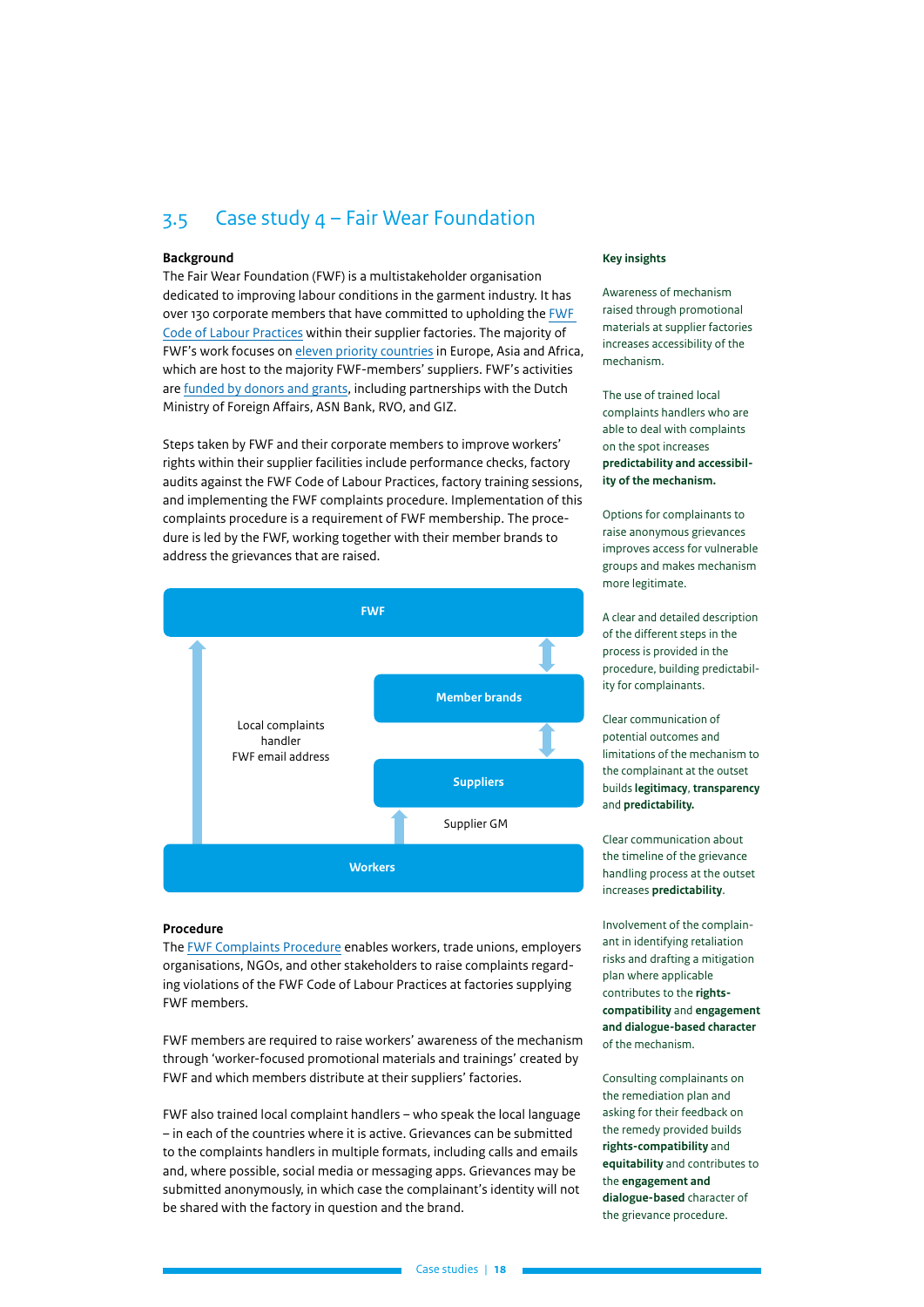## <span id="page-17-0"></span>3.5 Case study 4 – Fair Wear Foundation

#### **Background**

The Fair Wear Foundation (FWF) is a multistakeholder organisation dedicated to improving labour conditions in the garment industry. It has over 130 corporate members that have committed to upholding the [FWF](https://www.fairwear.org/about-us/labour-standards)  [Code of Labour Practices](https://www.fairwear.org/about-us/labour-standards) within their supplier factories. The majority of FWF's work focuses on [eleven priority countries](https://www.fairwear.org/programmes/countries) in Europe, Asia and Africa, which are host to the majority FWF-members' suppliers. FWF's activities are [funded by donors and grants](https://api.fairwear.org/wp-content/uploads/2021/06/Annual-Report-2020.pdf), including partnerships with the Dutch Ministry of Foreign Affairs, ASN Bank, RVO, and GIZ.

Steps taken by FWF and their corporate members to improve workers' rights within their supplier facilities include performance checks, factory audits against the FWF Code of Labour Practices, factory training sessions, and implementing the FWF complaints procedure. Implementation of this complaints procedure is a requirement of FWF membership. The procedure is led by the FWF, working together with their member brands to address the grievances that are raised.



#### **Procedure**

The [FWF Complaints Procedure](https://api.fairwear.org/wp-content/uploads/2020/09/Fair-Wear-Complaints-procedure-V2.0.pdf) enables workers, trade unions, employers organisations, NGOs, and other stakeholders to raise complaints regarding violations of the FWF Code of Labour Practices at factories supplying FWF members.

FWF members are required to raise workers' awareness of the mechanism through 'worker-focused promotional materials and trainings' created by FWF and which members distribute at their suppliers' factories.

FWF also trained local complaint handlers – who speak the local language – in each of the countries where it is active. Grievances can be submitted to the complaints handlers in multiple formats, including calls and emails and, where possible, social media or messaging apps. Grievances may be submitted anonymously, in which case the complainant's identity will not be shared with the factory in question and the brand.

#### **Key insights**

Awareness of mechanism raised through promotional materials at supplier factories increases accessibility of the mechanism.

The use of trained local complaints handlers who are able to deal with complaints on the spot increases **predictability and accessibility of the mechanism.**

Options for complainants to raise anonymous grievances improves access for vulnerable groups and makes mechanism more legitimate.

A clear and detailed description of the different steps in the process is provided in the procedure, building predictability for complainants.

Clear communication of potential outcomes and limitations of the mechanism to the complainant at the outset builds **legitimacy**, **transparency** and **predictability.**

Clear communication about the timeline of the grievance handling process at the outset increases **predictability**.

Involvement of the complainant in identifying retaliation risks and drafting a mitigation plan where applicable contributes to the **rightscompatibility** and **engagement and dialogue-based character** of the mechanism.

Consulting complainants on the remediation plan and asking for their feedback on the remedy provided builds **rights-compatibility** and **equitability** and contributes to the **engagement and dialogue-based** character of the grievance procedure.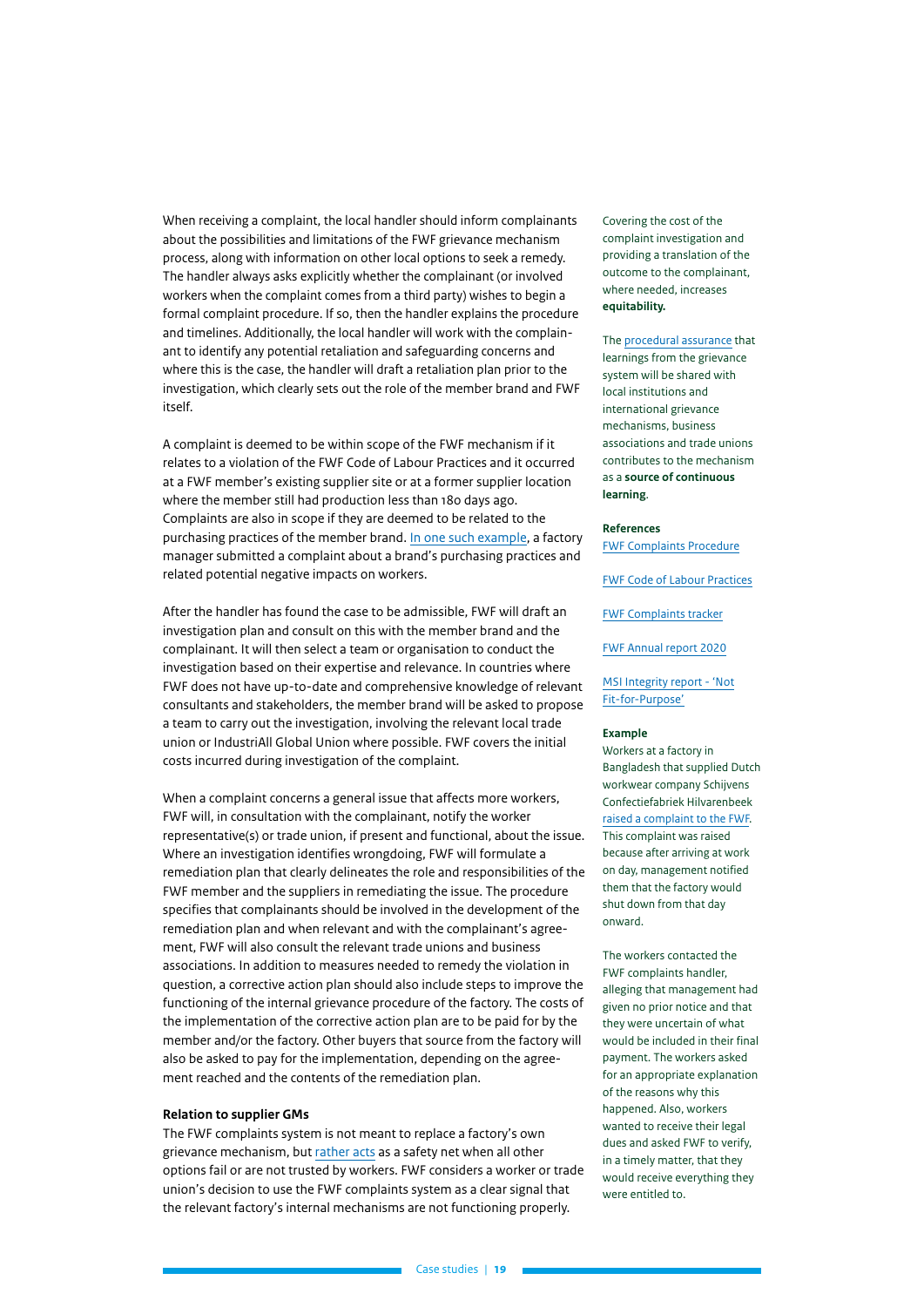When receiving a complaint, the local handler should inform complainants about the possibilities and limitations of the FWF grievance mechanism process, along with information on other local options to seek a remedy. The handler always asks explicitly whether the complainant (or involved workers when the complaint comes from a third party) wishes to begin a formal complaint procedure. If so, then the handler explains the procedure and timelines. Additionally, the local handler will work with the complainant to identify any potential retaliation and safeguarding concerns and where this is the case, the handler will draft a retaliation plan prior to the investigation, which clearly sets out the role of the member brand and FWF itself.

A complaint is deemed to be within scope of the FWF mechanism if it relates to a violation of the FWF Code of Labour Practices and it occurred at a FWF member's existing supplier site or at a former supplier location where the member still had production less than 180 days ago. Complaints are also in scope if they are deemed to be related to the purchasing practices of the member brand. [In one such example](https://fairwear.force.com/public/s/complaints#!complaint-863-expresso-fashion-b.v.), a factory manager submitted a complaint about a brand's purchasing practices and related potential negative impacts on workers.

After the handler has found the case to be admissible, FWF will draft an investigation plan and consult on this with the member brand and the complainant. It will then select a team or organisation to conduct the investigation based on their expertise and relevance. In countries where FWF does not have up-to-date and comprehensive knowledge of relevant consultants and stakeholders, the member brand will be asked to propose a team to carry out the investigation, involving the relevant local trade union or IndustriAll Global Union where possible. FWF covers the initial costs incurred during investigation of the complaint.

When a complaint concerns a general issue that affects more workers, FWF will, in consultation with the complainant, notify the worker representative(s) or trade union, if present and functional, about the issue. Where an investigation identifies wrongdoing, FWF will formulate a remediation plan that clearly delineates the role and responsibilities of the FWF member and the suppliers in remediating the issue. The procedure specifies that complainants should be involved in the development of the remediation plan and when relevant and with the complainant's agreement, FWF will also consult the relevant trade unions and business associations. In addition to measures needed to remedy the violation in question, a corrective action plan should also include steps to improve the functioning of the internal grievance procedure of the factory. The costs of the implementation of the corrective action plan are to be paid for by the member and/or the factory. Other buyers that source from the factory will also be asked to pay for the implementation, depending on the agreement reached and the contents of the remediation plan.

#### **Relation to supplier GMs**

The FWF complaints system is not meant to replace a factory's own grievance mechanism, but [rather acts](https://www.fairwear.org/programmes/complaints) as a safety net when all other options fail or are not trusted by workers. FWF considers a worker or trade union's decision to use the FWF complaints system as a clear signal that the relevant factory's internal mechanisms are not functioning properly.

Covering the cost of the complaint investigation and providing a translation of the outcome to the complainant, where needed, increases **equitability.**

The [procedural assurance](https://api.fairwear.org/wp-content/uploads/2020/09/Fair-Wear-Complaints-procedure-V2.0.pdf) that learnings from the grievance system will be shared with local institutions and international grievance mechanisms, business associations and trade unions contributes to the mechanism as a **source of continuous learning**.

#### **References**

[FWF Complaints Procedure](https://api.fairwear.org/wp-content/uploads/2020/09/Fair-Wear-Complaints-procedure-V2.0.pdf)

[FWF Code of Labour Practices](https://www.fairwear.org/about-us/labour-standards)

[FWF Complaints tracker](https://fairwear.force.com/public/s/complaints)

[FWF Annual report 2020](https://api.fairwear.org/wp-content/uploads/2021/06/Annual-Report-2020.pdf)

#### [MSI Integrity report - 'Not](https://www.msi-integrity.org/wp-content/uploads/2020/07/MSI_Not_Fit_For_Purpose_FORWEBSITE.FINAL_.pdf) [Fit-for-Purpose'](https://www.msi-integrity.org/wp-content/uploads/2020/07/MSI_Not_Fit_For_Purpose_FORWEBSITE.FINAL_.pdf)

#### **Example**

Workers at a factory in Bangladesh that supplied Dutch workwear company Schijvens Confectiefabriek Hilvarenbeek [raised a complaint to the FWF.](https://fairwear.force.com/public/s/complaints#!complaint-904-schijvens-confectiefabriek-hilvarenbeek-b.v.-the-cotton-group-s.a.-(b&c)) This complaint was raised because after arriving at work on day, management notified them that the factory would shut down from that day onward.

The workers contacted the FWF complaints handler, alleging that management had given no prior notice and that they were uncertain of what would be included in their final payment. The workers asked for an appropriate explanation of the reasons why this happened. Also, workers wanted to receive their legal dues and asked FWF to verify, in a timely matter, that they would receive everything they were entitled to.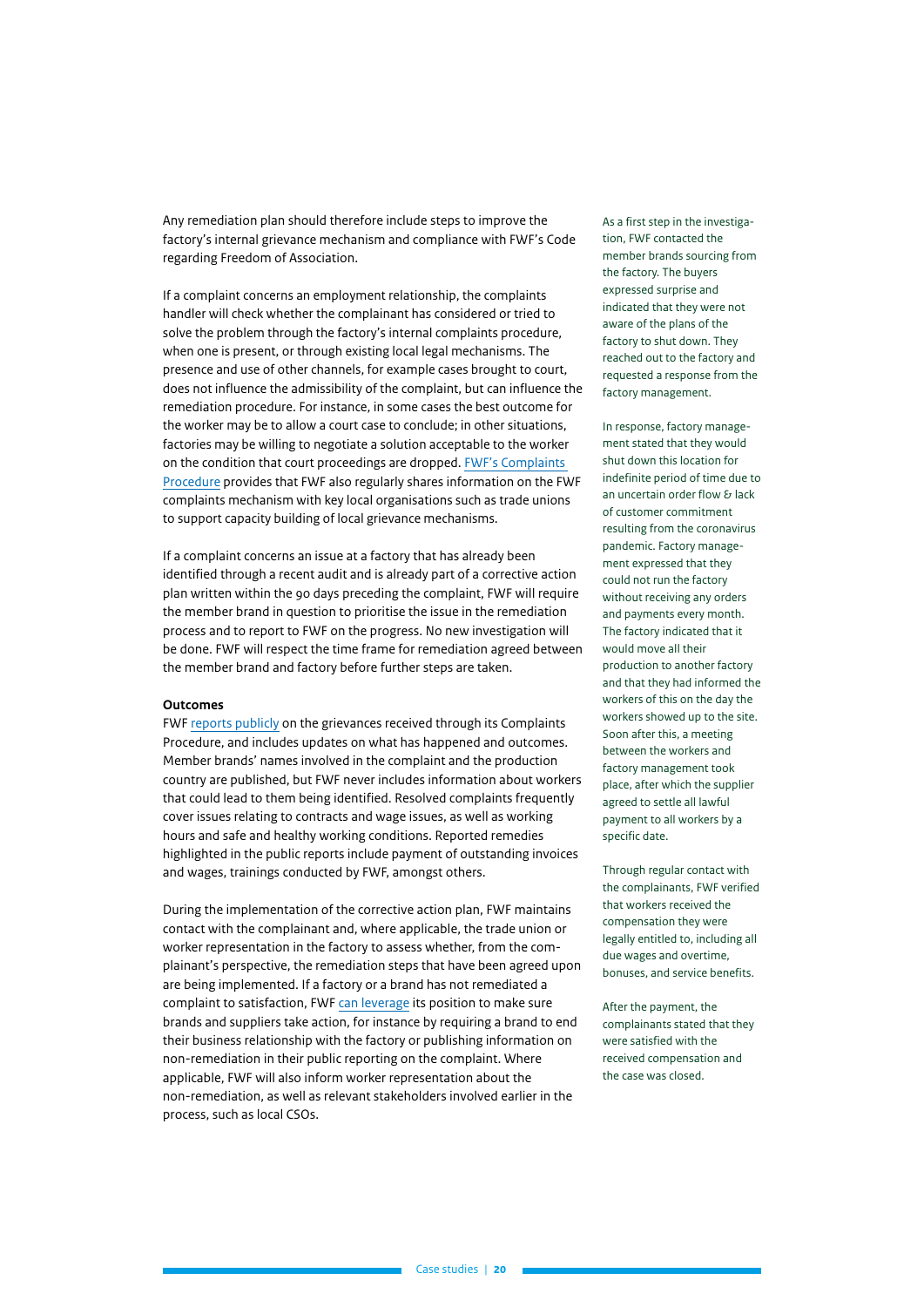Any remediation plan should therefore include steps to improve the factory's internal grievance mechanism and compliance with FWF's Code regarding Freedom of Association.

If a complaint concerns an employment relationship, the complaints handler will check whether the complainant has considered or tried to solve the problem through the factory's internal complaints procedure, when one is present, or through existing local legal mechanisms. The presence and use of other channels, for example cases brought to court, does not influence the admissibility of the complaint, but can influence the remediation procedure. For instance, in some cases the best outcome for the worker may be to allow a court case to conclude; in other situations, factories may be willing to negotiate a solution acceptable to the worker on the condition that court proceedings are dropped. [FWF's Complaints](https://api.fairwear.org/wp-content/uploads/2020/09/Fair-Wear-Complaints-procedure-V2.0.pdf)  [Procedure](https://api.fairwear.org/wp-content/uploads/2020/09/Fair-Wear-Complaints-procedure-V2.0.pdf) provides that FWF also regularly shares information on the FWF complaints mechanism with key local organisations such as trade unions to support capacity building of local grievance mechanisms.

If a complaint concerns an issue at a factory that has already been identified through a recent audit and is already part of a corrective action plan written within the 90 days preceding the complaint, FWF will require the member brand in question to prioritise the issue in the remediation process and to report to FWF on the progress. No new investigation will be done. FWF will respect the time frame for remediation agreed between the member brand and factory before further steps are taken.

#### **Outcomes**

FWF [reports publicly](https://fairwear.force.com/public/s/complaints) on the grievances received through its Complaints Procedure, and includes updates on what has happened and outcomes. Member brands' names involved in the complaint and the production country are published, but FWF never includes information about workers that could lead to them being identified. Resolved complaints frequently cover issues relating to contracts and wage issues, as well as working hours and safe and healthy working conditions. Reported remedies highlighted in the public reports include payment of outstanding invoices and wages, trainings conducted by FWF, amongst others.

During the implementation of the corrective action plan, FWF maintains contact with the complainant and, where applicable, the trade union or worker representation in the factory to assess whether, from the complainant's perspective, the remediation steps that have been agreed upon are being implemented. If a factory or a brand has not remediated a complaint to satisfaction, FWF [can leverage](https://api.fairwear.org/wp-content/uploads/2020/09/Fair-Wear-Complaints-procedure-V2.0.pdf) its position to make sure brands and suppliers take action, for instance by requiring a brand to end their business relationship with the factory or publishing information on non-remediation in their public reporting on the complaint. Where applicable, FWF will also inform worker representation about the non-remediation, as well as relevant stakeholders involved earlier in the process, such as local CSOs.

As a first step in the investigation, FWF contacted the member brands sourcing from the factory. The buyers expressed surprise and indicated that they were not aware of the plans of the factory to shut down. They reached out to the factory and requested a response from the factory management.

In response, factory management stated that they would shut down this location for indefinite period of time due to an uncertain order flow & lack of customer commitment resulting from the coronavirus pandemic. Factory management expressed that they could not run the factory without receiving any orders and payments every month. The factory indicated that it would move all their production to another factory and that they had informed the workers of this on the day the workers showed up to the site. Soon after this, a meeting between the workers and factory management took place, after which the supplier agreed to settle all lawful payment to all workers by a specific date.

Through regular contact with the complainants, FWF verified that workers received the compensation they were legally entitled to, including all due wages and overtime, bonuses, and service benefits.

After the payment, the complainants stated that they were satisfied with the received compensation and the case was closed.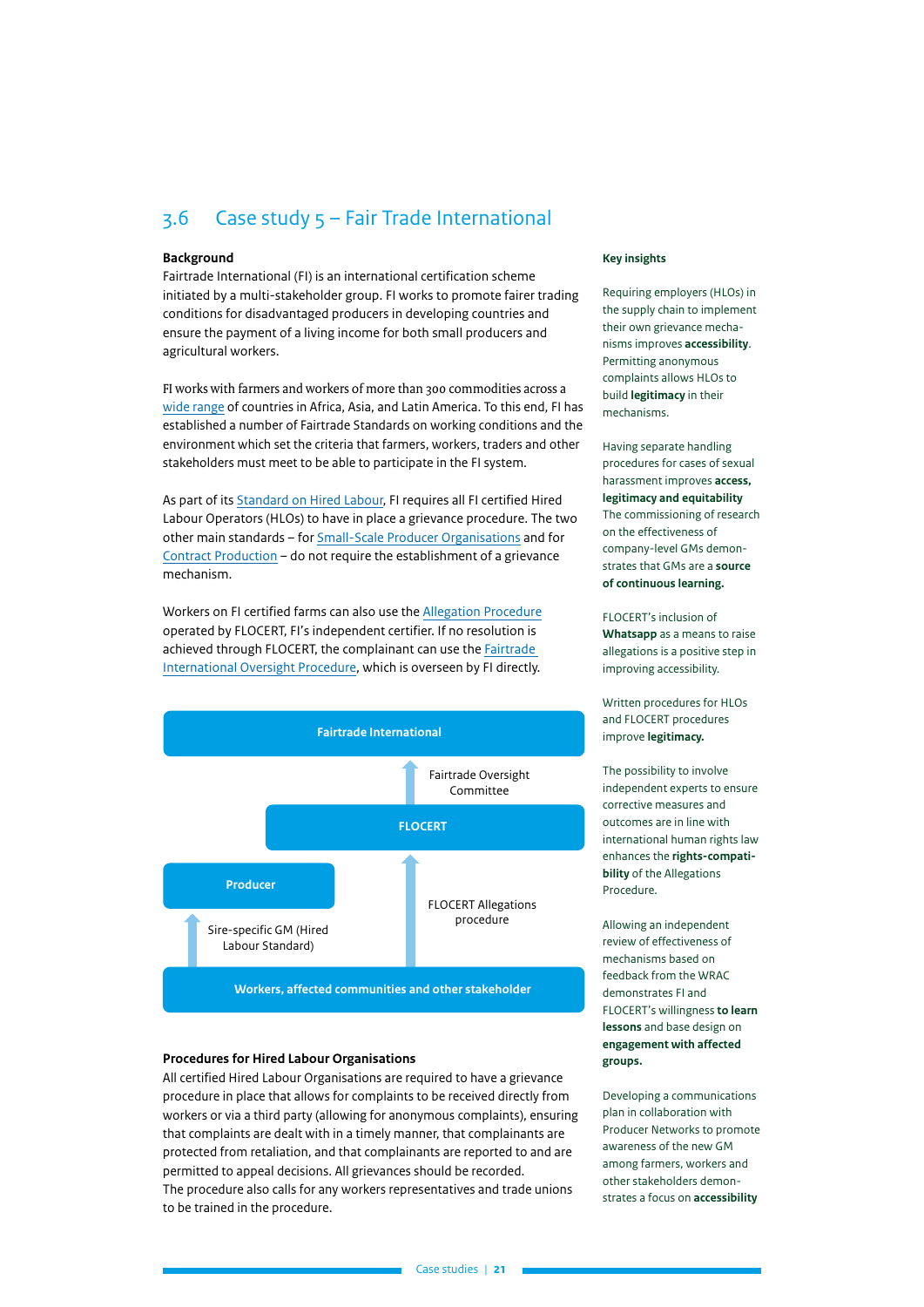## <span id="page-20-0"></span>3.6 Case study 5 – Fair Trade International

#### **Background**

Fairtrade International (FI) is an international certification scheme initiated by a multi-stakeholder group. FI works to promote fairer trading conditions for disadvantaged producers in developing countries and ensure the payment of a living income for both small producers and agricultural workers.

FI works with farmers and workers of more than 300 commodities across a [wide range](https://files.fairtrade.net/standards/Geographical_Scope_Policy_EN.pdf) of countries in Africa, Asia, and Latin America. To this end, FI has established a number of Fairtrade Standards on working conditions and the environment which set the criteria that farmers, workers, traders and other stakeholders must meet to be able to participate in the FI system.

As part of its [Standard on Hired Labour,](https://files.fairtrade.net/HL_EN.pdf) FI requires all FI certified Hired Labour Operators (HLOs) to have in place a grievance procedure. The two other main standards – for [Small-Scale Producer Organisations](https://files.fairtrade.net/standards/SPO_EN.pdf) and for [Contract Production](https://files.fairtrade.net/standards/CP_EN.pdf) – do not require the establishment of a grievance mechanism.

Workers on FI certified farms can also use the [Allegation Procedure](https://www.flocert.net/wp-content/uploads/2017/08/allegation-procedure.pdf) operated by FLOCERT, FI's independent certifier. If no resolution is achieved through FLOCERT, the complainant can use the [Fairtrade](https://files.fairtrade.net/standards/ASSU_OversightProcedure_EN.pdf)  [International Oversight Procedure,](https://files.fairtrade.net/standards/ASSU_OversightProcedure_EN.pdf) which is overseen by FI directly.



#### **Procedures for Hired Labour Organisations**

All certified Hired Labour Organisations are required to have a grievance procedure in place that allows for complaints to be received directly from workers or via a third party (allowing for anonymous complaints), ensuring that complaints are dealt with in a timely manner, that complainants are protected from retaliation, and that complainants are reported to and are permitted to appeal decisions. All grievances should be recorded. The procedure also calls for any workers representatives and trade unions to be trained in the procedure.

#### **Key insights**

Requiring employers (HLOs) in the supply chain to implement their own grievance mechanisms improves **accessibility**. Permitting anonymous complaints allows HLOs to build **legitimacy** in their mechanisms.

Having separate handling procedures for cases of sexual harassment improves **access, legitimacy and equitability** The commissioning of research on the effectiveness of company-level GMs demonstrates that GMs are a **source of continuous learning.**

FLOCERT's inclusion of **Whatsapp** as a means to raise allegations is a positive step in improving accessibility.

Written procedures for HLOs and FLOCERT procedures improve **legitimacy.**

The possibility to involve independent experts to ensure corrective measures and outcomes are in line with international human rights law enhances the **rights-compatibility** of the Allegations Procedure.

Allowing an independent review of effectiveness of mechanisms based on feedback from the WRAC demonstrates FI and FLOCERT's willingness **to learn lessons** and base design on **engagement with affected groups.**

Developing a communications plan in collaboration with Producer Networks to promote awareness of the new GM among farmers, workers and other stakeholders demonstrates a focus on **accessibility**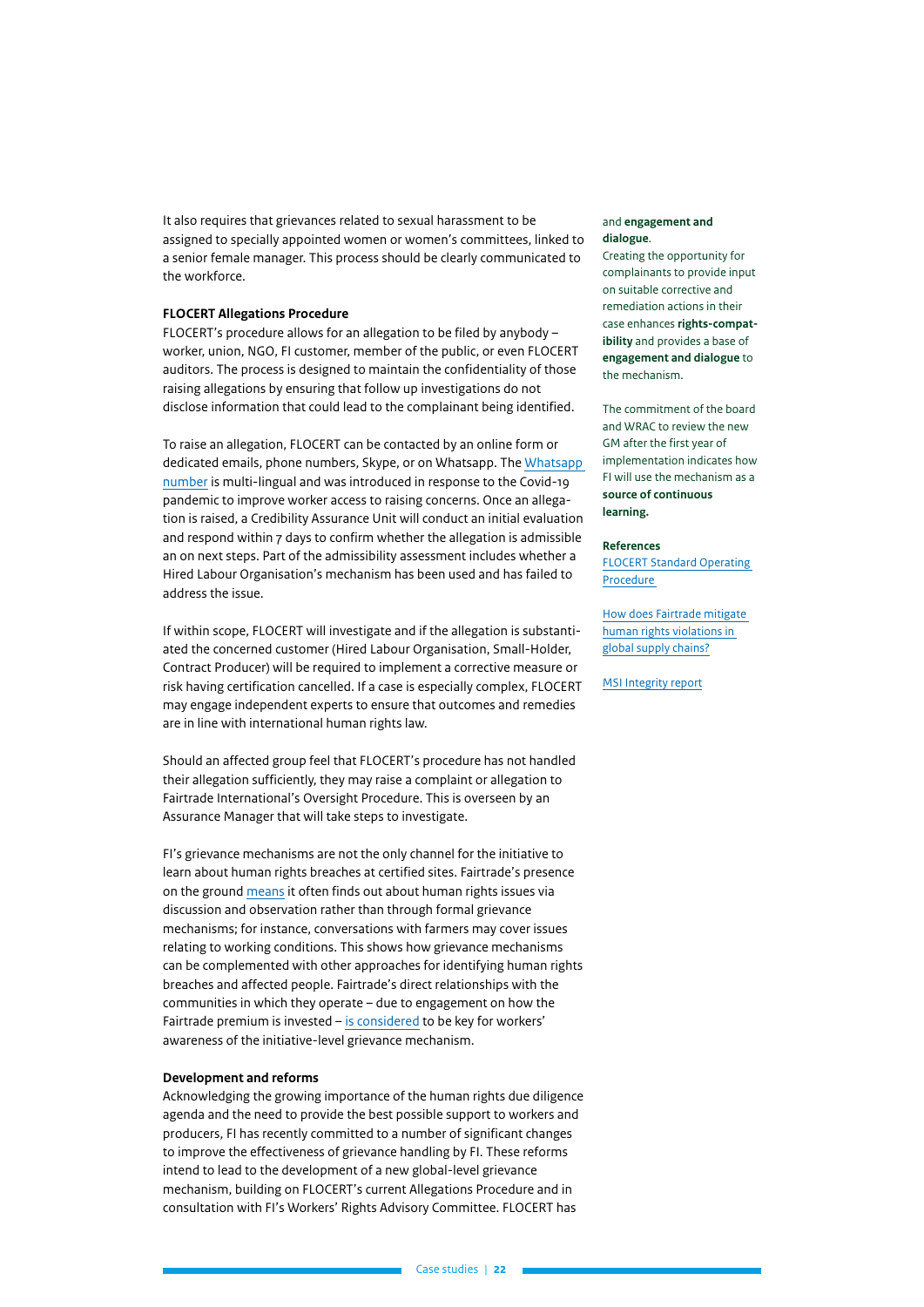It also requires that grievances related to sexual harassment to be assigned to specially appointed women or women's committees, linked to a senior female manager. This process should be clearly communicated to the workforce.

#### **FLOCERT Allegations Procedure**

FLOCERT's procedure allows for an allegation to be filed by anybody – worker, union, NGO, FI customer, member of the public, or even FLOCERT auditors. The process is designed to maintain the confidentiality of those raising allegations by ensuring that follow up investigations do not disclose information that could lead to the complainant being identified.

To raise an allegation, FLOCERT can be contacted by an online form or dedicated emails, phone numbers, Skype, or on Whatsapp. The [Whatsapp](https://fairtradeafrica.net/wp-content/uploads/2020/07/FLOCERT_PressInformation_WhatsAppAllegations.pdf)  [number](https://fairtradeafrica.net/wp-content/uploads/2020/07/FLOCERT_PressInformation_WhatsAppAllegations.pdf) is multi-lingual and was introduced in response to the Covid-19 pandemic to improve worker access to raising concerns. Once an allegation is raised, a Credibility Assurance Unit will conduct an initial evaluation and respond within 7 days to confirm whether the allegation is admissible an on next steps. Part of the admissibility assessment includes whether a Hired Labour Organisation's mechanism has been used and has failed to address the issue.

If within scope, FLOCERT will investigate and if the allegation is substantiated the concerned customer (Hired Labour Organisation, Small-Holder, Contract Producer) will be required to implement a corrective measure or risk having certification cancelled. If a case is especially complex, FLOCERT may engage independent experts to ensure that outcomes and remedies are in line with international human rights law.

Should an affected group feel that FLOCERT's procedure has not handled their allegation sufficiently, they may raise a complaint or allegation to Fairtrade International's Oversight Procedure. This is overseen by an Assurance Manager that will take steps to investigate.

FI's grievance mechanisms are not the only channel for the initiative to learn about human rights breaches at certified sites. Fairtrade's presence on the ground [means](https://www.fairtrade.ie/wp-content/uploads/2021/04/Fairtrade-Human-Rights-and-the-Environment-What-next....pdf) it often finds out about human rights issues via discussion and observation rather than through formal grievance mechanisms; for instance, conversations with farmers may cover issues relating to working conditions. This shows how grievance mechanisms can be complemented with other approaches for identifying human rights breaches and affected people. Fairtrade's direct relationships with the communities in which they operate – due to engagement on how the Fairtrade premium is invested – [is considered](https://www.msi-integrity.org/wp-content/uploads/2020/07/MSI_INSIGHT_5.FINAL_FORWEBSITE.pdf) to be key for workers' awareness of the initiative-level grievance mechanism.

#### **Development and reforms**

Acknowledging the growing importance of the human rights due diligence agenda and the need to provide the best possible support to workers and producers, FI has recently committed to a number of significant changes to improve the effectiveness of grievance handling by FI. These reforms intend to lead to the development of a new global-level grievance mechanism, building on FLOCERT's current Allegations Procedure and in consultation with FI's Workers' Rights Advisory Committee. FLOCERT has

#### and **engagement and dialogue**.

Creating the opportunity for complainants to provide input on suitable corrective and remediation actions in their case enhances **rights-compatibility** and provides a base of **engagement and dialogue** to the mechanism.

The commitment of the board and WRAC to review the new GM after the first year of implementation indicates how FI will use the mechanism as a **source of continuous learning.**

#### **References**

[FLOCERT Standard Operating](https://www.flocert.net/wp-content/uploads/2021/06/complaints-procedure.pdf)  [Procedure](https://www.flocert.net/wp-content/uploads/2021/06/complaints-procedure.pdf) 

[How does Fairtrade mitigate](https://www.fairtrade.ie/wp-content/uploads/2021/04/Fairtrade-Human-Rights-and-the-Environment-What-next....pdf)  [human rights violations in](https://www.fairtrade.ie/wp-content/uploads/2021/04/Fairtrade-Human-Rights-and-the-Environment-What-next....pdf)  [global supply chains?](https://www.fairtrade.ie/wp-content/uploads/2021/04/Fairtrade-Human-Rights-and-the-Environment-What-next....pdf)

**[MSI Integrity report](https://www.msi-integrity.org/wp-content/uploads/2020/07/MSI_INSIGHT_5.FINAL_FORWEBSITE.pdf)**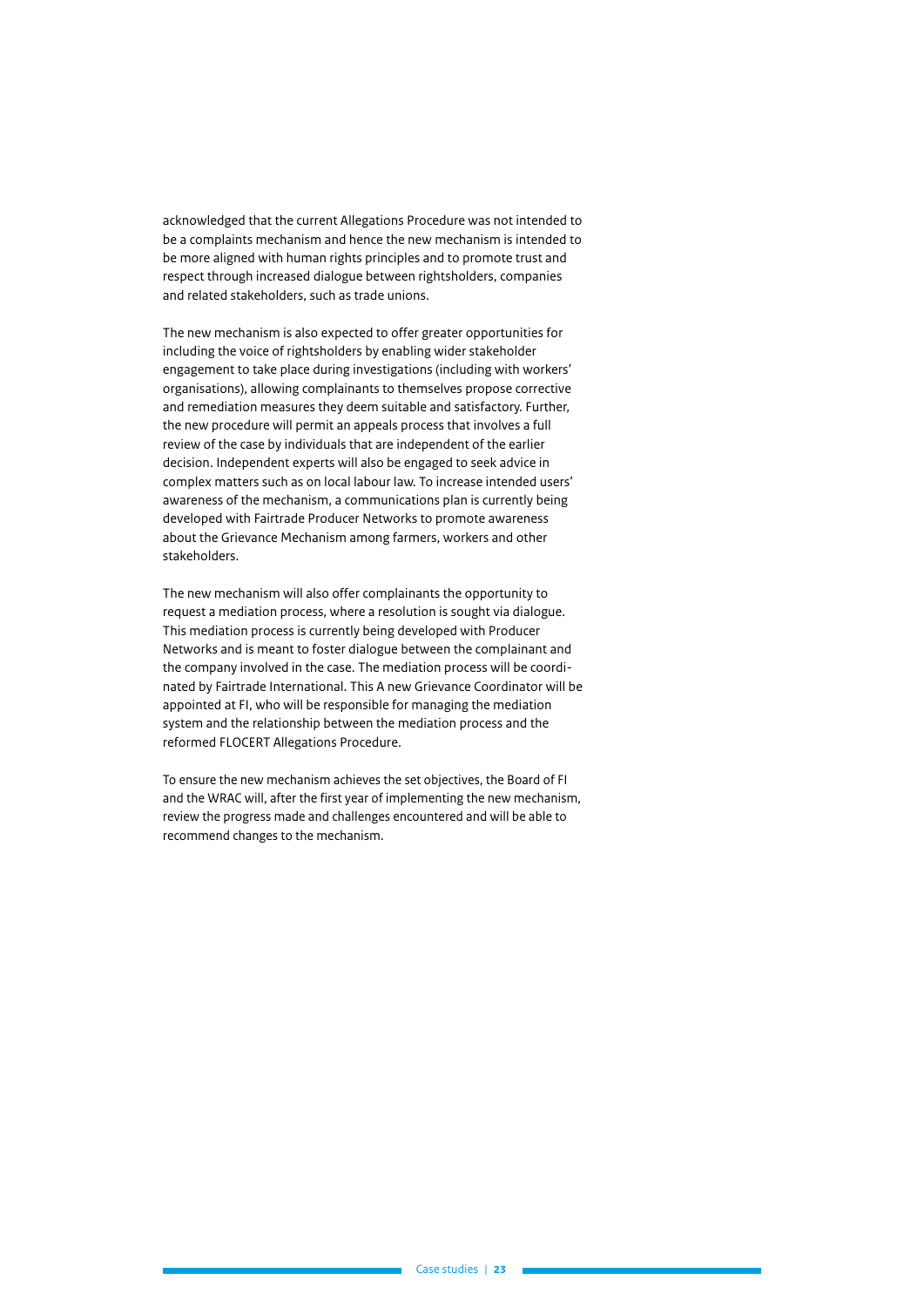acknowledged that the current Allegations Procedure was not intended to be a complaints mechanism and hence the new mechanism is intended to be more aligned with human rights principles and to promote trust and respect through increased dialogue between rightsholders, companies and related stakeholders, such as trade unions.

The new mechanism is also expected to offer greater opportunities for including the voice of rightsholders by enabling wider stakeholder engagement to take place during investigations (including with workers' organisations), allowing complainants to themselves propose corrective and remediation measures they deem suitable and satisfactory. Further, the new procedure will permit an appeals process that involves a full review of the case by individuals that are independent of the earlier decision. Independent experts will also be engaged to seek advice in complex matters such as on local labour law. To increase intended users' awareness of the mechanism, a communications plan is currently being developed with Fairtrade Producer Networks to promote awareness about the Grievance Mechanism among farmers, workers and other stakeholders.

The new mechanism will also offer complainants the opportunity to request a mediation process, where a resolution is sought via dialogue. This mediation process is currently being developed with Producer Networks and is meant to foster dialogue between the complainant and the company involved in the case. The mediation process will be coordinated by Fairtrade International. This A new Grievance Coordinator will be appointed at FI, who will be responsible for managing the mediation system and the relationship between the mediation process and the reformed FLOCERT Allegations Procedure.

To ensure the new mechanism achieves the set objectives, the Board of FI and the WRAC will, after the first year of implementing the new mechanism, review the progress made and challenges encountered and will be able to recommend changes to the mechanism.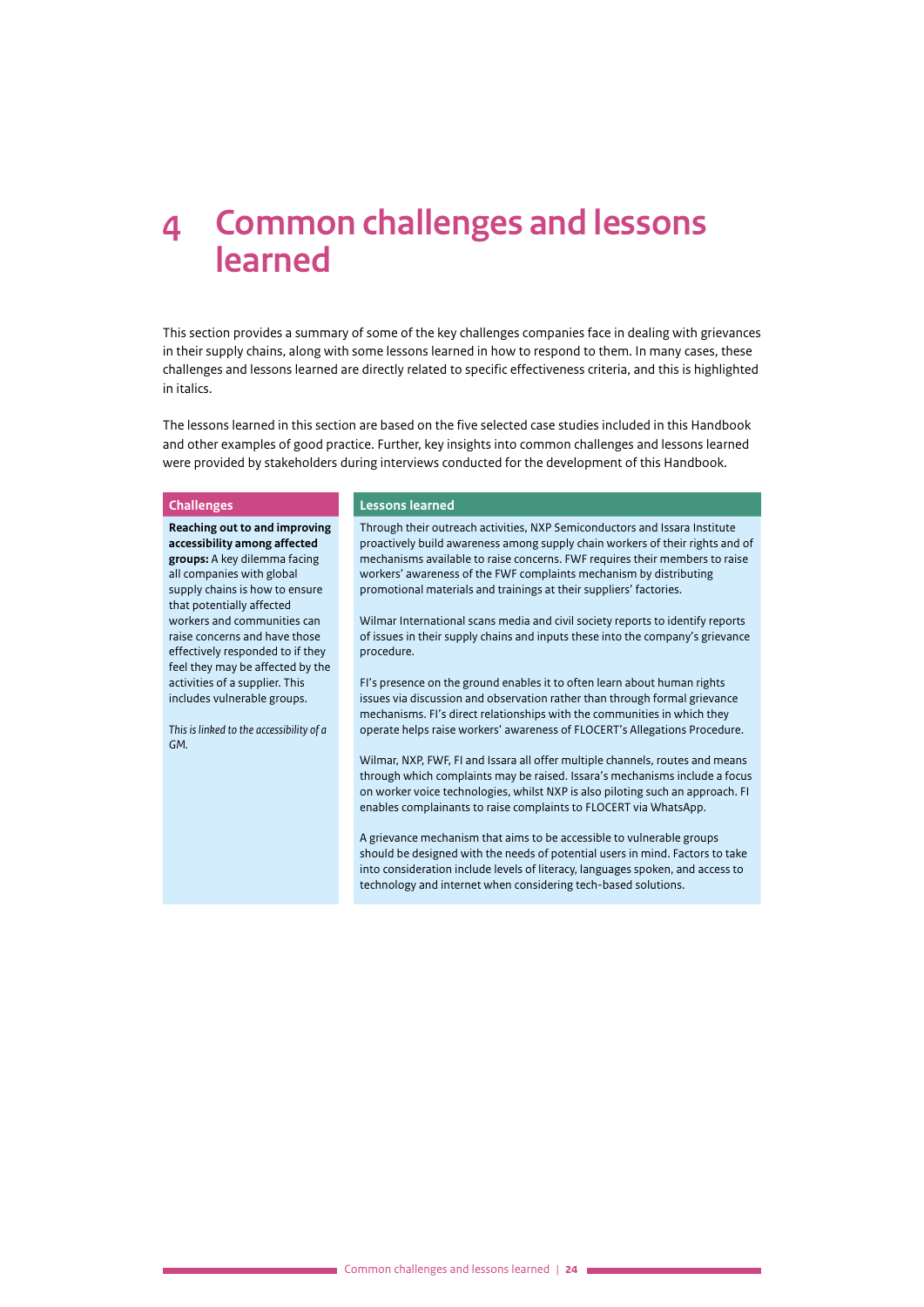## <span id="page-23-0"></span>**4 Common challenges and lessons learned**

This section provides a summary of some of the key challenges companies face in dealing with grievances in their supply chains, along with some lessons learned in how to respond to them. In many cases, these challenges and lessons learned are directly related to specific effectiveness criteria, and this is highlighted in italics.

The lessons learned in this section are based on the five selected case studies included in this Handbook and other examples of good practice. Further, key insights into common challenges and lessons learned were provided by stakeholders during interviews conducted for the development of this Handbook.

**Reaching out to and improving accessibility among affected groups:** A key dilemma facing all companies with global supply chains is how to ensure that potentially affected workers and communities can raise concerns and have those effectively responded to if they feel they may be affected by the activities of a supplier. This includes vulnerable groups.

*This is linked to the accessibility of a GM.*

#### **Challenges Lessons learned**

Through their outreach activities, NXP Semiconductors and Issara Institute proactively build awareness among supply chain workers of their rights and of mechanisms available to raise concerns. FWF requires their members to raise workers' awareness of the FWF complaints mechanism by distributing promotional materials and trainings at their suppliers' factories.

Wilmar International scans media and civil society reports to identify reports of issues in their supply chains and inputs these into the company's grievance procedure.

FI's presence on the ground enables it to often learn about human rights issues via discussion and observation rather than through formal grievance mechanisms. FI's direct relationships with the communities in which they operate helps raise workers' awareness of FLOCERT's Allegations Procedure.

Wilmar, NXP, FWF, FI and Issara all offer multiple channels, routes and means through which complaints may be raised. Issara's mechanisms include a focus on worker voice technologies, whilst NXP is also piloting such an approach. FI enables complainants to raise complaints to FLOCERT via WhatsApp.

A grievance mechanism that aims to be accessible to vulnerable groups should be designed with the needs of potential users in mind. Factors to take into consideration include levels of literacy, languages spoken, and access to technology and internet when considering tech-based solutions.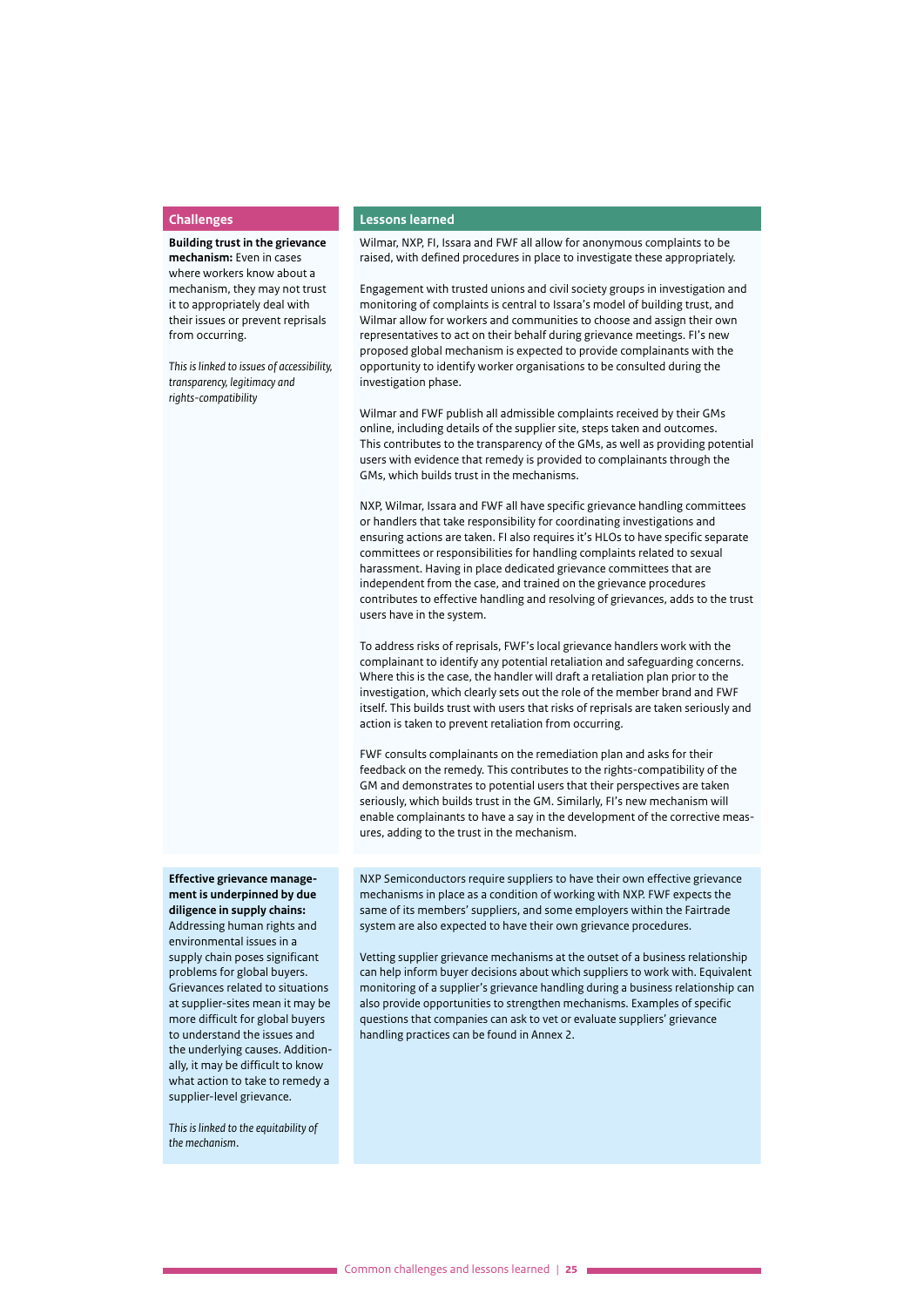**Building trust in the grievance mechanism:** Even in cases where workers know about a mechanism, they may not trust it to appropriately deal with their issues or prevent reprisals from occurring.

*This is linked to issues of accessibility, transparency, legitimacy and rights-compatibility* 

#### **Challenges Lessons learned**

Wilmar, NXP, FI, Issara and FWF all allow for anonymous complaints to be raised, with defined procedures in place to investigate these appropriately.

Engagement with trusted unions and civil society groups in investigation and monitoring of complaints is central to Issara's model of building trust, and Wilmar allow for workers and communities to choose and assign their own representatives to act on their behalf during grievance meetings. FI's new proposed global mechanism is expected to provide complainants with the opportunity to identify worker organisations to be consulted during the investigation phase.

Wilmar and FWF publish all admissible complaints received by their GMs online, including details of the supplier site, steps taken and outcomes. This contributes to the transparency of the GMs, as well as providing potential users with evidence that remedy is provided to complainants through the GMs, which builds trust in the mechanisms.

NXP, Wilmar, Issara and FWF all have specific grievance handling committees or handlers that take responsibility for coordinating investigations and ensuring actions are taken. FI also requires it's HLOs to have specific separate committees or responsibilities for handling complaints related to sexual harassment. Having in place dedicated grievance committees that are independent from the case, and trained on the grievance procedures contributes to effective handling and resolving of grievances, adds to the trust users have in the system.

To address risks of reprisals, FWF's local grievance handlers work with the complainant to identify any potential retaliation and safeguarding concerns. Where this is the case, the handler will draft a retaliation plan prior to the investigation, which clearly sets out the role of the member brand and FWF itself. This builds trust with users that risks of reprisals are taken seriously and action is taken to prevent retaliation from occurring.

FWF consults complainants on the remediation plan and asks for their feedback on the remedy. This contributes to the rights-compatibility of the GM and demonstrates to potential users that their perspectives are taken seriously, which builds trust in the GM. Similarly, FI's new mechanism will enable complainants to have a say in the development of the corrective measures, adding to the trust in the mechanism.

NXP Semiconductors require suppliers to have their own effective grievance mechanisms in place as a condition of working with NXP. FWF expects the same of its members' suppliers, and some employers within the Fairtrade system are also expected to have their own grievance procedures.

Vetting supplier grievance mechanisms at the outset of a business relationship can help inform buyer decisions about which suppliers to work with. Equivalent monitoring of a supplier's grievance handling during a business relationship can also provide opportunities to strengthen mechanisms. Examples of specific questions that companies can ask to vet or evaluate suppliers' grievance handling practices can be found in Annex 2.

**Effective grievance management is underpinned by due diligence in supply chains:**  Addressing human rights and environmental issues in a supply chain poses significant problems for global buyers. Grievances related to situations at supplier-sites mean it may be more difficult for global buyers to understand the issues and the underlying causes. Additionally, it may be difficult to know what action to take to remedy a

*This is linked to the equitability of the mechanism*.

supplier-level grievance.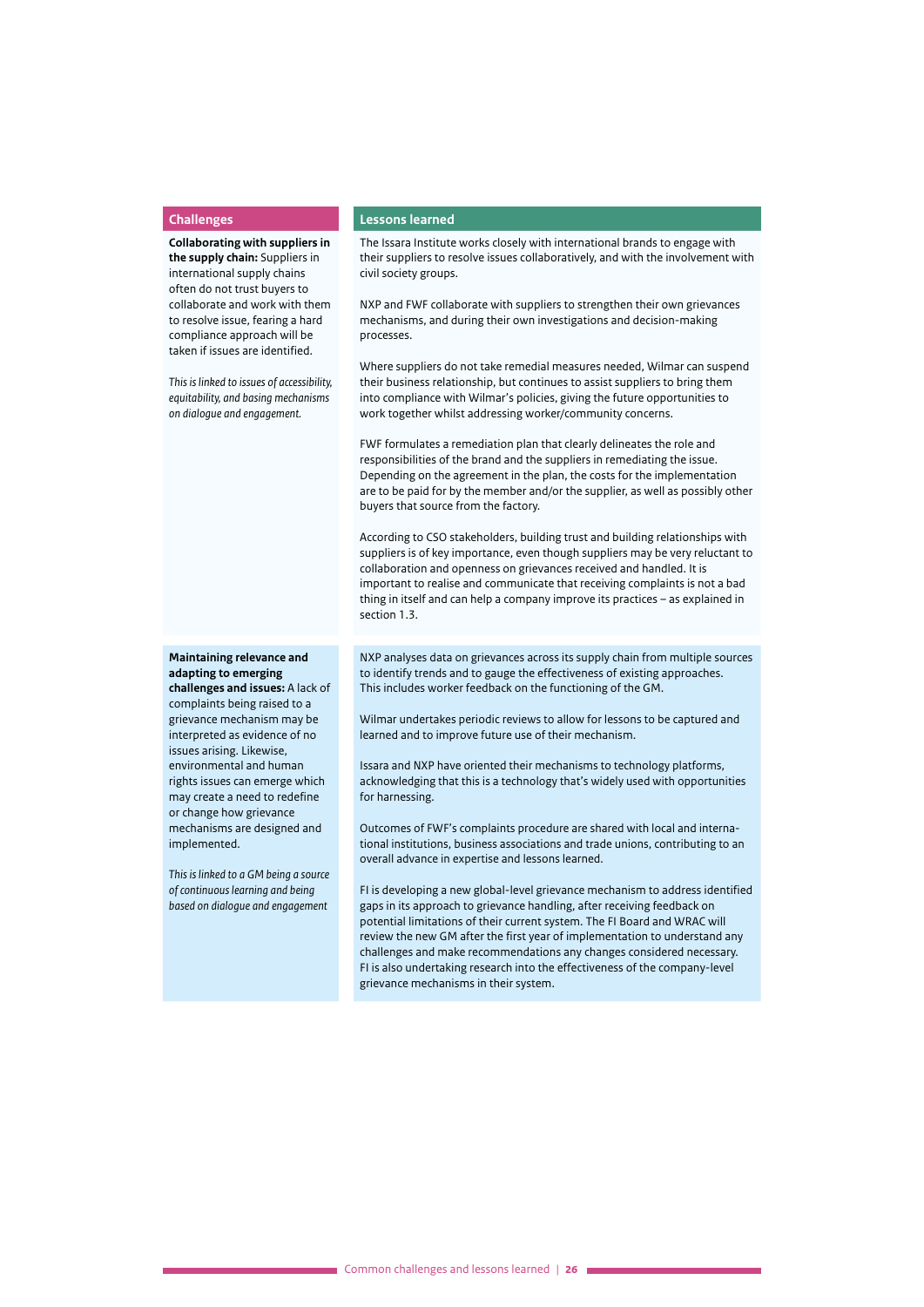**Collaborating with suppliers in the supply chain:** Suppliers in international supply chains often do not trust buyers to collaborate and work with them to resolve issue, fearing a hard compliance approach will be taken if issues are identified.

*This is linked to issues of accessibility, equitability, and basing mechanisms on dialogue and engagement.*

#### **adapting to emerging challenges and issues:** A lack of complaints being raised to a grievance mechanism may be interpreted as evidence of no issues arising. Likewise, environmental and human rights issues can emerge which may create a need to redefine or change how grievance mechanisms are designed and

**Maintaining relevance and** 

*This is linked to a GM being a source of continuous learning and being based on dialogue and engagement* 

implemented.

#### **Challenges Lessons learned**

The Issara Institute works closely with international brands to engage with their suppliers to resolve issues collaboratively, and with the involvement with civil society groups.

NXP and FWF collaborate with suppliers to strengthen their own grievances mechanisms, and during their own investigations and decision-making processes.

Where suppliers do not take remedial measures needed, Wilmar can suspend their business relationship, but continues to assist suppliers to bring them into compliance with Wilmar's policies, giving the future opportunities to work together whilst addressing worker/community concerns.

FWF formulates a remediation plan that clearly delineates the role and responsibilities of the brand and the suppliers in remediating the issue. Depending on the agreement in the plan, the costs for the implementation are to be paid for by the member and/or the supplier, as well as possibly other buyers that source from the factory.

According to CSO stakeholders, building trust and building relationships with suppliers is of key importance, even though suppliers may be very reluctant to collaboration and openness on grievances received and handled. It is important to realise and communicate that receiving complaints is not a bad thing in itself and can help a company improve its practices – as explained in section 1.3.

NXP analyses data on grievances across its supply chain from multiple sources to identify trends and to gauge the effectiveness of existing approaches. This includes worker feedback on the functioning of the GM.

Wilmar undertakes periodic reviews to allow for lessons to be captured and learned and to improve future use of their mechanism.

Issara and NXP have oriented their mechanisms to technology platforms, acknowledging that this is a technology that's widely used with opportunities for harnessing.

Outcomes of FWF's complaints procedure are shared with local and international institutions, business associations and trade unions, contributing to an overall advance in expertise and lessons learned.

FI is developing a new global-level grievance mechanism to address identified gaps in its approach to grievance handling, after receiving feedback on potential limitations of their current system. The FI Board and WRAC will review the new GM after the first year of implementation to understand any challenges and make recommendations any changes considered necessary. FI is also undertaking research into the effectiveness of the company-level grievance mechanisms in their system.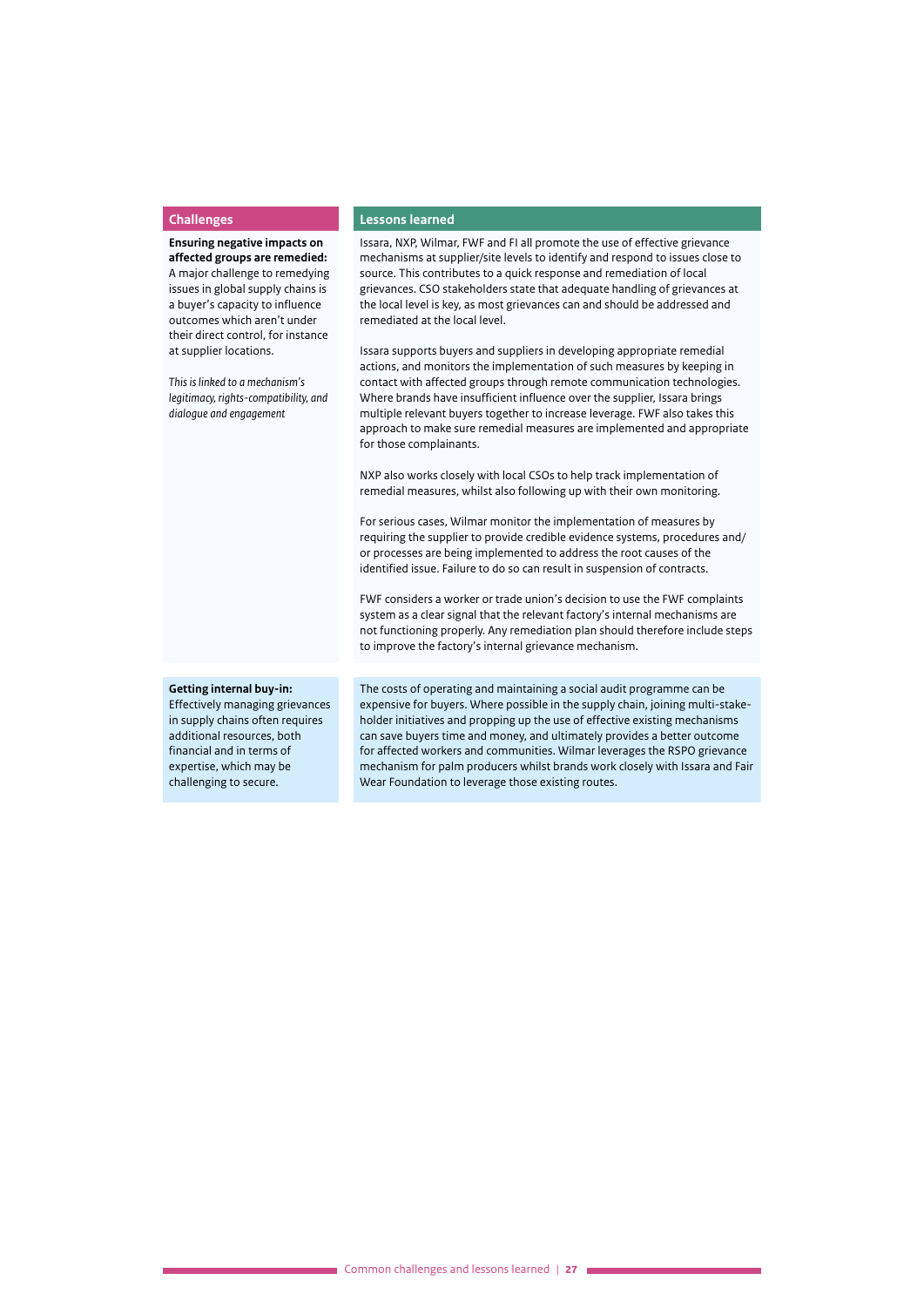**Ensuring negative impacts on affected groups are remedied:** A major challenge to remedying issues in global supply chains is a buyer's capacity to influence outcomes which aren't under their direct control, for instance at supplier locations.

*This is linked to a mechanism's legitimacy, rights-compatibility, and dialogue and engagement* 

#### **Challenges Lessons learned**

Issara, NXP, Wilmar, FWF and FI all promote the use of effective grievance mechanisms at supplier/site levels to identify and respond to issues close to source. This contributes to a quick response and remediation of local grievances. CSO stakeholders state that adequate handling of grievances at the local level is key, as most grievances can and should be addressed and remediated at the local level.

Issara supports buyers and suppliers in developing appropriate remedial actions, and monitors the implementation of such measures by keeping in contact with affected groups through remote communication technologies. Where brands have insufficient influence over the supplier, Issara brings multiple relevant buyers together to increase leverage. FWF also takes this approach to make sure remedial measures are implemented and appropriate for those complainants.

NXP also works closely with local CSOs to help track implementation of remedial measures, whilst also following up with their own monitoring.

For serious cases, Wilmar monitor the implementation of measures by requiring the supplier to provide credible evidence systems, procedures and/ or processes are being implemented to address the root causes of the identified issue. Failure to do so can result in suspension of contracts.

FWF considers a worker or trade union's decision to use the FWF complaints system as a clear signal that the relevant factory's internal mechanisms are not functioning properly. Any remediation plan should therefore include steps to improve the factory's internal grievance mechanism.

#### **Getting internal buy-in:**

Effectively managing grievances in supply chains often requires additional resources, both financial and in terms of expertise, which may be challenging to secure.

The costs of operating and maintaining a social audit programme can be expensive for buyers. Where possible in the supply chain, joining multi-stakeholder initiatives and propping up the use of effective existing mechanisms can save buyers time and money, and ultimately provides a better outcome for affected workers and communities. Wilmar leverages the RSPO grievance mechanism for palm producers whilst brands work closely with Issara and Fair Wear Foundation to leverage those existing routes.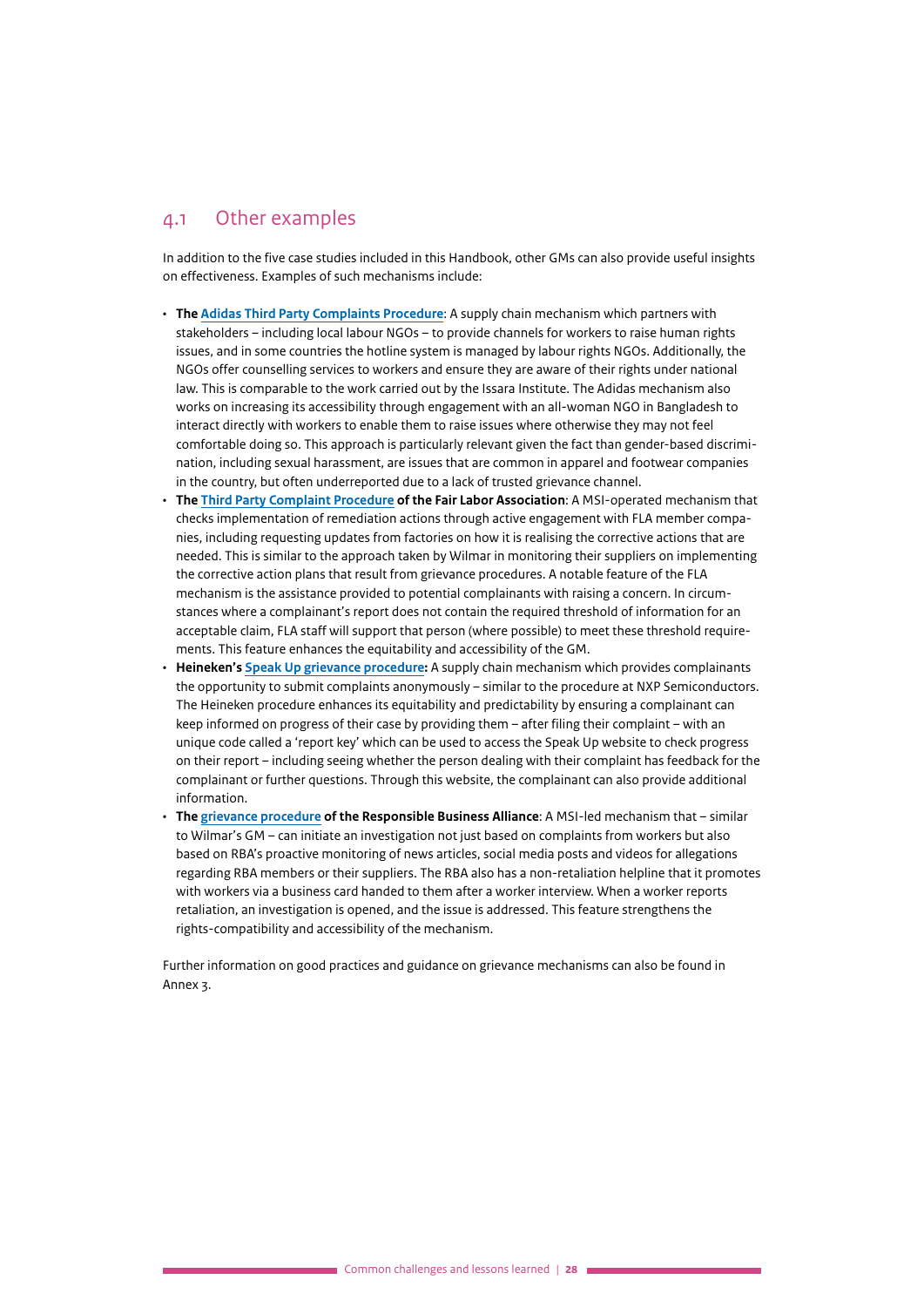### <span id="page-27-0"></span>4.1 Other examples

In addition to the five case studies included in this Handbook, other GMs can also provide useful insights on effectiveness. Examples of such mechanisms include:

- **The [Adidas Third Party Complaints Procedure](https://www.adidas-group.com/media/filer_public/3a/a8/3aa87bcf-9af9-477b-a2a5-100530e46b19/adidas_group_complaint_process_october_2014.pdf)**: A supply chain mechanism which partners with stakeholders – including local labour NGOs – to provide channels for workers to raise human rights issues, and in some countries the hotline system is managed by labour rights NGOs. Additionally, the NGOs offer counselling services to workers and ensure they are aware of their rights under national law. This is comparable to the work carried out by the Issara Institute. The Adidas mechanism also works on increasing its accessibility through engagement with an all-woman NGO in Bangladesh to interact directly with workers to enable them to raise issues where otherwise they may not feel comfortable doing so. This approach is particularly relevant given the fact than gender-based discrimination, including sexual harassment, are issues that are common in apparel and footwear companies in the country, but often underreported due to a lack of trusted grievance channel.
- **The Third Party Complaint Procedure of the Fair Labor Association**: A MSI-operated mechanism that checks implementation of remediation actions through active engagement with FLA member companies, including requesting updates from factories on how it is realising the corrective actions that are needed. This is similar to the approach taken by Wilmar in monitoring their suppliers on implementing the corrective action plans that result from grievance procedures. A notable feature of the FLA mechanism is the assistance provided to potential complainants with raising a concern. In circumstances where a complainant's report does not contain the required threshold of information for an acceptable claim, FLA staff will support that person (where possible) to meet these threshold requirements. This feature enhances the equitability and accessibility of the GM.
- **Heineken's [Speak Up grievance procedure:](https://www.theheinekencompany.com/sites/theheinekencompany/files/our-company/how-we-run-our-business/code-conduct/heineken-speak-up-policy.pdf)** A supply chain mechanism which provides complainants the opportunity to submit complaints anonymously – similar to the procedure at NXP Semiconductors. The Heineken procedure enhances its equitability and predictability by ensuring a complainant can keep informed on progress of their case by providing them – after filing their complaint – with an unique code called a 'report key' which can be used to access the Speak Up website to check progress on their report – including seeing whether the person dealing with their complaint has feedback for the complainant or further questions. Through this website, the complainant can also provide additional information.
- **The [grievance procedure](http://www.responsiblebusiness.org/media/docs/Grievance.pdf) of the Responsible Business Alliance**: A MSI-led mechanism that similar to Wilmar's GM – can initiate an investigation not just based on complaints from workers but also based on RBA's proactive monitoring of news articles, social media posts and videos for allegations regarding RBA members or their suppliers. The RBA also has a non-retaliation helpline that it promotes with workers via a business card handed to them after a worker interview. When a worker reports retaliation, an investigation is opened, and the issue is addressed. This feature strengthens the rights-compatibility and accessibility of the mechanism.

Further information on good practices and guidance on grievance mechanisms can also be found in Annex 3.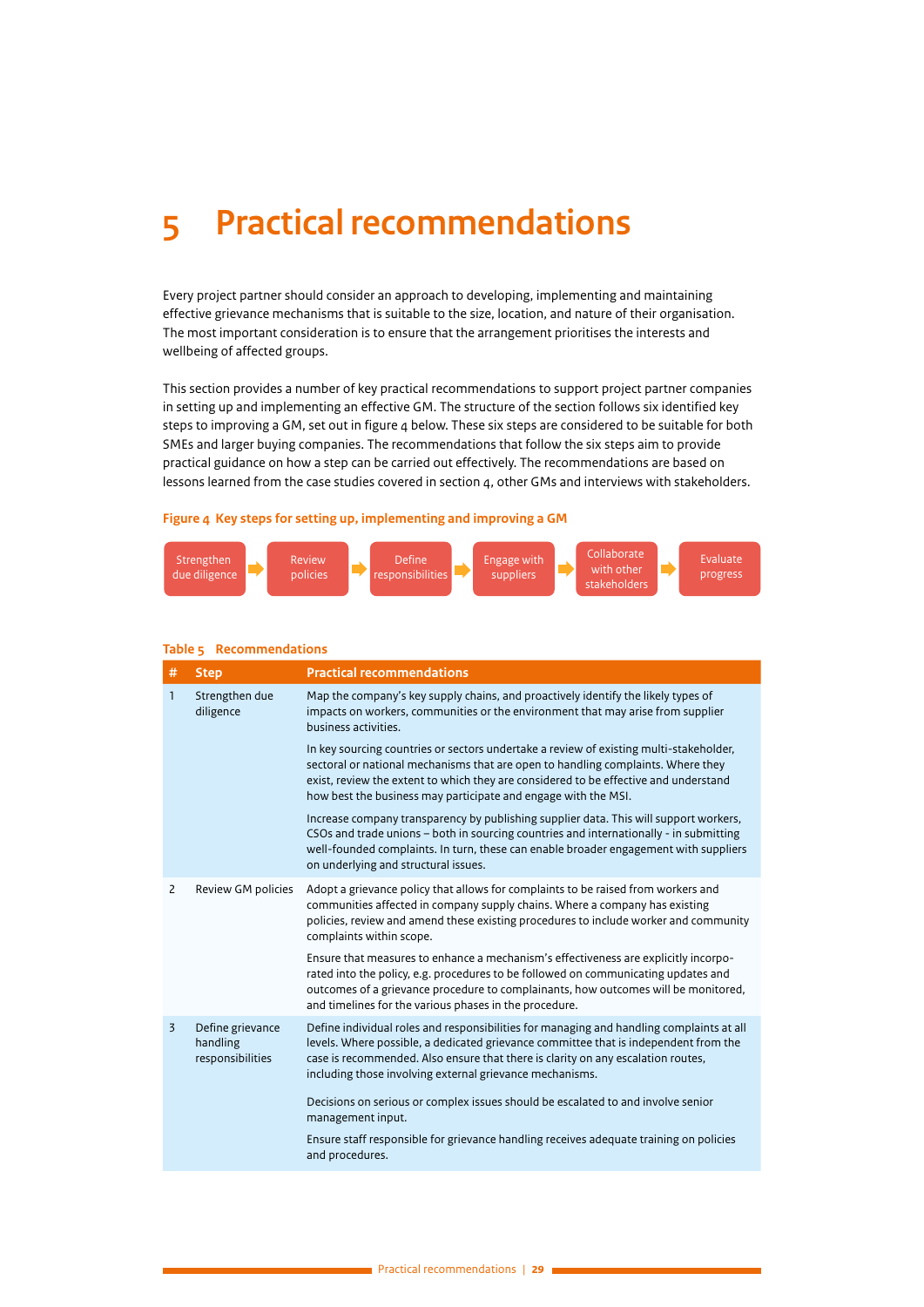# <span id="page-28-0"></span>**5 Practical recommendations**

Every project partner should consider an approach to developing, implementing and maintaining effective grievance mechanisms that is suitable to the size, location, and nature of their organisation. The most important consideration is to ensure that the arrangement prioritises the interests and wellbeing of affected groups.

This section provides a number of key practical recommendations to support project partner companies in setting up and implementing an effective GM. The structure of the section follows six identified key steps to improving a GM, set out in figure 4 below. These six steps are considered to be suitable for both SMEs and larger buying companies. The recommendations that follow the six steps aim to provide practical guidance on how a step can be carried out effectively. The recommendations are based on lessons learned from the case studies covered in section 4, other GMs and interviews with stakeholders.

### **Figure 4 Key steps for setting up, implementing and improving a GM**



| #              | <b>Step</b>                                      | <b>Practical recommendations</b>                                                                                                                                                                                                                                                                                                     |
|----------------|--------------------------------------------------|--------------------------------------------------------------------------------------------------------------------------------------------------------------------------------------------------------------------------------------------------------------------------------------------------------------------------------------|
| $\mathbf{1}$   | Strengthen due<br>diligence                      | Map the company's key supply chains, and proactively identify the likely types of<br>impacts on workers, communities or the environment that may arise from supplier<br>business activities.                                                                                                                                         |
|                |                                                  | In key sourcing countries or sectors undertake a review of existing multi-stakeholder,<br>sectoral or national mechanisms that are open to handling complaints. Where they<br>exist, review the extent to which they are considered to be effective and understand<br>how best the business may participate and engage with the MSI. |
|                |                                                  | Increase company transparency by publishing supplier data. This will support workers,<br>CSOs and trade unions - both in sourcing countries and internationally - in submitting<br>well-founded complaints. In turn, these can enable broader engagement with suppliers<br>on underlying and structural issues.                      |
| 2              | Review GM policies                               | Adopt a grievance policy that allows for complaints to be raised from workers and<br>communities affected in company supply chains. Where a company has existing<br>policies, review and amend these existing procedures to include worker and community<br>complaints within scope.                                                 |
|                |                                                  | Ensure that measures to enhance a mechanism's effectiveness are explicitly incorpo-<br>rated into the policy, e.g. procedures to be followed on communicating updates and<br>outcomes of a grievance procedure to complainants, how outcomes will be monitored,<br>and timelines for the various phases in the procedure.            |
| $\overline{3}$ | Define grievance<br>handling<br>responsibilities | Define individual roles and responsibilities for managing and handling complaints at all<br>levels. Where possible, a dedicated grievance committee that is independent from the<br>case is recommended. Also ensure that there is clarity on any escalation routes,<br>including those involving external grievance mechanisms.     |
|                |                                                  | Decisions on serious or complex issues should be escalated to and involve senior<br>management input.                                                                                                                                                                                                                                |
|                |                                                  | Ensure staff responsible for grievance handling receives adequate training on policies<br>and procedures.                                                                                                                                                                                                                            |

#### **Table 5 Recommendations**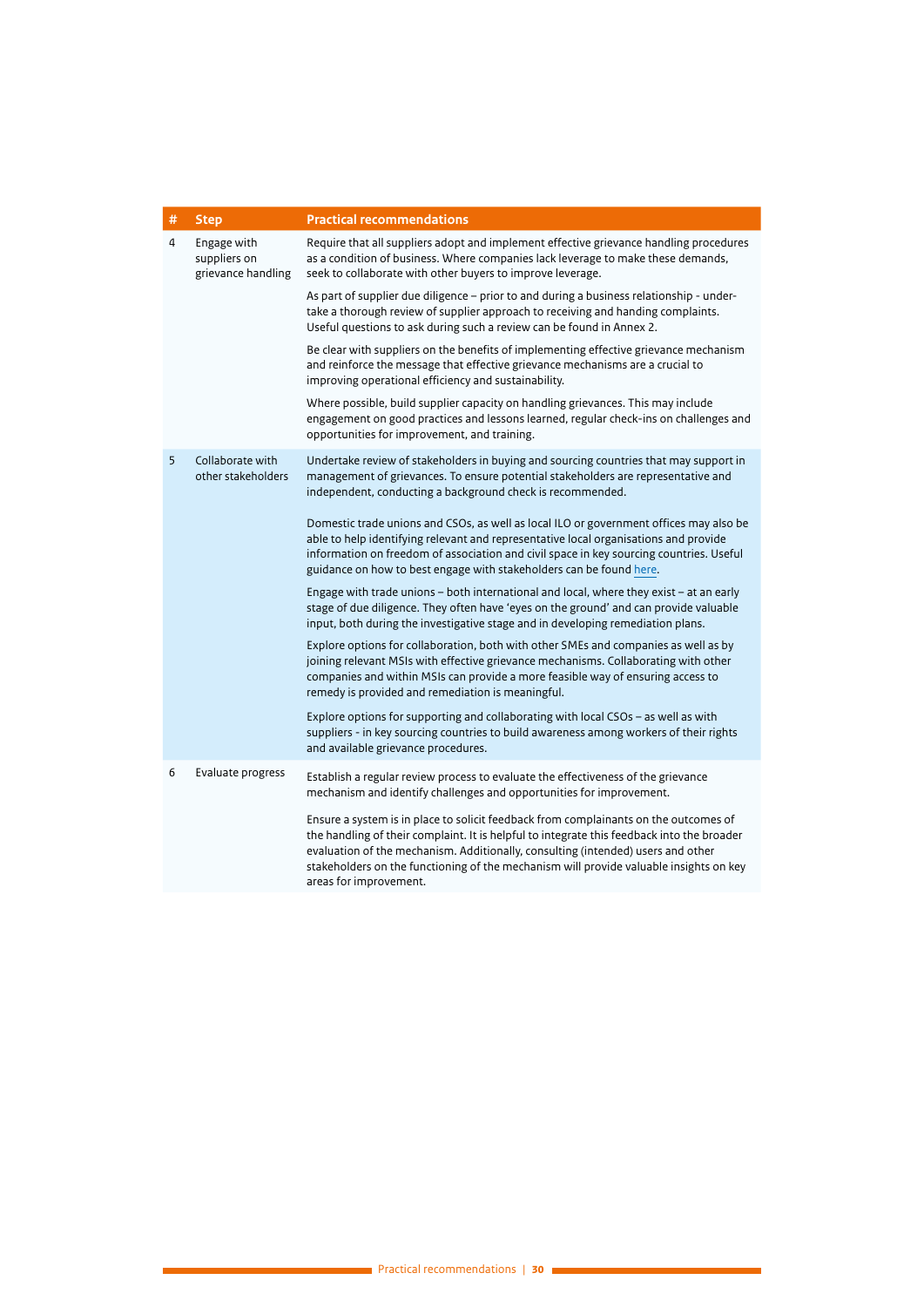| # | <b>Step</b>                                       | <b>Practical recommendations</b>                                                                                                                                                                                                                                                                                                                                                           |  |
|---|---------------------------------------------------|--------------------------------------------------------------------------------------------------------------------------------------------------------------------------------------------------------------------------------------------------------------------------------------------------------------------------------------------------------------------------------------------|--|
| 4 | Engage with<br>suppliers on<br>grievance handling | Require that all suppliers adopt and implement effective grievance handling procedures<br>as a condition of business. Where companies lack leverage to make these demands,<br>seek to collaborate with other buyers to improve leverage.                                                                                                                                                   |  |
|   |                                                   | As part of supplier due diligence - prior to and during a business relationship - under-<br>take a thorough review of supplier approach to receiving and handing complaints.<br>Useful questions to ask during such a review can be found in Annex 2.                                                                                                                                      |  |
|   |                                                   | Be clear with suppliers on the benefits of implementing effective grievance mechanism<br>and reinforce the message that effective grievance mechanisms are a crucial to<br>improving operational efficiency and sustainability.                                                                                                                                                            |  |
|   |                                                   | Where possible, build supplier capacity on handling grievances. This may include<br>engagement on good practices and lessons learned, regular check-ins on challenges and<br>opportunities for improvement, and training.                                                                                                                                                                  |  |
| 5 | Collaborate with<br>other stakeholders            | Undertake review of stakeholders in buying and sourcing countries that may support in<br>management of grievances. To ensure potential stakeholders are representative and<br>independent, conducting a background check is recommended.                                                                                                                                                   |  |
|   |                                                   | Domestic trade unions and CSOs, as well as local ILO or government offices may also be<br>able to help identifying relevant and representative local organisations and provide<br>information on freedom of association and civil space in key sourcing countries. Useful<br>guidance on how to best engage with stakeholders can be found here.                                           |  |
|   |                                                   | Engage with trade unions - both international and local, where they exist - at an early<br>stage of due diligence. They often have 'eyes on the ground' and can provide valuable<br>input, both during the investigative stage and in developing remediation plans.                                                                                                                        |  |
|   |                                                   | Explore options for collaboration, both with other SMEs and companies as well as by<br>joining relevant MSIs with effective grievance mechanisms. Collaborating with other<br>companies and within MSIs can provide a more feasible way of ensuring access to<br>remedy is provided and remediation is meaningful.                                                                         |  |
|   |                                                   | Explore options for supporting and collaborating with local CSOs - as well as with<br>suppliers - in key sourcing countries to build awareness among workers of their rights<br>and available grievance procedures.                                                                                                                                                                        |  |
| 6 | Evaluate progress                                 | Establish a regular review process to evaluate the effectiveness of the grievance<br>mechanism and identify challenges and opportunities for improvement.                                                                                                                                                                                                                                  |  |
|   |                                                   | Ensure a system is in place to solicit feedback from complainants on the outcomes of<br>the handling of their complaint. It is helpful to integrate this feedback into the broader<br>evaluation of the mechanism. Additionally, consulting (intended) users and other<br>stakeholders on the functioning of the mechanism will provide valuable insights on key<br>areas for improvement. |  |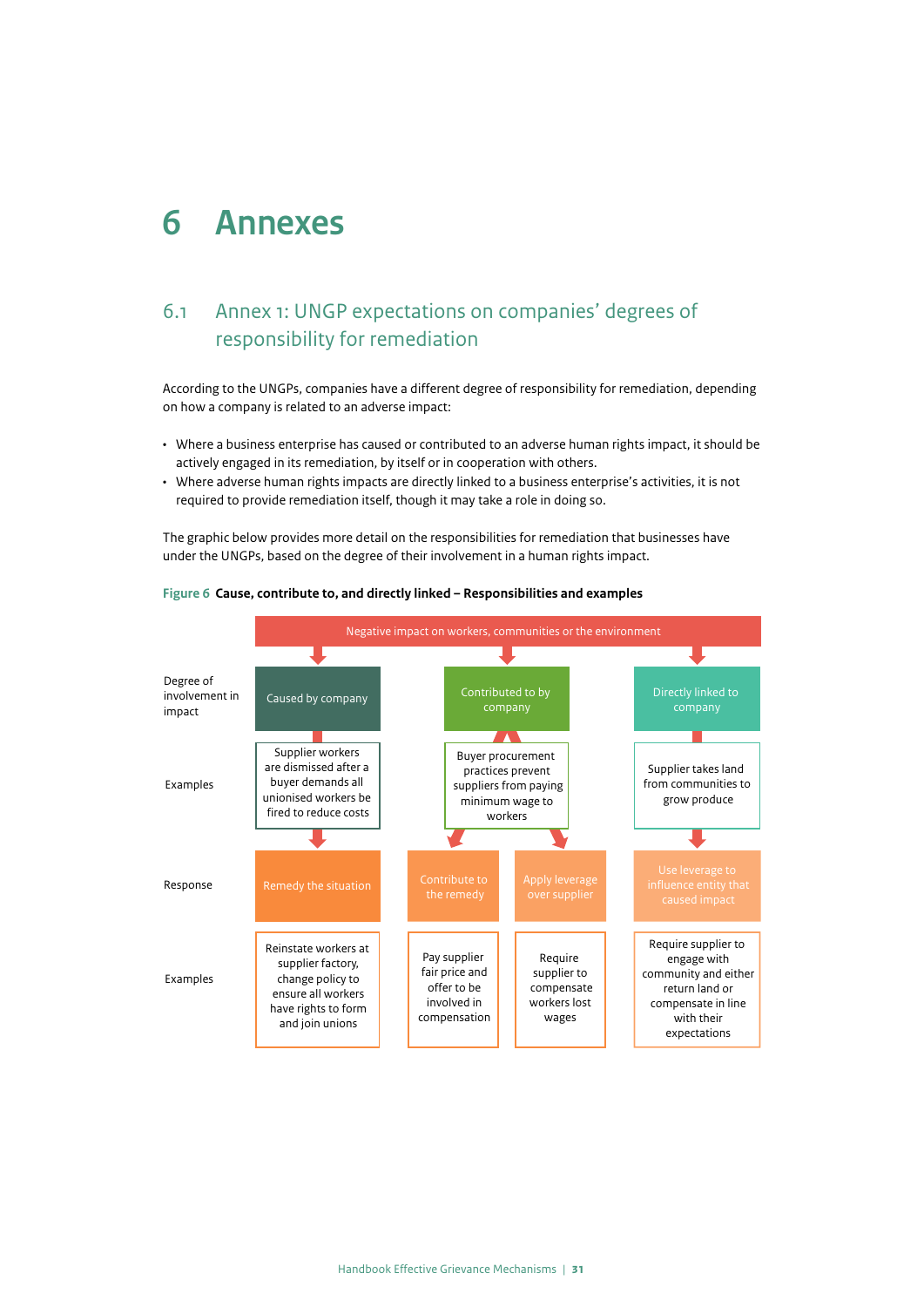## <span id="page-30-0"></span>**6 Annexes**

## 6.1 Annex 1: UNGP expectations on companies' degrees of responsibility for remediation

According to the UNGPs, companies have a different degree of responsibility for remediation, depending on how a company is related to an adverse impact:

- Where a business enterprise has caused or contributed to an adverse human rights impact, it should be actively engaged in its remediation, by itself or in cooperation with others.
- Where adverse human rights impacts are directly linked to a business enterprise's activities, it is not required to provide remediation itself, though it may take a role in doing so.

The graphic below provides more detail on the responsibilities for remediation that businesses have under the UNGPs, based on the degree of their involvement in a human rights impact.



#### **Figure 6 Cause, contribute to, and directly linked – Responsibilities and examples**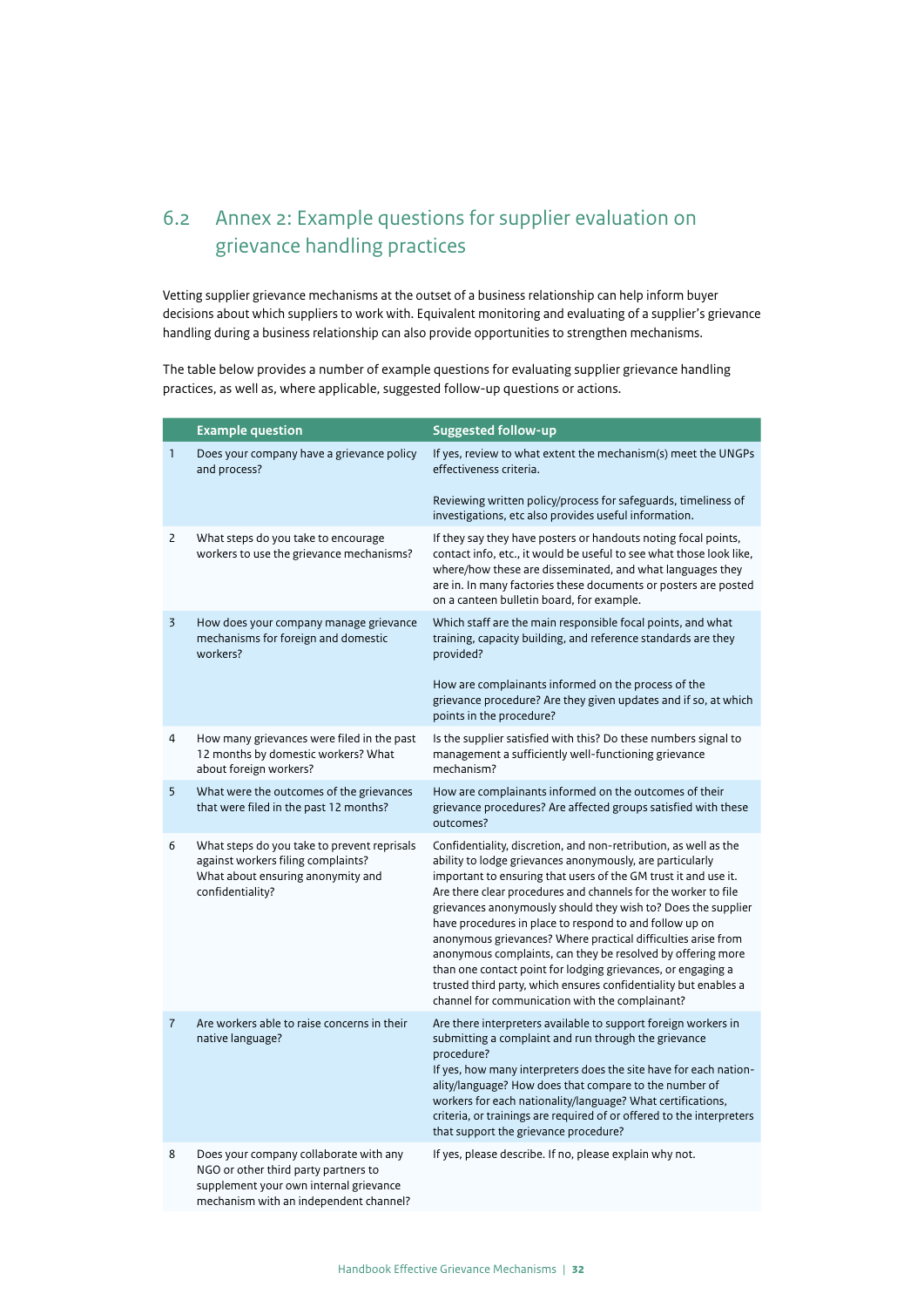## <span id="page-31-0"></span>6.2 Annex 2: Example questions for supplier evaluation on grievance handling practices

Vetting supplier grievance mechanisms at the outset of a business relationship can help inform buyer decisions about which suppliers to work with. Equivalent monitoring and evaluating of a supplier's grievance handling during a business relationship can also provide opportunities to strengthen mechanisms.

The table below provides a number of example questions for evaluating supplier grievance handling practices, as well as, where applicable, suggested follow-up questions or actions.

|                | <b>Example question</b>                                                                                                                                            | <b>Suggested follow-up</b>                                                                                                                                                                                                                                                                                                                                                                                                                                                                                                                                                                                                                                                                                            |
|----------------|--------------------------------------------------------------------------------------------------------------------------------------------------------------------|-----------------------------------------------------------------------------------------------------------------------------------------------------------------------------------------------------------------------------------------------------------------------------------------------------------------------------------------------------------------------------------------------------------------------------------------------------------------------------------------------------------------------------------------------------------------------------------------------------------------------------------------------------------------------------------------------------------------------|
| 1              | Does your company have a grievance policy<br>and process?                                                                                                          | If yes, review to what extent the mechanism(s) meet the UNGPs<br>effectiveness criteria.                                                                                                                                                                                                                                                                                                                                                                                                                                                                                                                                                                                                                              |
|                |                                                                                                                                                                    | Reviewing written policy/process for safeguards, timeliness of<br>investigations, etc also provides useful information.                                                                                                                                                                                                                                                                                                                                                                                                                                                                                                                                                                                               |
| 2              | What steps do you take to encourage<br>workers to use the grievance mechanisms?                                                                                    | If they say they have posters or handouts noting focal points,<br>contact info, etc., it would be useful to see what those look like,<br>where/how these are disseminated, and what languages they<br>are in. In many factories these documents or posters are posted<br>on a canteen bulletin board, for example.                                                                                                                                                                                                                                                                                                                                                                                                    |
| $\overline{3}$ | How does your company manage grievance<br>mechanisms for foreign and domestic<br>workers?                                                                          | Which staff are the main responsible focal points, and what<br>training, capacity building, and reference standards are they<br>provided?                                                                                                                                                                                                                                                                                                                                                                                                                                                                                                                                                                             |
|                |                                                                                                                                                                    | How are complainants informed on the process of the<br>grievance procedure? Are they given updates and if so, at which<br>points in the procedure?                                                                                                                                                                                                                                                                                                                                                                                                                                                                                                                                                                    |
| 4              | How many grievances were filed in the past<br>12 months by domestic workers? What<br>about foreign workers?                                                        | Is the supplier satisfied with this? Do these numbers signal to<br>management a sufficiently well-functioning grievance<br>mechanism?                                                                                                                                                                                                                                                                                                                                                                                                                                                                                                                                                                                 |
| 5              | What were the outcomes of the grievances<br>that were filed in the past 12 months?                                                                                 | How are complainants informed on the outcomes of their<br>grievance procedures? Are affected groups satisfied with these<br>outcomes?                                                                                                                                                                                                                                                                                                                                                                                                                                                                                                                                                                                 |
| 6              | What steps do you take to prevent reprisals<br>against workers filing complaints?<br>What about ensuring anonymity and<br>confidentiality?                         | Confidentiality, discretion, and non-retribution, as well as the<br>ability to lodge grievances anonymously, are particularly<br>important to ensuring that users of the GM trust it and use it.<br>Are there clear procedures and channels for the worker to file<br>grievances anonymously should they wish to? Does the supplier<br>have procedures in place to respond to and follow up on<br>anonymous grievances? Where practical difficulties arise from<br>anonymous complaints, can they be resolved by offering more<br>than one contact point for lodging grievances, or engaging a<br>trusted third party, which ensures confidentiality but enables a<br>channel for communication with the complainant? |
| $\overline{7}$ | Are workers able to raise concerns in their<br>native language?                                                                                                    | Are there interpreters available to support foreign workers in<br>submitting a complaint and run through the grievance<br>procedure?<br>If yes, how many interpreters does the site have for each nation-<br>ality/language? How does that compare to the number of<br>workers for each nationality/language? What certifications,<br>criteria, or trainings are required of or offered to the interpreters<br>that support the grievance procedure?                                                                                                                                                                                                                                                                  |
| 8              | Does your company collaborate with any<br>NGO or other third party partners to<br>supplement your own internal grievance<br>mechanism with an independent channel? | If yes, please describe. If no, please explain why not.                                                                                                                                                                                                                                                                                                                                                                                                                                                                                                                                                                                                                                                               |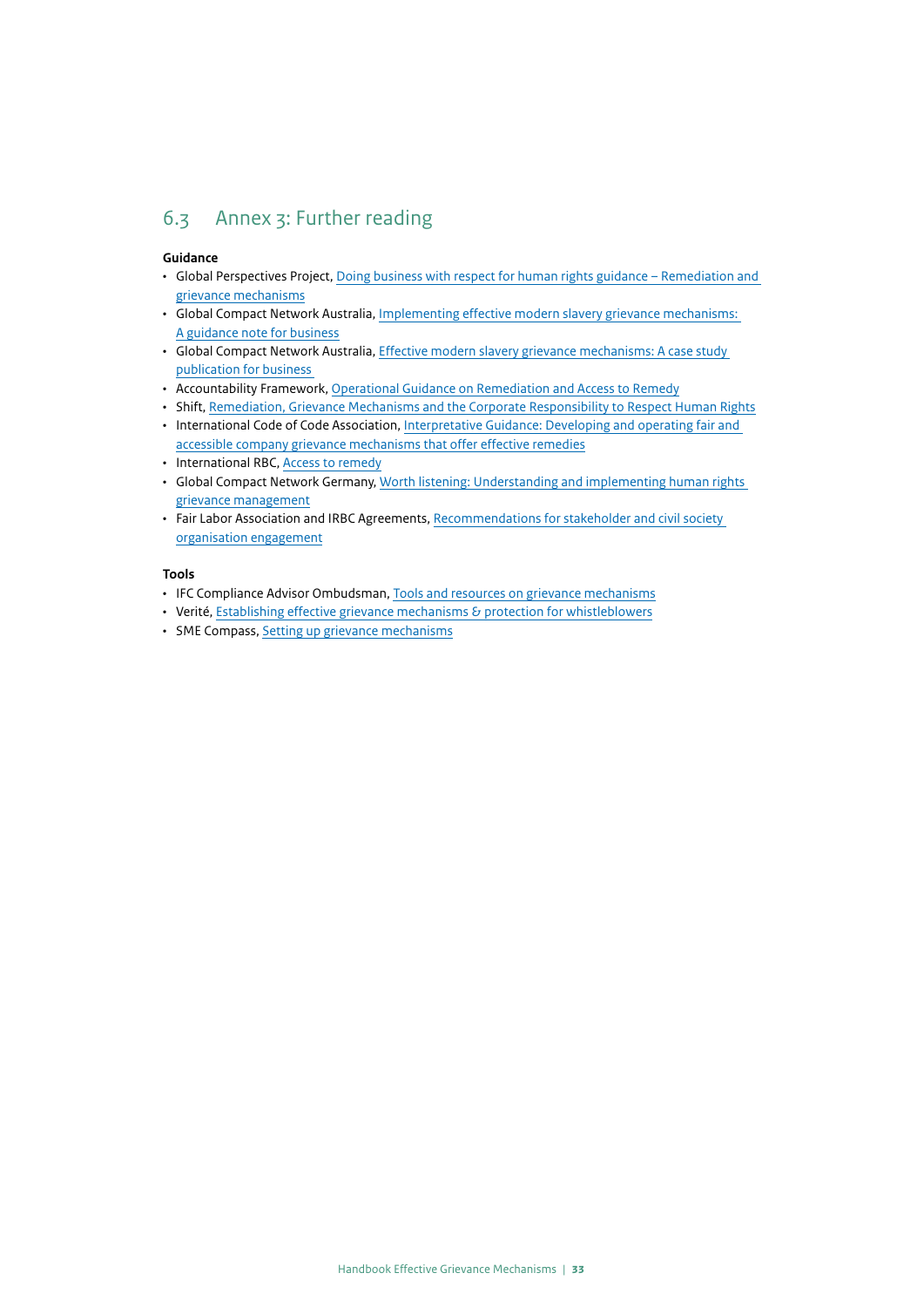## <span id="page-32-0"></span>6.3 Annex 3: Further reading

#### **Guidance**

- Global Perspectives Project, [Doing business with respect for human rights guidance Remediation and](https://www.businessrespecthumanrights.org/en/page/349/remediation-and-grievance-mechanisms)  [grievance mechanisms](https://www.businessrespecthumanrights.org/en/page/349/remediation-and-grievance-mechanisms)
- Global Compact Network Australia, [Implementing effective modern slavery grievance mechanisms:](https://unglobalcompact.org.au/wp-content/uploads/2021/03/4261-UNGC-Grievance-Mechanisms-GUIDANCE-DOC_28pp-9-FA.pdf)  [A guidance note for business](https://unglobalcompact.org.au/wp-content/uploads/2021/03/4261-UNGC-Grievance-Mechanisms-GUIDANCE-DOC_28pp-9-FA.pdf)
- Global Compact Network Australia, [Effective modern slavery grievance mechanisms: A case study](https://unglobalcompact.org.au/wp-content/uploads/2021/03/4261-UNGC-Grievance-Mechanisms-CASE-STUDY-10-FA.pdf)  [publication for business](https://unglobalcompact.org.au/wp-content/uploads/2021/03/4261-UNGC-Grievance-Mechanisms-CASE-STUDY-10-FA.pdf)
- Accountability Framework, [Operational Guidance on Remediation and Access to Remedy](https://accountability-framework.org/wp-content/uploads/2020/09/OG_Remediation_Access_Remedy-2020-5.pdf)
- Shift, Remediation, [Grievance Mechanisms and the Corporate Responsibility to Respect Human Rights](https://shiftproject.org/resource/remediation-grievance-mechanisms-and-the-corporate-responsibility-to-respect-human-rights/)
- International Code of Code Association, [Interpretative Guidance: Developing and operating fair and](https://icoca.ch/wp-content/uploads/2020/07/interpretative-guidance.pdf)  [accessible company grievance mechanisms that offer effective remedies](https://icoca.ch/wp-content/uploads/2020/07/interpretative-guidance.pdf)
- International RBC, **Access to remedy**
- Global Compact Network Germany, [Worth listening: Understanding and implementing human rights](https://www.globalcompact.de/migrated_files/wAssets/docs/Menschenrechte/Publikationen/DGCN_GM-guide_EN_20191125_WEB.pdf)  [grievance management](https://www.globalcompact.de/migrated_files/wAssets/docs/Menschenrechte/Publikationen/DGCN_GM-guide_EN_20191125_WEB.pdf)
- Fair Labor Association and IRBC Agreements, [Recommendations for stakeholder and civil society](https://www.imvoconvenanten.nl/-/media/imvo/files/kleding/child-labour/c-stakeholder-civil-society-organisation.pdf)  [organisation engagement](https://www.imvoconvenanten.nl/-/media/imvo/files/kleding/child-labour/c-stakeholder-civil-society-organisation.pdf)

#### **Tools**

- IFC Compliance Advisor Ombudsman, [Tools and resources on grievance mechanisms](https://www.cao-grm.org/tools-and-resources)
- Verité, Establishing effective grievance mechanisms  $\varepsilon$  protection for whistleblowers
- SME Compass, [Setting up grievance mechanisms](https://kompass.wirtschaft-entwicklung.de/en/due-diligence-compass/manage-complaints#top)